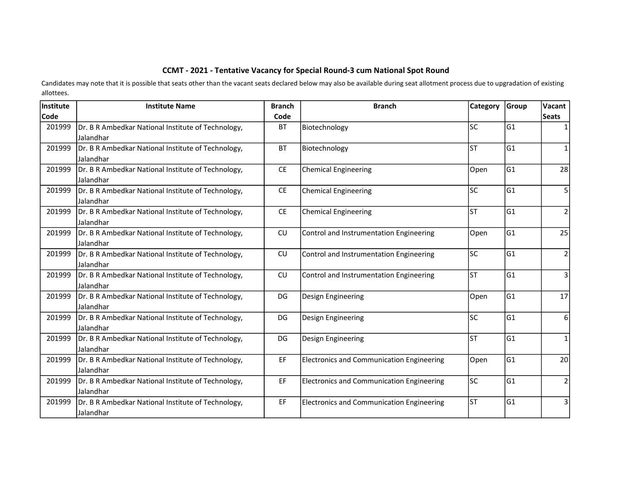## CCMT - 2021 - Tentative Vacancy for Special Round-3 cum National Spot Round

Candidates may note that it is possible that seats other than the vacant seats declared below may also be available during seat allotment process due to upgradation of existing allottees.

| Institute | <b>Institute Name</b>                              | <b>Branch</b> | <b>Branch</b>                                    | <b>Category</b> | Group | Vacant         |
|-----------|----------------------------------------------------|---------------|--------------------------------------------------|-----------------|-------|----------------|
| Code      |                                                    | Code          |                                                  |                 |       | <b>Seats</b>   |
| 201999    | Dr. B R Ambedkar National Institute of Technology, | <b>BT</b>     | Biotechnology                                    | lsc             | lG1   |                |
|           | Jalandhar                                          |               |                                                  |                 |       |                |
| 201999    | Dr. B R Ambedkar National Institute of Technology, | <b>BT</b>     | Biotechnology                                    | lst             | lG1   | 1              |
|           | Jalandhar                                          |               |                                                  |                 |       |                |
| 201999    | Dr. B R Ambedkar National Institute of Technology, | <b>CE</b>     | <b>Chemical Engineering</b>                      | Open            | G1    | 28             |
|           | Jalandhar                                          |               |                                                  |                 |       |                |
| 201999    | Dr. B R Ambedkar National Institute of Technology, | CE            | <b>Chemical Engineering</b>                      | lsc             | lG1   | 5              |
|           | <b>Jalandhar</b>                                   |               |                                                  |                 |       |                |
| 201999    | Dr. B R Ambedkar National Institute of Technology, | CE            | <b>Chemical Engineering</b>                      | lst             | lG1   | $\overline{2}$ |
|           | Jalandhar                                          |               |                                                  |                 |       |                |
| 201999    | Dr. B R Ambedkar National Institute of Technology, | CU            | Control and Instrumentation Engineering          | Open            | lG1   | 25             |
|           | <b>Jalandhar</b>                                   |               |                                                  |                 |       |                |
| 201999    | Dr. B R Ambedkar National Institute of Technology, | CU            | Control and Instrumentation Engineering          | lsc             | G1    | $\overline{2}$ |
|           | Jalandhar                                          |               |                                                  |                 |       |                |
| 201999    | Dr. B R Ambedkar National Institute of Technology, | CU            | Control and Instrumentation Engineering          | lst             | G1    | 3              |
|           | Jalandhar                                          |               |                                                  |                 |       |                |
| 201999    | Dr. B R Ambedkar National Institute of Technology, | DG            | Design Engineering                               | Open            | G1    | 17             |
|           | Jalandhar                                          |               |                                                  |                 |       |                |
| 201999    | Dr. B R Ambedkar National Institute of Technology, | DG            | Design Engineering                               | lsc             | lG1   | 6              |
|           | Jalandhar                                          |               |                                                  |                 |       |                |
| 201999    | Dr. B R Ambedkar National Institute of Technology, | DG            | Design Engineering                               | lsт             | lG1   | $\mathbf{1}$   |
|           | Jalandhar                                          |               |                                                  |                 |       |                |
| 201999    | Dr. B R Ambedkar National Institute of Technology, | EF            | <b>Electronics and Communication Engineering</b> | Open            | lG1   | 20             |
|           | Jalandhar                                          |               |                                                  |                 |       |                |
| 201999    | Dr. B R Ambedkar National Institute of Technology, | EF            | Electronics and Communication Engineering        | lsc             | G1    | $\overline{2}$ |
|           | Jalandhar                                          |               |                                                  |                 |       |                |
| 201999    | Dr. B R Ambedkar National Institute of Technology, | EF            | <b>Electronics and Communication Engineering</b> | lst             | lG1   | 3              |
|           | Jalandhar                                          |               |                                                  |                 |       |                |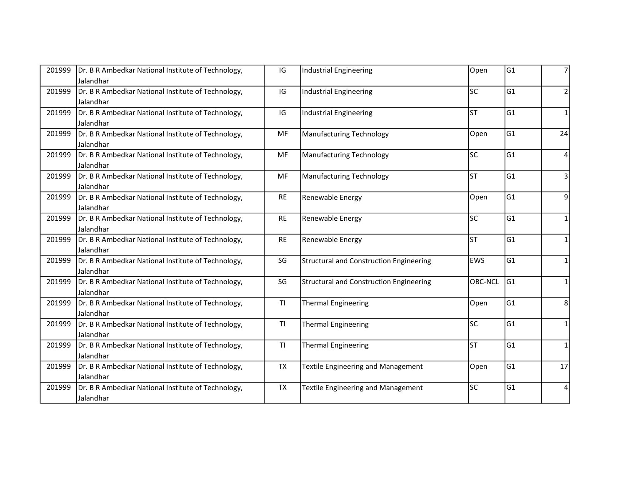| 201999 | Dr. B R Ambedkar National Institute of Technology, | IG             | Industrial Engineering                         | Open           | lG1            | 7            |
|--------|----------------------------------------------------|----------------|------------------------------------------------|----------------|----------------|--------------|
|        | Jalandhar                                          |                |                                                |                |                |              |
| 201999 | Dr. B R Ambedkar National Institute of Technology, | IG             | Industrial Engineering                         | lsc            | G1             | 2            |
|        | Jalandhar                                          |                |                                                |                |                |              |
| 201999 | Dr. B R Ambedkar National Institute of Technology, | IG             | Industrial Engineering                         | lst            | lG1            | $\mathbf{1}$ |
|        | Jalandhar                                          |                |                                                |                |                |              |
| 201999 | Dr. B R Ambedkar National Institute of Technology, | <b>MF</b>      | <b>Manufacturing Technology</b>                | Open           | G1             | 24           |
|        | Jalandhar                                          |                |                                                |                |                |              |
| 201999 | Dr. B R Ambedkar National Institute of Technology, | <b>MF</b>      | <b>Manufacturing Technology</b>                | lsc            | G1             | 4            |
|        | Jalandhar                                          |                |                                                |                |                |              |
| 201999 | Dr. B R Ambedkar National Institute of Technology, | <b>MF</b>      | <b>Manufacturing Technology</b>                | lst            | lG1            | 3            |
|        | Jalandhar                                          |                |                                                |                |                |              |
| 201999 | Dr. B R Ambedkar National Institute of Technology, | <b>RE</b>      | Renewable Energy                               | Open           | G1             | 9            |
|        | Jalandhar                                          |                |                                                |                |                |              |
| 201999 | Dr. B R Ambedkar National Institute of Technology, | <b>RE</b>      | Renewable Energy                               | lsc            | lG1            | $\mathbf{1}$ |
|        | Jalandhar                                          |                |                                                |                |                |              |
| 201999 | Dr. B R Ambedkar National Institute of Technology, | <b>RE</b>      | Renewable Energy                               | lsт            | lG1            | $\mathbf{1}$ |
|        | Jalandhar                                          |                |                                                |                |                |              |
| 201999 | Dr. B R Ambedkar National Institute of Technology, | SG             | <b>Structural and Construction Engineering</b> | <b>EWS</b>     | G1             | 1            |
|        | Jalandhar                                          |                |                                                |                |                |              |
| 201999 | Dr. B R Ambedkar National Institute of Technology, | SG             | <b>Structural and Construction Engineering</b> | <b>OBC-NCL</b> | G <sub>1</sub> | 1            |
|        | Jalandhar                                          |                |                                                |                |                |              |
| 201999 | Dr. B R Ambedkar National Institute of Technology, | T1             | <b>Thermal Engineering</b>                     | Open           | G1             | 8            |
|        | Jalandhar                                          |                |                                                |                |                |              |
| 201999 | Dr. B R Ambedkar National Institute of Technology, | T <sub>1</sub> | <b>Thermal Engineering</b>                     | lsc            | lG1            | $\mathbf{1}$ |
|        | Jalandhar                                          |                |                                                |                |                |              |
| 201999 | Dr. B R Ambedkar National Institute of Technology, | <b>TI</b>      | <b>Thermal Engineering</b>                     | lsт            | G1             | 1            |
|        | Jalandhar                                          |                |                                                |                |                |              |
| 201999 | Dr. B R Ambedkar National Institute of Technology, | <b>TX</b>      | Textile Engineering and Management             | Open           | G1             | 17           |
|        | Jalandhar                                          |                |                                                |                |                |              |
| 201999 | Dr. B R Ambedkar National Institute of Technology, | <b>TX</b>      | <b>Textile Engineering and Management</b>      | lsc            | G1             | 4            |
|        | Jalandhar                                          |                |                                                |                |                |              |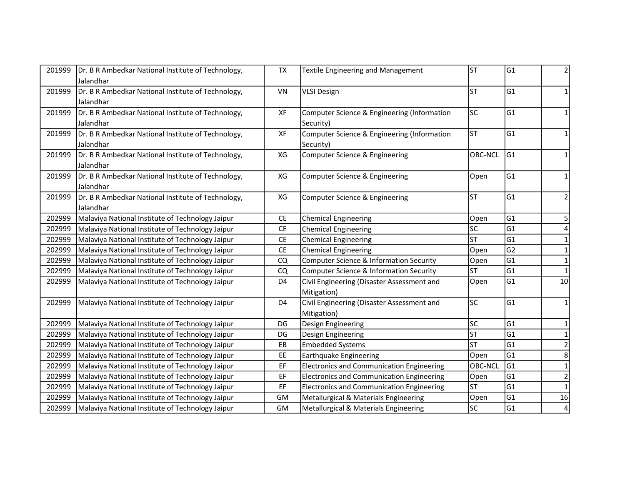| 201999 | Dr. B R Ambedkar National Institute of Technology, | <b>TX</b>      | <b>Textile Engineering and Management</b>        | lst            | G1             | 2                       |
|--------|----------------------------------------------------|----------------|--------------------------------------------------|----------------|----------------|-------------------------|
|        | Jalandhar                                          |                |                                                  |                |                |                         |
| 201999 | Dr. B R Ambedkar National Institute of Technology, | VN             | <b>VLSI Design</b>                               | lst            | lG1            | 1                       |
|        | Jalandhar                                          |                |                                                  |                |                |                         |
| 201999 | Dr. B R Ambedkar National Institute of Technology, | XF             | Computer Science & Engineering (Information      | lsc            | lG1            | 1                       |
|        | Jalandhar                                          |                | Security)                                        |                |                |                         |
| 201999 | Dr. B R Ambedkar National Institute of Technology, | XF             | Computer Science & Engineering (Information      | lsт            | G1             | $\mathbf{1}$            |
|        | Jalandhar                                          |                | Security)                                        |                |                |                         |
| 201999 | Dr. B R Ambedkar National Institute of Technology, | XG             | Computer Science & Engineering                   | OBC-NCL        | G1             | 1                       |
|        | Jalandhar                                          |                |                                                  |                |                |                         |
| 201999 | Dr. B R Ambedkar National Institute of Technology, | XG             | Computer Science & Engineering                   | Open           | G1             | 1                       |
|        | Jalandhar                                          |                |                                                  |                |                |                         |
| 201999 | Dr. B R Ambedkar National Institute of Technology, | XG             | Computer Science & Engineering                   | lsт            | lG1            | $\overline{2}$          |
|        | Jalandhar                                          |                |                                                  |                |                |                         |
| 202999 | Malaviya National Institute of Technology Jaipur   | <b>CE</b>      | <b>Chemical Engineering</b>                      | Open           | G1             | 5                       |
| 202999 | Malaviya National Institute of Technology Jaipur   | <b>CE</b>      | <b>Chemical Engineering</b>                      | lsc            | G <sub>1</sub> |                         |
| 202999 | Malaviya National Institute of Technology Jaipur   | <b>CE</b>      | <b>Chemical Engineering</b>                      | lst            | G <sub>1</sub> | 1                       |
| 202999 | Malaviya National Institute of Technology Jaipur   | CE             | <b>Chemical Engineering</b>                      | Open           | G2             | 1                       |
| 202999 | Malaviya National Institute of Technology Jaipur   | CQ             | Computer Science & Information Security          | Open           | G <sub>1</sub> | $\mathbf{1}$            |
| 202999 | Malaviya National Institute of Technology Jaipur   | CQ             | Computer Science & Information Security          | lst            | G <sub>1</sub> |                         |
| 202999 | Malaviya National Institute of Technology Jaipur   | D <sub>4</sub> | Civil Engineering (Disaster Assessment and       | Open           | G1             | 10                      |
|        |                                                    |                | Mitigation)                                      |                |                |                         |
| 202999 | Malaviya National Institute of Technology Jaipur   | D <sub>4</sub> | Civil Engineering (Disaster Assessment and       | lsc            | G1             | $\mathbf{1}$            |
|        |                                                    |                | Mitigation)                                      |                |                |                         |
| 202999 | Malaviya National Institute of Technology Jaipur   | DG             | Design Engineering                               | lsc            | G1             | $\mathbf{1}$            |
| 202999 | Malaviya National Institute of Technology Jaipur   | DG             | Design Engineering                               | lst            | G <sub>1</sub> | $\mathbf{1}$            |
| 202999 | Malaviya National Institute of Technology Jaipur   | EB             | <b>Embedded Systems</b>                          | <b>ST</b>      | G <sub>1</sub> | $\mathbf 2$             |
| 202999 | Malaviya National Institute of Technology Jaipur   | EE             | <b>Earthquake Engineering</b>                    | Open           | G1             | 8                       |
| 202999 | Malaviya National Institute of Technology Jaipur   | EF             | <b>Electronics and Communication Engineering</b> | <b>OBC-NCL</b> | G1             | $\mathbf{1}$            |
| 202999 | Malaviya National Institute of Technology Jaipur   | EF             | <b>Electronics and Communication Engineering</b> | Open           | G1             | $\overline{2}$          |
| 202999 | Malaviya National Institute of Technology Jaipur   | EF             | <b>Electronics and Communication Engineering</b> | lst            | G1             | $\mathbf 1$             |
| 202999 | Malaviya National Institute of Technology Jaipur   | <b>GM</b>      | Metallurgical & Materials Engineering            | Open           | G <sub>1</sub> | 16                      |
| 202999 | Malaviya National Institute of Technology Jaipur   | GM             | Metallurgical & Materials Engineering            | <b>SC</b>      | G1             | $\overline{\mathbf{4}}$ |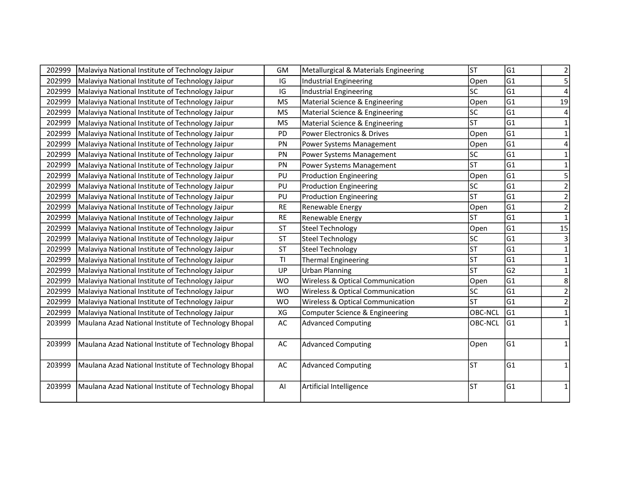| G1<br>Malaviya National Institute of Technology Jaipur<br>Open<br>202999<br>IG<br>Industrial Engineering<br>G1<br>IG<br>lsc<br>202999<br>Malaviya National Institute of Technology Jaipur<br><b>Industrial Engineering</b><br>lG1<br>202999<br>Malaviya National Institute of Technology Jaipur<br><b>MS</b><br>Material Science & Engineering<br>Open<br>lsc<br>G1<br>202999<br>Malaviya National Institute of Technology Jaipur<br><b>MS</b><br>Material Science & Engineering<br><b>ST</b><br>G1<br>202999<br>Malaviya National Institute of Technology Jaipur<br><b>MS</b><br>Material Science & Engineering<br>G1<br>202999<br>PD<br>Malaviya National Institute of Technology Jaipur<br>Power Electronics & Drives<br>Open<br>G1<br>202999<br>Malaviya National Institute of Technology Jaipur<br>PN<br>Power Systems Management<br>Open<br>lsc<br>G1<br>202999<br>Malaviya National Institute of Technology Jaipur<br>PN<br>Power Systems Management<br><b>ST</b><br>G1<br>202999<br>Malaviya National Institute of Technology Jaipur<br>PN<br>Power Systems Management<br>G1<br>202999<br>PU<br>Open<br>Malaviya National Institute of Technology Jaipur<br><b>Production Engineering</b><br>lsc<br>lG1<br>202999<br>Malaviya National Institute of Technology Jaipur<br>PU<br><b>Production Engineering</b><br><b>ST</b><br>G1<br>202999<br>PU<br>Malaviya National Institute of Technology Jaipur<br><b>Production Engineering</b><br>G1<br>202999<br>Malaviya National Institute of Technology Jaipur<br><b>RE</b><br>Renewable Energy<br>Open<br>G1<br>lsт<br>202999<br><b>RE</b><br>Malaviya National Institute of Technology Jaipur<br>Renewable Energy<br>G1<br>202999<br><b>ST</b><br>Malaviya National Institute of Technology Jaipur<br><b>Steel Technology</b><br>Open<br>lsc<br>G1<br>202999<br><b>ST</b><br>Malaviya National Institute of Technology Jaipur<br><b>Steel Technology</b><br>lsт<br>lG1<br>202999<br><b>ST</b><br>Malaviya National Institute of Technology Jaipur<br><b>Steel Technology</b><br><b>ST</b><br>lG1<br><b>TI</b><br>202999<br>Malaviya National Institute of Technology Jaipur<br>Thermal Engineering<br>lsт<br>G2<br>202999<br>Malaviya National Institute of Technology Jaipur<br>UP<br><b>Urban Planning</b><br>G1<br>202999<br><b>WO</b><br>Open<br>Malaviya National Institute of Technology Jaipur<br>Wireless & Optical Communication<br>G1<br>202999<br>lsc<br>Malaviya National Institute of Technology Jaipur<br><b>WO</b><br>Wireless & Optical Communication | 5<br>19<br>4<br>1<br>$\mathbf 1$<br>4<br>1<br>5<br>$\overline{2}$<br>$\mathbf 2$<br>$\overline{2}$ |
|---------------------------------------------------------------------------------------------------------------------------------------------------------------------------------------------------------------------------------------------------------------------------------------------------------------------------------------------------------------------------------------------------------------------------------------------------------------------------------------------------------------------------------------------------------------------------------------------------------------------------------------------------------------------------------------------------------------------------------------------------------------------------------------------------------------------------------------------------------------------------------------------------------------------------------------------------------------------------------------------------------------------------------------------------------------------------------------------------------------------------------------------------------------------------------------------------------------------------------------------------------------------------------------------------------------------------------------------------------------------------------------------------------------------------------------------------------------------------------------------------------------------------------------------------------------------------------------------------------------------------------------------------------------------------------------------------------------------------------------------------------------------------------------------------------------------------------------------------------------------------------------------------------------------------------------------------------------------------------------------------------------------------------------------------------------------------------------------------------------------------------------------------------------------------------------------------------------------------------------------------------------------------------------------------------------------------------------------------------------------------------------------------------------------------------------------------------------------------------------------------------------------------|----------------------------------------------------------------------------------------------------|
|                                                                                                                                                                                                                                                                                                                                                                                                                                                                                                                                                                                                                                                                                                                                                                                                                                                                                                                                                                                                                                                                                                                                                                                                                                                                                                                                                                                                                                                                                                                                                                                                                                                                                                                                                                                                                                                                                                                                                                                                                                                                                                                                                                                                                                                                                                                                                                                                                                                                                                                           |                                                                                                    |
|                                                                                                                                                                                                                                                                                                                                                                                                                                                                                                                                                                                                                                                                                                                                                                                                                                                                                                                                                                                                                                                                                                                                                                                                                                                                                                                                                                                                                                                                                                                                                                                                                                                                                                                                                                                                                                                                                                                                                                                                                                                                                                                                                                                                                                                                                                                                                                                                                                                                                                                           |                                                                                                    |
|                                                                                                                                                                                                                                                                                                                                                                                                                                                                                                                                                                                                                                                                                                                                                                                                                                                                                                                                                                                                                                                                                                                                                                                                                                                                                                                                                                                                                                                                                                                                                                                                                                                                                                                                                                                                                                                                                                                                                                                                                                                                                                                                                                                                                                                                                                                                                                                                                                                                                                                           |                                                                                                    |
|                                                                                                                                                                                                                                                                                                                                                                                                                                                                                                                                                                                                                                                                                                                                                                                                                                                                                                                                                                                                                                                                                                                                                                                                                                                                                                                                                                                                                                                                                                                                                                                                                                                                                                                                                                                                                                                                                                                                                                                                                                                                                                                                                                                                                                                                                                                                                                                                                                                                                                                           |                                                                                                    |
|                                                                                                                                                                                                                                                                                                                                                                                                                                                                                                                                                                                                                                                                                                                                                                                                                                                                                                                                                                                                                                                                                                                                                                                                                                                                                                                                                                                                                                                                                                                                                                                                                                                                                                                                                                                                                                                                                                                                                                                                                                                                                                                                                                                                                                                                                                                                                                                                                                                                                                                           |                                                                                                    |
|                                                                                                                                                                                                                                                                                                                                                                                                                                                                                                                                                                                                                                                                                                                                                                                                                                                                                                                                                                                                                                                                                                                                                                                                                                                                                                                                                                                                                                                                                                                                                                                                                                                                                                                                                                                                                                                                                                                                                                                                                                                                                                                                                                                                                                                                                                                                                                                                                                                                                                                           |                                                                                                    |
|                                                                                                                                                                                                                                                                                                                                                                                                                                                                                                                                                                                                                                                                                                                                                                                                                                                                                                                                                                                                                                                                                                                                                                                                                                                                                                                                                                                                                                                                                                                                                                                                                                                                                                                                                                                                                                                                                                                                                                                                                                                                                                                                                                                                                                                                                                                                                                                                                                                                                                                           |                                                                                                    |
|                                                                                                                                                                                                                                                                                                                                                                                                                                                                                                                                                                                                                                                                                                                                                                                                                                                                                                                                                                                                                                                                                                                                                                                                                                                                                                                                                                                                                                                                                                                                                                                                                                                                                                                                                                                                                                                                                                                                                                                                                                                                                                                                                                                                                                                                                                                                                                                                                                                                                                                           |                                                                                                    |
|                                                                                                                                                                                                                                                                                                                                                                                                                                                                                                                                                                                                                                                                                                                                                                                                                                                                                                                                                                                                                                                                                                                                                                                                                                                                                                                                                                                                                                                                                                                                                                                                                                                                                                                                                                                                                                                                                                                                                                                                                                                                                                                                                                                                                                                                                                                                                                                                                                                                                                                           |                                                                                                    |
|                                                                                                                                                                                                                                                                                                                                                                                                                                                                                                                                                                                                                                                                                                                                                                                                                                                                                                                                                                                                                                                                                                                                                                                                                                                                                                                                                                                                                                                                                                                                                                                                                                                                                                                                                                                                                                                                                                                                                                                                                                                                                                                                                                                                                                                                                                                                                                                                                                                                                                                           |                                                                                                    |
|                                                                                                                                                                                                                                                                                                                                                                                                                                                                                                                                                                                                                                                                                                                                                                                                                                                                                                                                                                                                                                                                                                                                                                                                                                                                                                                                                                                                                                                                                                                                                                                                                                                                                                                                                                                                                                                                                                                                                                                                                                                                                                                                                                                                                                                                                                                                                                                                                                                                                                                           |                                                                                                    |
|                                                                                                                                                                                                                                                                                                                                                                                                                                                                                                                                                                                                                                                                                                                                                                                                                                                                                                                                                                                                                                                                                                                                                                                                                                                                                                                                                                                                                                                                                                                                                                                                                                                                                                                                                                                                                                                                                                                                                                                                                                                                                                                                                                                                                                                                                                                                                                                                                                                                                                                           |                                                                                                    |
|                                                                                                                                                                                                                                                                                                                                                                                                                                                                                                                                                                                                                                                                                                                                                                                                                                                                                                                                                                                                                                                                                                                                                                                                                                                                                                                                                                                                                                                                                                                                                                                                                                                                                                                                                                                                                                                                                                                                                                                                                                                                                                                                                                                                                                                                                                                                                                                                                                                                                                                           |                                                                                                    |
|                                                                                                                                                                                                                                                                                                                                                                                                                                                                                                                                                                                                                                                                                                                                                                                                                                                                                                                                                                                                                                                                                                                                                                                                                                                                                                                                                                                                                                                                                                                                                                                                                                                                                                                                                                                                                                                                                                                                                                                                                                                                                                                                                                                                                                                                                                                                                                                                                                                                                                                           | $\mathbf{1}$                                                                                       |
|                                                                                                                                                                                                                                                                                                                                                                                                                                                                                                                                                                                                                                                                                                                                                                                                                                                                                                                                                                                                                                                                                                                                                                                                                                                                                                                                                                                                                                                                                                                                                                                                                                                                                                                                                                                                                                                                                                                                                                                                                                                                                                                                                                                                                                                                                                                                                                                                                                                                                                                           | 15                                                                                                 |
|                                                                                                                                                                                                                                                                                                                                                                                                                                                                                                                                                                                                                                                                                                                                                                                                                                                                                                                                                                                                                                                                                                                                                                                                                                                                                                                                                                                                                                                                                                                                                                                                                                                                                                                                                                                                                                                                                                                                                                                                                                                                                                                                                                                                                                                                                                                                                                                                                                                                                                                           | 3                                                                                                  |
|                                                                                                                                                                                                                                                                                                                                                                                                                                                                                                                                                                                                                                                                                                                                                                                                                                                                                                                                                                                                                                                                                                                                                                                                                                                                                                                                                                                                                                                                                                                                                                                                                                                                                                                                                                                                                                                                                                                                                                                                                                                                                                                                                                                                                                                                                                                                                                                                                                                                                                                           | $\mathbf{1}$                                                                                       |
|                                                                                                                                                                                                                                                                                                                                                                                                                                                                                                                                                                                                                                                                                                                                                                                                                                                                                                                                                                                                                                                                                                                                                                                                                                                                                                                                                                                                                                                                                                                                                                                                                                                                                                                                                                                                                                                                                                                                                                                                                                                                                                                                                                                                                                                                                                                                                                                                                                                                                                                           | $\mathbf{1}$                                                                                       |
|                                                                                                                                                                                                                                                                                                                                                                                                                                                                                                                                                                                                                                                                                                                                                                                                                                                                                                                                                                                                                                                                                                                                                                                                                                                                                                                                                                                                                                                                                                                                                                                                                                                                                                                                                                                                                                                                                                                                                                                                                                                                                                                                                                                                                                                                                                                                                                                                                                                                                                                           | $\mathbf{1}$                                                                                       |
|                                                                                                                                                                                                                                                                                                                                                                                                                                                                                                                                                                                                                                                                                                                                                                                                                                                                                                                                                                                                                                                                                                                                                                                                                                                                                                                                                                                                                                                                                                                                                                                                                                                                                                                                                                                                                                                                                                                                                                                                                                                                                                                                                                                                                                                                                                                                                                                                                                                                                                                           | 8                                                                                                  |
|                                                                                                                                                                                                                                                                                                                                                                                                                                                                                                                                                                                                                                                                                                                                                                                                                                                                                                                                                                                                                                                                                                                                                                                                                                                                                                                                                                                                                                                                                                                                                                                                                                                                                                                                                                                                                                                                                                                                                                                                                                                                                                                                                                                                                                                                                                                                                                                                                                                                                                                           | $\overline{\mathbf{c}}$                                                                            |
| <b>ST</b><br>G1<br>202999<br><b>Wireless &amp; Optical Communication</b><br>Malaviya National Institute of Technology Jaipur<br><b>WO</b>                                                                                                                                                                                                                                                                                                                                                                                                                                                                                                                                                                                                                                                                                                                                                                                                                                                                                                                                                                                                                                                                                                                                                                                                                                                                                                                                                                                                                                                                                                                                                                                                                                                                                                                                                                                                                                                                                                                                                                                                                                                                                                                                                                                                                                                                                                                                                                                 | $\overline{2}$                                                                                     |
| OBC-NCL<br>G1<br>202999<br>Malaviya National Institute of Technology Jaipur<br>XG<br>Computer Science & Engineering                                                                                                                                                                                                                                                                                                                                                                                                                                                                                                                                                                                                                                                                                                                                                                                                                                                                                                                                                                                                                                                                                                                                                                                                                                                                                                                                                                                                                                                                                                                                                                                                                                                                                                                                                                                                                                                                                                                                                                                                                                                                                                                                                                                                                                                                                                                                                                                                       | $\mathbf{1}$                                                                                       |
| lG1<br>Maulana Azad National Institute of Technology Bhopal<br>AC<br><b>Advanced Computing</b><br><b>OBC-NCL</b><br>203999                                                                                                                                                                                                                                                                                                                                                                                                                                                                                                                                                                                                                                                                                                                                                                                                                                                                                                                                                                                                                                                                                                                                                                                                                                                                                                                                                                                                                                                                                                                                                                                                                                                                                                                                                                                                                                                                                                                                                                                                                                                                                                                                                                                                                                                                                                                                                                                                | 1                                                                                                  |
|                                                                                                                                                                                                                                                                                                                                                                                                                                                                                                                                                                                                                                                                                                                                                                                                                                                                                                                                                                                                                                                                                                                                                                                                                                                                                                                                                                                                                                                                                                                                                                                                                                                                                                                                                                                                                                                                                                                                                                                                                                                                                                                                                                                                                                                                                                                                                                                                                                                                                                                           |                                                                                                    |
| lG1<br>Maulana Azad National Institute of Technology Bhopal<br>203999<br>AC<br><b>Advanced Computing</b><br>Open                                                                                                                                                                                                                                                                                                                                                                                                                                                                                                                                                                                                                                                                                                                                                                                                                                                                                                                                                                                                                                                                                                                                                                                                                                                                                                                                                                                                                                                                                                                                                                                                                                                                                                                                                                                                                                                                                                                                                                                                                                                                                                                                                                                                                                                                                                                                                                                                          | $\mathbf{1}$                                                                                       |
| <b>ST</b><br>G1<br>AC<br>203999<br>Maulana Azad National Institute of Technology Bhopal<br><b>Advanced Computing</b>                                                                                                                                                                                                                                                                                                                                                                                                                                                                                                                                                                                                                                                                                                                                                                                                                                                                                                                                                                                                                                                                                                                                                                                                                                                                                                                                                                                                                                                                                                                                                                                                                                                                                                                                                                                                                                                                                                                                                                                                                                                                                                                                                                                                                                                                                                                                                                                                      | 1                                                                                                  |
|                                                                                                                                                                                                                                                                                                                                                                                                                                                                                                                                                                                                                                                                                                                                                                                                                                                                                                                                                                                                                                                                                                                                                                                                                                                                                                                                                                                                                                                                                                                                                                                                                                                                                                                                                                                                                                                                                                                                                                                                                                                                                                                                                                                                                                                                                                                                                                                                                                                                                                                           |                                                                                                    |
| G1<br>Maulana Azad National Institute of Technology Bhopal<br>Artificial Intelligence<br>lst<br>203999<br>Al                                                                                                                                                                                                                                                                                                                                                                                                                                                                                                                                                                                                                                                                                                                                                                                                                                                                                                                                                                                                                                                                                                                                                                                                                                                                                                                                                                                                                                                                                                                                                                                                                                                                                                                                                                                                                                                                                                                                                                                                                                                                                                                                                                                                                                                                                                                                                                                                              | 1                                                                                                  |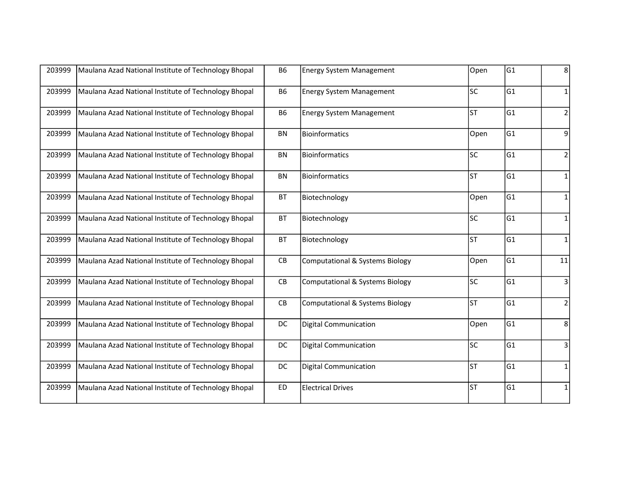| 203999 | Maulana Azad National Institute of Technology Bhopal | <b>B6</b> | <b>Energy System Management</b>            | Open      | G1  | 8              |
|--------|------------------------------------------------------|-----------|--------------------------------------------|-----------|-----|----------------|
| 203999 | Maulana Azad National Institute of Technology Bhopal | <b>B6</b> | <b>Energy System Management</b>            | lsc       | G1  | $\mathbf{1}$   |
| 203999 | Maulana Azad National Institute of Technology Bhopal | <b>B6</b> | <b>Energy System Management</b>            | lst       | lG1 | $\overline{2}$ |
| 203999 | Maulana Azad National Institute of Technology Bhopal | BN        | Bioinformatics                             | Open      | G1  | 9              |
| 203999 | Maulana Azad National Institute of Technology Bhopal | <b>BN</b> | <b>Bioinformatics</b>                      | lsc       | G1  | $\overline{2}$ |
| 203999 | Maulana Azad National Institute of Technology Bhopal | BN        | Bioinformatics                             | lst       | G1  | $\mathbf{1}$   |
| 203999 | Maulana Azad National Institute of Technology Bhopal | <b>BT</b> | Biotechnology                              | Open      | lG1 | 1              |
| 203999 | Maulana Azad National Institute of Technology Bhopal | <b>BT</b> | Biotechnology                              | lsc       | G1  | $\mathbf{1}$   |
| 203999 | Maulana Azad National Institute of Technology Bhopal | <b>BT</b> | Biotechnology                              | <b>ST</b> | G1  | $\mathbf{1}$   |
| 203999 | Maulana Azad National Institute of Technology Bhopal | CB        | <b>Computational &amp; Systems Biology</b> | Open      | G1  | $11\,$         |
| 203999 | Maulana Azad National Institute of Technology Bhopal | CB        | <b>Computational &amp; Systems Biology</b> | lsc       | G1  | 3              |
| 203999 | Maulana Azad National Institute of Technology Bhopal | CB        | <b>Computational &amp; Systems Biology</b> | lsт       | lG1 | $\overline{2}$ |
| 203999 | Maulana Azad National Institute of Technology Bhopal | DC        | <b>Digital Communication</b>               | Open      | lG1 | 8              |
| 203999 | Maulana Azad National Institute of Technology Bhopal | DC        | <b>Digital Communication</b>               | lsc       | lG1 | $\overline{3}$ |
| 203999 | Maulana Azad National Institute of Technology Bhopal | DC        | <b>Digital Communication</b>               | lsт       | G1  | 1              |
| 203999 | Maulana Azad National Institute of Technology Bhopal | <b>ED</b> | <b>Electrical Drives</b>                   | lst       | G1  | $\mathbf{1}$   |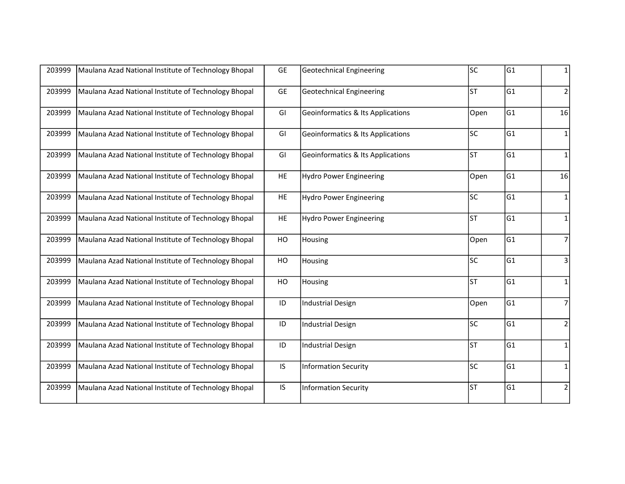| 203999 | Maulana Azad National Institute of Technology Bhopal | <b>GE</b>     | <b>Geotechnical Engineering</b>              | lsc  | G1  | 1              |
|--------|------------------------------------------------------|---------------|----------------------------------------------|------|-----|----------------|
| 203999 | Maulana Azad National Institute of Technology Bhopal | <b>GE</b>     | <b>Geotechnical Engineering</b>              | lsт  | G1  | $\overline{2}$ |
| 203999 | Maulana Azad National Institute of Technology Bhopal | GI            | <b>Geoinformatics &amp; Its Applications</b> | Open | G1  | 16             |
| 203999 | Maulana Azad National Institute of Technology Bhopal | GI            | <b>Geoinformatics &amp; Its Applications</b> | lsc  | lG1 | 1              |
| 203999 | Maulana Azad National Institute of Technology Bhopal | GI            | <b>Geoinformatics &amp; Its Applications</b> | lsт  | lG1 | $\mathbf{1}$   |
| 203999 | Maulana Azad National Institute of Technology Bhopal | HE            | <b>Hydro Power Engineering</b>               | Open | G1  | 16             |
| 203999 | Maulana Azad National Institute of Technology Bhopal | HE            | <b>Hydro Power Engineering</b>               | lsc  | lG1 | 1              |
| 203999 | Maulana Azad National Institute of Technology Bhopal | HE            | <b>Hydro Power Engineering</b>               | lst  | G1  | $\mathbf 1$    |
| 203999 | Maulana Azad National Institute of Technology Bhopal | HO            | Housing                                      | Open | lG1 | $\overline{7}$ |
| 203999 | Maulana Azad National Institute of Technology Bhopal | HO            | Housing                                      | lsc  | lG1 | 3              |
| 203999 | Maulana Azad National Institute of Technology Bhopal | HO            | Housing                                      | lsт  | G1  | $\mathbf 1$    |
| 203999 | Maulana Azad National Institute of Technology Bhopal | ID            | <b>Industrial Design</b>                     | Open | lG1 | $\overline{7}$ |
| 203999 | Maulana Azad National Institute of Technology Bhopal | $\mathsf{ID}$ | <b>Industrial Design</b>                     | lsc  | G1  | $\mathbf 2$    |
| 203999 | Maulana Azad National Institute of Technology Bhopal | ID            | <b>Industrial Design</b>                     | lsт  | G1  | $\mathbf{1}$   |
| 203999 | Maulana Azad National Institute of Technology Bhopal | IS.           | <b>Information Security</b>                  | lsc  | G1  | $\mathbf{1}$   |
| 203999 | Maulana Azad National Institute of Technology Bhopal | IS.           | <b>Information Security</b>                  | lsт  | G1  | $\overline{2}$ |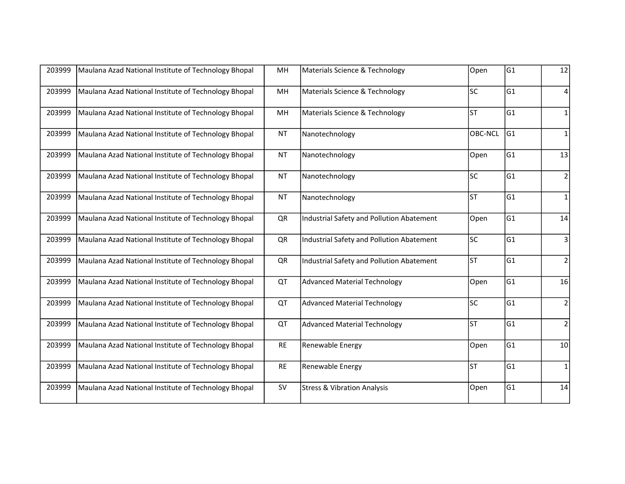| 203999 | Maulana Azad National Institute of Technology Bhopal | MH        | Materials Science & Technology            | Open      | lG1 | 12             |
|--------|------------------------------------------------------|-----------|-------------------------------------------|-----------|-----|----------------|
| 203999 | Maulana Azad National Institute of Technology Bhopal | MH        | Materials Science & Technology            | lsc       | lG1 | 4              |
| 203999 | Maulana Azad National Institute of Technology Bhopal | MH        | Materials Science & Technology            | lsт       | lG1 | $\mathbf{1}$   |
| 203999 | Maulana Azad National Institute of Technology Bhopal | <b>NT</b> | Nanotechnology                            | OBC-NCL   | lG1 | 1              |
| 203999 | Maulana Azad National Institute of Technology Bhopal | <b>NT</b> | Nanotechnology                            | Open      | G1  | 13             |
| 203999 | Maulana Azad National Institute of Technology Bhopal | <b>NT</b> | Nanotechnology                            | lsc       | G1  | $\overline{2}$ |
| 203999 | Maulana Azad National Institute of Technology Bhopal | <b>NT</b> | Nanotechnology                            | lsт       | G1  | $\mathbf{1}$   |
| 203999 | Maulana Azad National Institute of Technology Bhopal | QR        | Industrial Safety and Pollution Abatement | Open      | lG1 | 14             |
| 203999 | Maulana Azad National Institute of Technology Bhopal | QR        | Industrial Safety and Pollution Abatement | <b>SC</b> | G1  | 3              |
| 203999 | Maulana Azad National Institute of Technology Bhopal | QR        | Industrial Safety and Pollution Abatement | lsт       | lG1 | $\overline{2}$ |
| 203999 | Maulana Azad National Institute of Technology Bhopal | QT        | <b>Advanced Material Technology</b>       | Open      | G1  | 16             |
| 203999 | Maulana Azad National Institute of Technology Bhopal | QT        | <b>Advanced Material Technology</b>       | lsc       | G1  | $\overline{2}$ |
| 203999 | Maulana Azad National Institute of Technology Bhopal | QT        | <b>Advanced Material Technology</b>       | lst       | lG1 | $\mathbf 2$    |
| 203999 | Maulana Azad National Institute of Technology Bhopal | <b>RE</b> | Renewable Energy                          | Open      | lG1 | 10             |
| 203999 | Maulana Azad National Institute of Technology Bhopal | <b>RE</b> | Renewable Energy                          | lsт       | G1  | $\mathbf{1}$   |
| 203999 | Maulana Azad National Institute of Technology Bhopal | <b>SV</b> | <b>Stress &amp; Vibration Analysis</b>    | Open      | G1  | 14             |
|        |                                                      |           |                                           |           |     |                |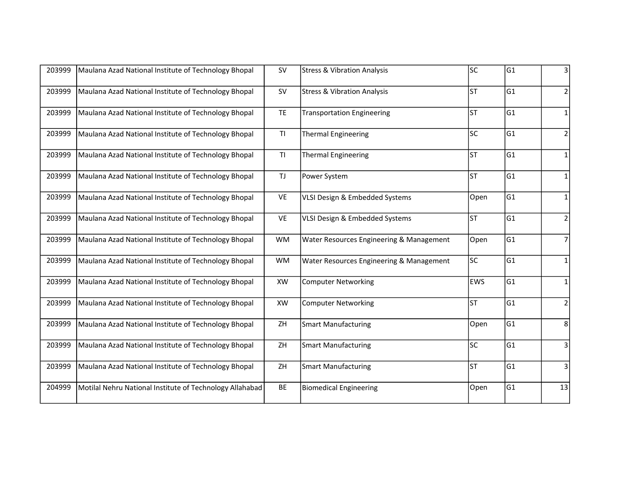| Maulana Azad National Institute of Technology Bhopal | <b>SV</b> | <b>Stress &amp; Vibration Analysis</b>                   | lsc        | lG1 | 3              |
|------------------------------------------------------|-----------|----------------------------------------------------------|------------|-----|----------------|
| Maulana Azad National Institute of Technology Bhopal | <b>SV</b> | <b>Stress &amp; Vibration Analysis</b>                   | lst        | G1  | 2              |
| Maulana Azad National Institute of Technology Bhopal | <b>TE</b> | <b>Transportation Engineering</b>                        | lst        | lG1 | 1              |
| Maulana Azad National Institute of Technology Bhopal | TI        | <b>Thermal Engineering</b>                               | lsc        | G1  | $\mathbf 2$    |
| Maulana Azad National Institute of Technology Bhopal | TI        | <b>Thermal Engineering</b>                               | lsт        | lG1 | $\mathbf 1$    |
| Maulana Azad National Institute of Technology Bhopal | <b>TJ</b> | Power System                                             | lst        | G1  | $\mathbf{1}$   |
| Maulana Azad National Institute of Technology Bhopal | VE        | VLSI Design & Embedded Systems                           | Open       | lG1 | 1              |
| Maulana Azad National Institute of Technology Bhopal | VE        | VLSI Design & Embedded Systems                           | lsт        | G1  | 2              |
| Maulana Azad National Institute of Technology Bhopal | <b>WM</b> | Water Resources Engineering & Management                 | Open       | G1  | $\overline{7}$ |
| Maulana Azad National Institute of Technology Bhopal | <b>WM</b> | Water Resources Engineering & Management                 | lsc        | G1  | 1              |
| Maulana Azad National Institute of Technology Bhopal | XW        | <b>Computer Networking</b>                               | <b>EWS</b> | G1  | $\mathbf{1}$   |
| Maulana Azad National Institute of Technology Bhopal | XW        | <b>Computer Networking</b>                               | lsт        | G1  | $\overline{2}$ |
| Maulana Azad National Institute of Technology Bhopal | ZH        | <b>Smart Manufacturing</b>                               | Open       | lG1 | 8              |
| Maulana Azad National Institute of Technology Bhopal | ZH        | <b>Smart Manufacturing</b>                               | lsc        | lG1 | $\overline{3}$ |
| Maulana Azad National Institute of Technology Bhopal | ZH        | <b>Smart Manufacturing</b>                               | lsт        | G1  | 3              |
|                                                      | BE        | <b>Biomedical Engineering</b>                            | Open       | G1  | 13             |
|                                                      |           | Motilal Nehru National Institute of Technology Allahabad |            |     |                |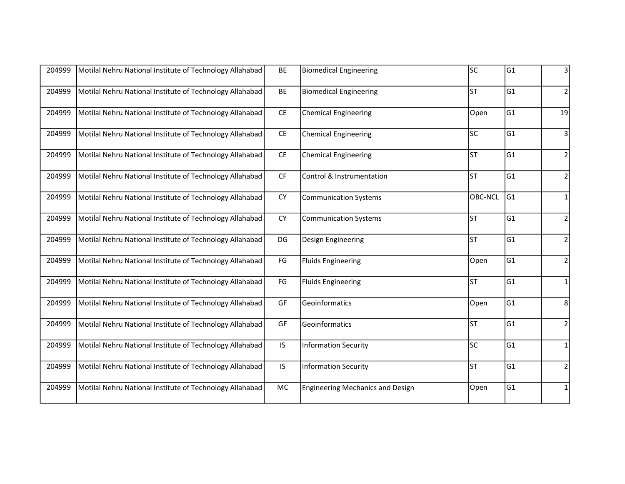| 204999 | Motilal Nehru National Institute of Technology Allahabad | <b>BE</b>                     | <b>Biomedical Engineering</b>           | lsc            | G1  | 3              |
|--------|----------------------------------------------------------|-------------------------------|-----------------------------------------|----------------|-----|----------------|
| 204999 | Motilal Nehru National Institute of Technology Allahabad | BE                            | <b>Biomedical Engineering</b>           | lsт            | G1  | $\overline{2}$ |
| 204999 | Motilal Nehru National Institute of Technology Allahabad | CE                            | <b>Chemical Engineering</b>             | Open           | lG1 | 19             |
| 204999 | Motilal Nehru National Institute of Technology Allahabad | CE                            | <b>Chemical Engineering</b>             | lsc            | lG1 | 3              |
| 204999 | Motilal Nehru National Institute of Technology Allahabad | $\mathsf{CE}% _{\mathcal{A}}$ | <b>Chemical Engineering</b>             | lsт            | G1  | $\overline{2}$ |
| 204999 | Motilal Nehru National Institute of Technology Allahabad | CF                            | Control & Instrumentation               | lsт            | G1  | $\overline{2}$ |
| 204999 | Motilal Nehru National Institute of Technology Allahabad | <b>CY</b>                     | <b>Communication Systems</b>            | <b>OBC-NCL</b> | G1  | 1              |
| 204999 | Motilal Nehru National Institute of Technology Allahabad | <b>CY</b>                     | <b>Communication Systems</b>            | lsт            | G1  | $\overline{2}$ |
| 204999 | Motilal Nehru National Institute of Technology Allahabad | DG                            | Design Engineering                      | lsт            | G1  | $\overline{2}$ |
| 204999 | Motilal Nehru National Institute of Technology Allahabad | $\mathsf{FG}$                 | <b>Fluids Engineering</b>               | Open           | G1  | $\mathbf 2$    |
| 204999 | Motilal Nehru National Institute of Technology Allahabad | $\mathsf{FG}$                 | <b>Fluids Engineering</b>               | lsт            | G1  | $\mathbf{1}$   |
| 204999 | Motilal Nehru National Institute of Technology Allahabad | GF                            | Geoinformatics                          | Open           | G1  | 8              |
| 204999 | Motilal Nehru National Institute of Technology Allahabad | GF                            | Geoinformatics                          | lst            | lG1 | $\overline{2}$ |
| 204999 | Motilal Nehru National Institute of Technology Allahabad | IS.                           | <b>Information Security</b>             | lsc            | lG1 | $\mathbf 1$    |
| 204999 | Motilal Nehru National Institute of Technology Allahabad | IS.                           | <b>Information Security</b>             | lsт            | G1  | $\overline{2}$ |
| 204999 | Motilal Nehru National Institute of Technology Allahabad | <b>MC</b>                     | <b>Engineering Mechanics and Design</b> | Open           | G1  | $\mathbf{1}$   |
|        |                                                          |                               |                                         |                |     |                |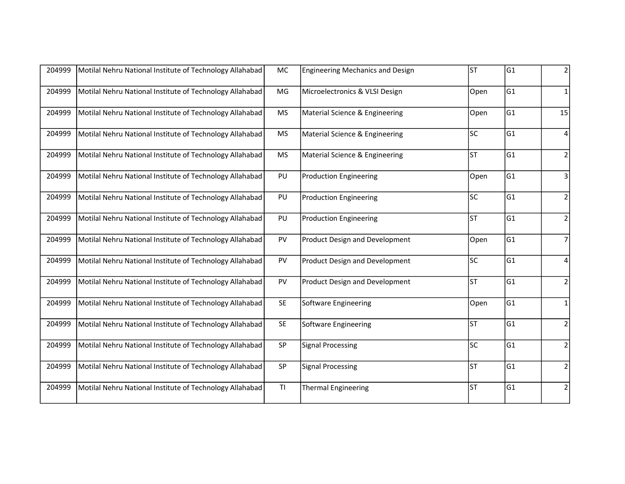| 204999 | Motilal Nehru National Institute of Technology Allahabad | <b>MC</b> | <b>Engineering Mechanics and Design</b> | lsт  | G1  | 2              |
|--------|----------------------------------------------------------|-----------|-----------------------------------------|------|-----|----------------|
| 204999 | Motilal Nehru National Institute of Technology Allahabad | MG        | Microelectronics & VLSI Design          | Open | G1  | $\mathbf{1}$   |
| 204999 | Motilal Nehru National Institute of Technology Allahabad | <b>MS</b> | Material Science & Engineering          | Open | G1  | 15             |
| 204999 | Motilal Nehru National Institute of Technology Allahabad | <b>MS</b> | Material Science & Engineering          | lsc  | G1  | $\overline{4}$ |
| 204999 | Motilal Nehru National Institute of Technology Allahabad | <b>MS</b> | Material Science & Engineering          | lst  | G1  | $\mathbf 2$    |
| 204999 | Motilal Nehru National Institute of Technology Allahabad | PU        | <b>Production Engineering</b>           | Open | G1  | 3              |
| 204999 | Motilal Nehru National Institute of Technology Allahabad | PU        | <b>Production Engineering</b>           | lsc  | lG1 | $\mathbf 2$    |
| 204999 | Motilal Nehru National Institute of Technology Allahabad | PU        | <b>Production Engineering</b>           | lsт  | G1  | $\mathbf 2$    |
| 204999 | Motilal Nehru National Institute of Technology Allahabad | PV        | <b>Product Design and Development</b>   | Open | G1  | $\overline{7}$ |
| 204999 | Motilal Nehru National Institute of Technology Allahabad | PV        | Product Design and Development          | lsc  | G1  | 4              |
| 204999 | Motilal Nehru National Institute of Technology Allahabad | PV        | <b>Product Design and Development</b>   | lsт  | G1  | $\mathbf 2$    |
| 204999 | Motilal Nehru National Institute of Technology Allahabad | <b>SE</b> | Software Engineering                    | Open | G1  | $\mathbf{1}$   |
| 204999 | Motilal Nehru National Institute of Technology Allahabad | <b>SE</b> | Software Engineering                    | lst  | G1  | $\mathbf 2$    |
| 204999 | Motilal Nehru National Institute of Technology Allahabad | SP        | <b>Signal Processing</b>                | lsc  | G1  | $\mathbf 2$    |
| 204999 | Motilal Nehru National Institute of Technology Allahabad | SP        | <b>Signal Processing</b>                | lsт  | G1  | $\overline{2}$ |
| 204999 | Motilal Nehru National Institute of Technology Allahabad | T1        | <b>Thermal Engineering</b>              | lst  | G1  | $\overline{2}$ |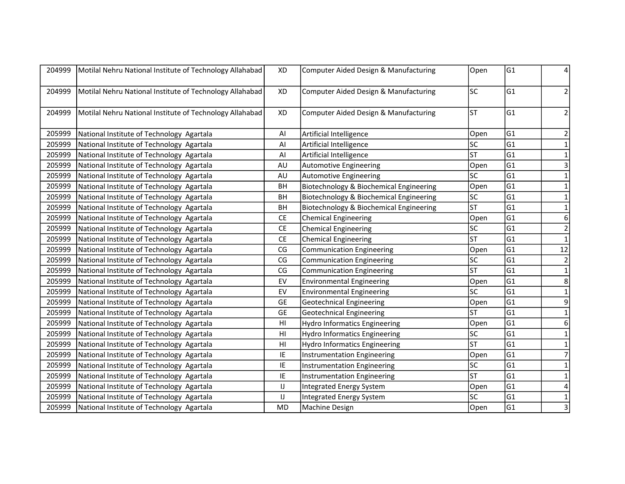| 204999 | Motilal Nehru National Institute of Technology Allahabad | XD                           | Computer Aided Design & Manufacturing   | Open                   | G1              | 4              |
|--------|----------------------------------------------------------|------------------------------|-----------------------------------------|------------------------|-----------------|----------------|
| 204999 | Motilal Nehru National Institute of Technology Allahabad | XD                           | Computer Aided Design & Manufacturing   | lsc                    | G1              | $\overline{2}$ |
| 204999 | Motilal Nehru National Institute of Technology Allahabad | XD                           | Computer Aided Design & Manufacturing   | <b>ST</b>              | G1              | $\overline{2}$ |
| 205999 | National Institute of Technology Agartala                | Al                           | Artificial Intelligence                 | Open                   | G1              | 2              |
| 205999 | National Institute of Technology Agartala                | $\mathsf{Al}\hspace{0.04cm}$ | Artificial Intelligence                 | lsc                    | G <sub>1</sub>  | 1              |
| 205999 | National Institute of Technology Agartala                | Al                           | Artificial Intelligence                 | lsт                    | G1              | $\mathbf 1$    |
| 205999 | National Institute of Technology Agartala                | AU                           | Automotive Engineering                  | Open                   | lG1             | 3              |
| 205999 | National Institute of Technology Agartala                | AU                           | <b>Automotive Engineering</b>           | lsc                    | G <sub>1</sub>  | $\mathbf{1}$   |
| 205999 | National Institute of Technology Agartala                | <b>BH</b>                    | Biotechnology & Biochemical Engineering | Open                   | G1              | $\mathbf{1}$   |
| 205999 | National Institute of Technology Agartala                | BH                           | Biotechnology & Biochemical Engineering | lsc                    | G <sub>1</sub>  | $\mathbf{1}$   |
| 205999 | National Institute of Technology Agartala                | BH                           | Biotechnology & Biochemical Engineering | lst                    | G1              | 1              |
| 205999 | National Institute of Technology Agartala                | CE                           | <b>Chemical Engineering</b>             | Open                   | G1              | 6              |
| 205999 | National Institute of Technology Agartala                | CE                           | <b>Chemical Engineering</b>             | lsc                    | G1              | $\mathbf 2$    |
| 205999 | National Institute of Technology Agartala                | <b>CE</b>                    | <b>Chemical Engineering</b>             | lsт                    | G <sub>1</sub>  | $\mathbf{1}$   |
| 205999 | National Institute of Technology Agartala                | CG                           | <b>Communication Engineering</b>        | Open                   | G1              | 12             |
| 205999 | National Institute of Technology Agartala                | CG                           | Communication Engineering               | lsc                    | G <sub>1</sub>  | $\overline{2}$ |
| 205999 | National Institute of Technology Agartala                | CG                           | Communication Engineering               | <b>ST</b>              | G1              | $\mathbf 1$    |
| 205999 | National Institute of Technology Agartala                | EV                           | <b>Environmental Engineering</b>        | Open                   | G1              | 8              |
| 205999 | National Institute of Technology Agartala                | EV                           | <b>Environmental Engineering</b>        | lsc                    | G1              | $\mathbf 1$    |
| 205999 | National Institute of Technology Agartala                | <b>GE</b>                    | <b>Geotechnical Engineering</b>         | Open                   | G1              | 9              |
| 205999 | National Institute of Technology Agartala                | <b>GE</b>                    | <b>Geotechnical Engineering</b>         | lsт                    | G1              | $\mathbf 1$    |
| 205999 | National Institute of Technology Agartala                | H <sub>l</sub>               | <b>Hydro Informatics Engineering</b>    | Open                   | lG1             | 6              |
| 205999 | National Institute of Technology Agartala                | H <sub>l</sub>               | <b>Hydro Informatics Engineering</b>    | lsc                    | G <sub>1</sub>  | $\mathbf{1}$   |
| 205999 | National Institute of Technology Agartala                | H <sub>l</sub>               | <b>Hydro Informatics Engineering</b>    | lst                    | G1              | $\mathbf{1}$   |
| 205999 | National Institute of Technology Agartala                | IE.                          | Instrumentation Engineering             | Open                   | lG1             | $\overline{7}$ |
| 205999 | National Institute of Technology Agartala                | IE.                          | Instrumentation Engineering             | <b>SC</b>              | G1              | $\mathbf{1}$   |
| 205999 | National Institute of Technology Agartala                | IE                           | Instrumentation Engineering             | $\overline{\text{ST}}$ | $\overline{G1}$ | $\mathbf{1}$   |
| 205999 | National Institute of Technology Agartala                | IJ                           | Integrated Energy System                | Open                   | G1              | 4              |
| 205999 | National Institute of Technology Agartala                | IJ                           | <b>Integrated Energy System</b>         | SC                     | G1              | $\mathbf 1$    |
| 205999 | National Institute of Technology Agartala                | <b>MD</b>                    | Machine Design                          | Open                   | G1              | 3              |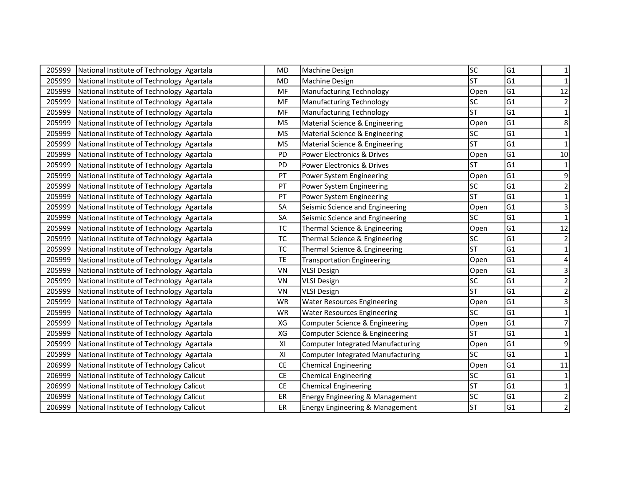| 205999 | National Institute of Technology Agartala | MD        | Machine Design                             | lsc                    | G1             | 1                       |
|--------|-------------------------------------------|-----------|--------------------------------------------|------------------------|----------------|-------------------------|
| 205999 | National Institute of Technology Agartala | <b>MD</b> | Machine Design                             | <b>ST</b>              | G1             | $\mathbf{1}$            |
| 205999 | National Institute of Technology Agartala | MF        | <b>Manufacturing Technology</b>            | Open                   | lG1            | 12                      |
| 205999 | National Institute of Technology Agartala | MF        | <b>Manufacturing Technology</b>            | SC                     | G <sub>1</sub> | $\mathbf 2$             |
| 205999 | National Institute of Technology Agartala | MF        | <b>Manufacturing Technology</b>            | <b>ST</b>              | G1             | $\mathbf{1}$            |
| 205999 | National Institute of Technology Agartala | <b>MS</b> | Material Science & Engineering             | Open                   | G1             | 8                       |
| 205999 | National Institute of Technology Agartala | <b>MS</b> | Material Science & Engineering             | lsc                    | lG1            | $\mathbf{1}$            |
| 205999 | National Institute of Technology Agartala | <b>MS</b> | Material Science & Engineering             | lsт                    | G1             | $\mathbf 1$             |
| 205999 | National Institute of Technology Agartala | PD        | Power Electronics & Drives                 | Open                   | G1             | $10$                    |
| 205999 | National Institute of Technology Agartala | PD        | Power Electronics & Drives                 | <b>ST</b>              | lG1            | $\mathbf 1$             |
| 205999 | National Institute of Technology Agartala | PT        | Power System Engineering                   | Open                   | lG1            | 9                       |
| 205999 | National Institute of Technology Agartala | PT        | Power System Engineering                   | lsc                    | G <sub>1</sub> | $\mathbf 2$             |
| 205999 | National Institute of Technology Agartala | PT        | Power System Engineering                   | <b>ST</b>              | lG1            | $\mathbf 1$             |
| 205999 | National Institute of Technology Agartala | SA        | Seismic Science and Engineering            | Open                   | lG1            | $\mathbf{3}$            |
| 205999 | National Institute of Technology Agartala | SA        | Seismic Science and Engineering            | lsc                    | lG1            | $\mathbf 1$             |
| 205999 | National Institute of Technology Agartala | <b>TC</b> | Thermal Science & Engineering              | Open                   | G1             | 12                      |
| 205999 | National Institute of Technology Agartala | TC        | Thermal Science & Engineering              | SC                     | G1             | $\mathbf 2$             |
| 205999 | National Institute of Technology Agartala | <b>TC</b> | Thermal Science & Engineering              | <b>ST</b>              | G1             | $\mathbf{1}$            |
| 205999 | National Institute of Technology Agartala | TE        | <b>Transportation Engineering</b>          | Open                   | G1             |                         |
| 205999 | National Institute of Technology Agartala | VN        | <b>VLSI Design</b>                         | Open                   | G1             | 3                       |
| 205999 | National Institute of Technology Agartala | VN        | <b>VLSI Design</b>                         | SC                     | G1             | $\overline{c}$          |
| 205999 | National Institute of Technology Agartala | VN        | <b>VLSI Design</b>                         | <b>ST</b>              | G1             | $\overline{\mathbf{c}}$ |
| 205999 | National Institute of Technology Agartala | <b>WR</b> | <b>Water Resources Engineering</b>         | Open                   | G1             | $\overline{\mathbf{3}}$ |
| 205999 | National Institute of Technology Agartala | <b>WR</b> | <b>Water Resources Engineering</b>         | <b>SC</b>              | G1             | $\mathbf{1}$            |
| 205999 | National Institute of Technology Agartala | XG        | Computer Science & Engineering             | Open                   | G1             | $\overline{7}$          |
| 205999 | National Institute of Technology Agartala | XG        | Computer Science & Engineering             | lsт                    | G1             | $\mathbf{1}$            |
| 205999 | National Institute of Technology Agartala | XI        | Computer Integrated Manufacturing          | Open                   | G1             | 9                       |
| 205999 | National Institute of Technology Agartala | XI        | <b>Computer Integrated Manufacturing</b>   | lsc                    | lG1            | $\mathbf{1}$            |
| 206999 | National Institute of Technology Calicut  | CE        | <b>Chemical Engineering</b>                | Open                   | G1             | $11\,$                  |
| 206999 | National Institute of Technology Calicut  | <b>CE</b> | <b>Chemical Engineering</b>                | $\overline{\text{sc}}$ | G1             | $\mathbf 1$             |
| 206999 | National Institute of Technology Calicut  | <b>CE</b> | <b>Chemical Engineering</b>                | lst                    | G1             | $\mathbf{1}$            |
| 206999 | National Institute of Technology Calicut  | ER        | <b>Energy Engineering &amp; Management</b> | lsc                    | G1             | $\mathbf 2$             |
| 206999 | National Institute of Technology Calicut  | ER        | <b>Energy Engineering &amp; Management</b> | <b>ST</b>              | G1             | $\overline{2}$          |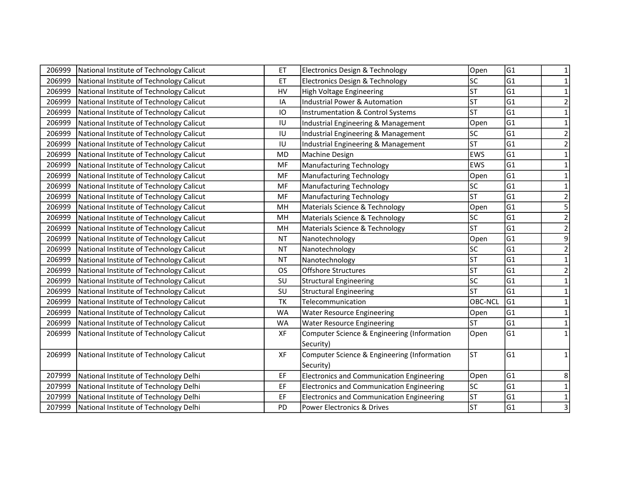| 206999 | National Institute of Technology Calicut | ET        | Electronics Design & Technology                  | Open           | G1             | 1                       |
|--------|------------------------------------------|-----------|--------------------------------------------------|----------------|----------------|-------------------------|
| 206999 | National Institute of Technology Calicut | ET        | Electronics Design & Technology                  | SC             | G1             | 1                       |
| 206999 | National Institute of Technology Calicut | <b>HV</b> | <b>High Voltage Engineering</b>                  | lst            | lG1            | 1                       |
| 206999 | National Institute of Technology Calicut | IA        | <b>Industrial Power &amp; Automation</b>         | <b>ST</b>      | G <sub>1</sub> | $\overline{2}$          |
| 206999 | National Institute of Technology Calicut | IO        | Instrumentation & Control Systems                | <b>ST</b>      | G1             | 1                       |
| 206999 | National Institute of Technology Calicut | IU        | Industrial Engineering & Management              | Open           | G1             | $\mathbf{1}$            |
| 206999 | National Institute of Technology Calicut | IU        | Industrial Engineering & Management              | lsc            | lG1            | $\overline{2}$          |
| 206999 | National Institute of Technology Calicut | IU        | Industrial Engineering & Management              | <b>ST</b>      | G1             | $\overline{\mathbf{c}}$ |
| 206999 | National Institute of Technology Calicut | <b>MD</b> | Machine Design                                   | <b>EWS</b>     | G1             | $\mathbf{1}$            |
| 206999 | National Institute of Technology Calicut | MF        | <b>Manufacturing Technology</b>                  | <b>EWS</b>     | lG1            | $\mathbf{1}$            |
| 206999 | National Institute of Technology Calicut | MF        | <b>Manufacturing Technology</b>                  | Open           | G1             | $\mathbf{1}$            |
| 206999 | National Institute of Technology Calicut | MF        | <b>Manufacturing Technology</b>                  | SC             | G <sub>1</sub> | $\mathbf{1}$            |
| 206999 | National Institute of Technology Calicut | MF        | <b>Manufacturing Technology</b>                  | <b>ST</b>      | lG1            | $\overline{2}$          |
| 206999 | National Institute of Technology Calicut | MH        | Materials Science & Technology                   | Open           | lG1            | 5                       |
| 206999 | National Institute of Technology Calicut | MH        | Materials Science & Technology                   | SC             | lG1            | $\overline{2}$          |
| 206999 | National Institute of Technology Calicut | MH        | Materials Science & Technology                   | <b>ST</b>      | G1             | $\mathbf 2$             |
| 206999 | National Institute of Technology Calicut | <b>NT</b> | Nanotechnology                                   | Open           | G1             | 9                       |
| 206999 | National Institute of Technology Calicut | <b>NT</b> | Nanotechnology                                   | lsc            | G1             | $\overline{2}$          |
| 206999 | National Institute of Technology Calicut | <b>NT</b> | Nanotechnology                                   | <b>ST</b>      | G <sub>1</sub> | $\mathbf 1$             |
| 206999 | National Institute of Technology Calicut | <b>OS</b> | <b>Offshore Structures</b>                       | lst            | G1             | $\overline{2}$          |
| 206999 | National Institute of Technology Calicut | SU        | <b>Structural Engineering</b>                    | SC             | G1             | $\mathbf{1}$            |
| 206999 | National Institute of Technology Calicut | SU        | <b>Structural Engineering</b>                    | lst            | G1             | $\mathbf{1}$            |
| 206999 | National Institute of Technology Calicut | <b>TK</b> | Telecommunication                                | <b>OBC-NCL</b> | G1             | $\mathbf{1}$            |
| 206999 | National Institute of Technology Calicut | <b>WA</b> | <b>Water Resource Engineering</b>                | Open           | G1             | $\mathbf{1}$            |
| 206999 | National Institute of Technology Calicut | <b>WA</b> | <b>Water Resource Engineering</b>                | <b>ST</b>      | G1             | $\mathbf{1}$            |
| 206999 | National Institute of Technology Calicut | XF        | Computer Science & Engineering (Information      | Open           | G1             | $\mathbf{1}$            |
|        |                                          |           | Security)                                        |                |                |                         |
| 206999 | National Institute of Technology Calicut | XF        | Computer Science & Engineering (Information      | lsт            | G1             | $\mathbf{1}$            |
|        |                                          |           | Security)                                        |                |                |                         |
| 207999 | National Institute of Technology Delhi   | EF        | Electronics and Communication Engineering        | Open           | G1             | 8                       |
| 207999 | National Institute of Technology Delhi   | EF        | <b>Electronics and Communication Engineering</b> | lsc            | G1             | 1                       |
| 207999 | National Institute of Technology Delhi   | EF        | <b>Electronics and Communication Engineering</b> | <b>ST</b>      | G <sub>1</sub> | $\mathbf 1$             |
| 207999 | National Institute of Technology Delhi   | PD        | Power Electronics & Drives                       | <b>ST</b>      | G1             | 3                       |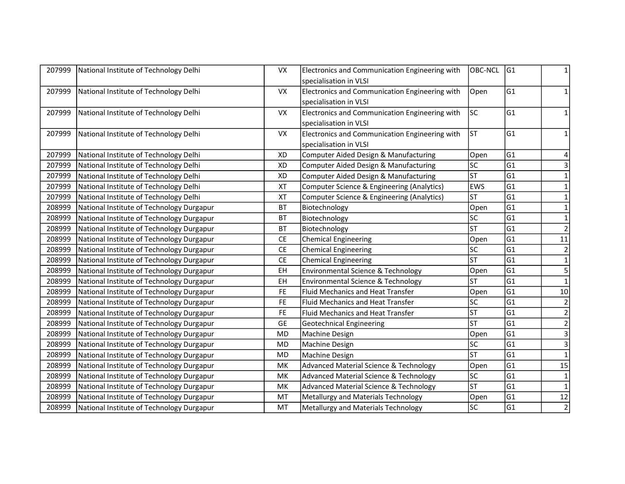| 207999 | National Institute of Technology Delhi    | VX        | Electronics and Communication Engineering with    | <b>OBC-NCL</b> | G1              | 1                       |
|--------|-------------------------------------------|-----------|---------------------------------------------------|----------------|-----------------|-------------------------|
|        |                                           |           | specialisation in VLSI                            |                |                 |                         |
| 207999 | National Institute of Technology Delhi    | <b>VX</b> | Electronics and Communication Engineering with    | Open           | lG1             | 1                       |
|        |                                           |           | specialisation in VLSI                            |                |                 |                         |
| 207999 | National Institute of Technology Delhi    | <b>VX</b> | Electronics and Communication Engineering with    | lsc            | G1              | 1                       |
|        |                                           |           | specialisation in VLSI                            |                |                 |                         |
| 207999 | National Institute of Technology Delhi    | <b>VX</b> | Electronics and Communication Engineering with    | ST             | G1              | 1                       |
|        |                                           |           | specialisation in VLSI                            |                |                 |                         |
| 207999 | National Institute of Technology Delhi    | XD        | Computer Aided Design & Manufacturing             | Open           | G1              | 4                       |
| 207999 | National Institute of Technology Delhi    | <b>XD</b> | Computer Aided Design & Manufacturing             | lsc            | lG1             | 3                       |
| 207999 | National Institute of Technology Delhi    | <b>XD</b> | Computer Aided Design & Manufacturing             | <b>ST</b>      | G1              | $\mathbf 1$             |
| 207999 | National Institute of Technology Delhi    | XT        | Computer Science & Engineering (Analytics)        | <b>EWS</b>     | G1              | 1                       |
| 207999 | National Institute of Technology Delhi    | <b>XT</b> | Computer Science & Engineering (Analytics)        | <b>ST</b>      | G1              | 1                       |
| 208999 | National Institute of Technology Durgapur | <b>BT</b> | Biotechnology                                     | Open           | lG1             | 1                       |
| 208999 | National Institute of Technology Durgapur | <b>BT</b> | Biotechnology                                     | SC             | G1              | $\mathbf{1}$            |
| 208999 | National Institute of Technology Durgapur | <b>BT</b> | Biotechnology                                     | <b>ST</b>      | G1              | $\overline{2}$          |
| 208999 | National Institute of Technology Durgapur | <b>CE</b> | <b>Chemical Engineering</b>                       | Open           | G1              | $11\,$                  |
| 208999 | National Institute of Technology Durgapur | CE        | <b>Chemical Engineering</b>                       | lsc            | G1              | $\overline{2}$          |
| 208999 | National Institute of Technology Durgapur | CE        | <b>Chemical Engineering</b>                       | <b>ST</b>      | G <sub>1</sub>  | $\mathbf{1}$            |
| 208999 | National Institute of Technology Durgapur | EH        | Environmental Science & Technology                | Open           | G1              | 5                       |
| 208999 | National Institute of Technology Durgapur | EH        | Environmental Science & Technology                | <b>ST</b>      | lG1             | $\mathbf{1}$            |
| 208999 | National Institute of Technology Durgapur | <b>FE</b> | Fluid Mechanics and Heat Transfer                 | Open           | G1              | $10\,$                  |
| 208999 | National Institute of Technology Durgapur | <b>FE</b> | <b>Fluid Mechanics and Heat Transfer</b>          | SC             | G1              | $\mathbf 2$             |
| 208999 | National Institute of Technology Durgapur | <b>FE</b> | <b>Fluid Mechanics and Heat Transfer</b>          | lsт            | lG1             | $\overline{2}$          |
| 208999 | National Institute of Technology Durgapur | <b>GE</b> | <b>Geotechnical Engineering</b>                   | lst            | lG1             | $\overline{2}$          |
| 208999 | National Institute of Technology Durgapur | <b>MD</b> | Machine Design                                    | Open           | G1              | $\overline{\mathbf{3}}$ |
| 208999 | National Institute of Technology Durgapur | <b>MD</b> | Machine Design                                    | lsc            | G1              | $\mathsf 3$             |
| 208999 | National Institute of Technology Durgapur | <b>MD</b> | Machine Design                                    | <b>ST</b>      | lG1             | $\mathbf 1$             |
| 208999 | National Institute of Technology Durgapur | МK        | Advanced Material Science & Technology            | Open           | G1              | 15                      |
| 208999 | National Institute of Technology Durgapur | MK        | <b>Advanced Material Science &amp; Technology</b> | SC             | $\overline{G1}$ | $\mathbf 1$             |
| 208999 | National Institute of Technology Durgapur | МK        | <b>Advanced Material Science &amp; Technology</b> | <b>ST</b>      | G1              | $\mathbf{1}$            |
| 208999 | National Institute of Technology Durgapur | MT        | Metallurgy and Materials Technology               | Open           | G1              | 12                      |
| 208999 | National Institute of Technology Durgapur | MT        | Metallurgy and Materials Technology               | lsc            | G1              | $\mathbf 2$             |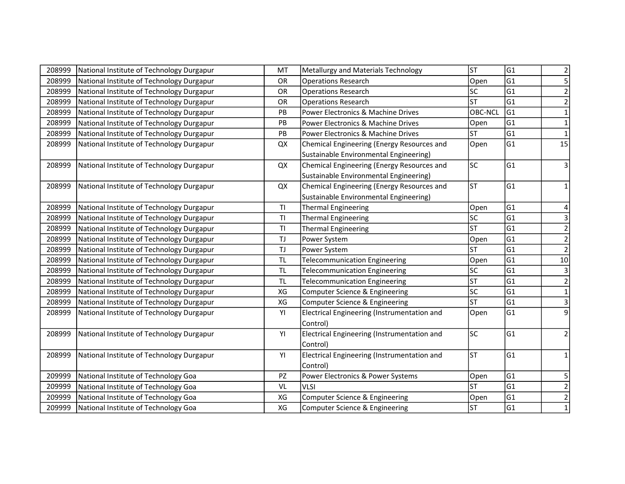| 208999 | National Institute of Technology Durgapur | MT            | Metallurgy and Materials Technology         | <b>ST</b>              | G1  | $\overline{2}$ |
|--------|-------------------------------------------|---------------|---------------------------------------------|------------------------|-----|----------------|
| 208999 | National Institute of Technology Durgapur | OR            | <b>Operations Research</b>                  | Open                   | lG1 | 5              |
| 208999 | National Institute of Technology Durgapur | OR            | <b>Operations Research</b>                  | SC                     | G1  | $\mathbf 2$    |
| 208999 | National Institute of Technology Durgapur | OR            | <b>Operations Research</b>                  | ST                     | G1  | $\overline{2}$ |
| 208999 | National Institute of Technology Durgapur | PB            | Power Electronics & Machine Drives          | <b>OBC-NCL</b>         | G1  | $\mathbf{1}$   |
| 208999 | National Institute of Technology Durgapur | PB            | Power Electronics & Machine Drives          | Open                   | G1  | $\mathbf 1$    |
| 208999 | National Institute of Technology Durgapur | PB            | Power Electronics & Machine Drives          | <b>ST</b>              | G1  | $\mathbf{1}$   |
| 208999 | National Institute of Technology Durgapur | QX            | Chemical Engineering (Energy Resources and  | Open                   | G1  | 15             |
|        |                                           |               | Sustainable Environmental Engineering)      |                        |     |                |
| 208999 | National Institute of Technology Durgapur | QX            | Chemical Engineering (Energy Resources and  | <b>SC</b>              | G1  | 3              |
|        |                                           |               | Sustainable Environmental Engineering)      |                        |     |                |
| 208999 | National Institute of Technology Durgapur | QX            | Chemical Engineering (Energy Resources and  | <b>ST</b>              | G1  | $\mathbf{1}$   |
|        |                                           |               | Sustainable Environmental Engineering)      |                        |     |                |
| 208999 | National Institute of Technology Durgapur | T1            | <b>Thermal Engineering</b>                  | Open                   | G1  | 4              |
| 208999 | National Institute of Technology Durgapur | T1            | <b>Thermal Engineering</b>                  | lsc                    | lG1 | 3              |
| 208999 | National Institute of Technology Durgapur | TI            | <b>Thermal Engineering</b>                  | <b>ST</b>              | lG1 | $\mathbf 2$    |
| 208999 | National Institute of Technology Durgapur | TJ            | Power System                                | Open                   | G1  | $\overline{2}$ |
| 208999 | National Institute of Technology Durgapur | TJ            | Power System                                | <b>ST</b>              | lG1 | $\overline{2}$ |
| 208999 | National Institute of Technology Durgapur | <b>TL</b>     | <b>Telecommunication Engineering</b>        | Open                   | lG1 | 10             |
| 208999 | National Institute of Technology Durgapur | <b>TL</b>     | <b>Telecommunication Engineering</b>        | <b>SC</b>              | G1  | $\mathsf 3$    |
| 208999 | National Institute of Technology Durgapur | $\mathsf{TL}$ | <b>Telecommunication Engineering</b>        | ST                     | G1  | $\mathbf 2$    |
| 208999 | National Institute of Technology Durgapur | XG            | Computer Science & Engineering              | <b>SC</b>              | lG1 | $\mathbf{1}$   |
| 208999 | National Institute of Technology Durgapur | XG            | Computer Science & Engineering              | $\overline{\text{ST}}$ | G1  | $\mathsf{3}$   |
| 208999 | National Institute of Technology Durgapur | YI            | Electrical Engineering (Instrumentation and | Open                   | G1  | 9              |
|        |                                           |               | Control)                                    |                        |     |                |
| 208999 | National Institute of Technology Durgapur | YI            | Electrical Engineering (Instrumentation and | <b>SC</b>              | G1  | $\mathbf 2$    |
|        |                                           |               | Control)                                    |                        |     |                |
| 208999 | National Institute of Technology Durgapur | YI            | Electrical Engineering (Instrumentation and | <b>ST</b>              | lG1 | 1              |
|        |                                           |               | Control)                                    |                        |     |                |
| 209999 | National Institute of Technology Goa      | PZ            | Power Electronics & Power Systems           | Open                   | G1  | 5              |
| 209999 | National Institute of Technology Goa      | VL            | VLSI                                        | <b>ST</b>              | G1  | $\overline{2}$ |
| 209999 | National Institute of Technology Goa      | XG            | Computer Science & Engineering              | Open                   | G1  | $\overline{2}$ |
| 209999 | National Institute of Technology Goa      | XG            | Computer Science & Engineering              | <b>ST</b>              | G1  | $\overline{1}$ |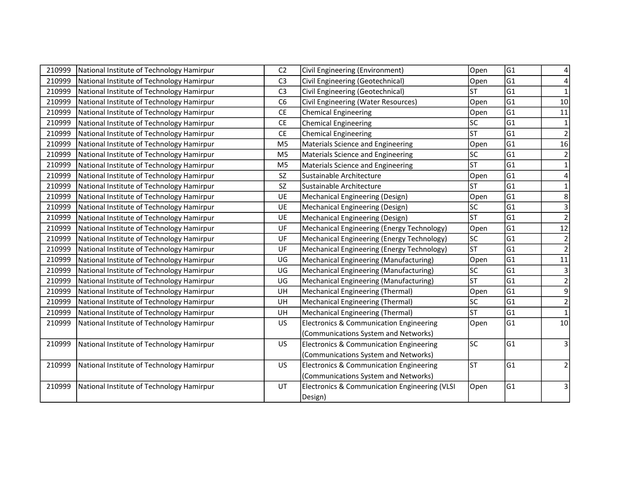| 210999 | National Institute of Technology Hamirpur | C <sub>2</sub> | Civil Engineering (Environment)                    | Open      | G1  |                 |
|--------|-------------------------------------------|----------------|----------------------------------------------------|-----------|-----|-----------------|
| 210999 | National Institute of Technology Hamirpur | C <sub>3</sub> | Civil Engineering (Geotechnical)                   | Open      | G1  |                 |
| 210999 | National Institute of Technology Hamirpur | C <sub>3</sub> | Civil Engineering (Geotechnical)                   | lsт       | lG1 | $\mathbf{1}$    |
| 210999 | National Institute of Technology Hamirpur | C <sub>6</sub> | Civil Engineering (Water Resources)                | Open      | lG1 | 10              |
| 210999 | National Institute of Technology Hamirpur | <b>CE</b>      | <b>Chemical Engineering</b>                        | Open      | G1  | 11              |
| 210999 | National Institute of Technology Hamirpur | <b>CE</b>      | <b>Chemical Engineering</b>                        | <b>SC</b> | lG1 | $\mathbf 1$     |
| 210999 | National Institute of Technology Hamirpur | <b>CE</b>      | <b>Chemical Engineering</b>                        | <b>ST</b> | G1  | $\overline{2}$  |
| 210999 | National Institute of Technology Hamirpur | M <sub>5</sub> | Materials Science and Engineering                  | Open      | G1  | 16              |
| 210999 | National Institute of Technology Hamirpur | M <sub>5</sub> | Materials Science and Engineering                  | lsc       | G1  | $\overline{2}$  |
| 210999 | National Institute of Technology Hamirpur | M <sub>5</sub> | Materials Science and Engineering                  | <b>ST</b> | lG1 | $\mathbf{1}$    |
| 210999 | National Institute of Technology Hamirpur | SZ             | Sustainable Architecture                           | Open      | G1  | 4               |
| 210999 | National Institute of Technology Hamirpur | SZ             | Sustainable Architecture                           | <b>ST</b> | G1  | $\mathbf{1}$    |
| 210999 | National Institute of Technology Hamirpur | UE             | Mechanical Engineering (Design)                    | Open      | G1  | 8               |
| 210999 | National Institute of Technology Hamirpur | UE             | Mechanical Engineering (Design)                    | lsc       | G1  | 3               |
| 210999 | National Institute of Technology Hamirpur | UE             | Mechanical Engineering (Design)                    | lsт       | G1  | $\overline{2}$  |
| 210999 | National Institute of Technology Hamirpur | UF             | Mechanical Engineering (Energy Technology)         | Open      | G1  | 12              |
| 210999 | National Institute of Technology Hamirpur | UF             | Mechanical Engineering (Energy Technology)         | <b>SC</b> | G1  | $\overline{2}$  |
| 210999 | National Institute of Technology Hamirpur | UF             | Mechanical Engineering (Energy Technology)         | <b>ST</b> | G1  | $\overline{2}$  |
| 210999 | National Institute of Technology Hamirpur | UG             | Mechanical Engineering (Manufacturing)             | Open      | G1  | 11              |
| 210999 | National Institute of Technology Hamirpur | UG             | Mechanical Engineering (Manufacturing)             | lsc       | G1  | $\mathsf{3}$    |
| 210999 | National Institute of Technology Hamirpur | UG             | Mechanical Engineering (Manufacturing)             | lsт       | lG1 | $\overline{2}$  |
| 210999 | National Institute of Technology Hamirpur | UH             | Mechanical Engineering (Thermal)                   | Open      | G1  | 9               |
| 210999 | National Institute of Technology Hamirpur | UH             | Mechanical Engineering (Thermal)                   | lsc       | G1  | $\mathbf 2$     |
| 210999 | National Institute of Technology Hamirpur | UH             | Mechanical Engineering (Thermal)                   | <b>ST</b> | G1  | $\mathbf{1}$    |
| 210999 | National Institute of Technology Hamirpur | US             | <b>Electronics &amp; Communication Engineering</b> | Open      | G1  | 10 <sup>1</sup> |
|        |                                           |                | (Communications System and Networks)               |           |     |                 |
| 210999 | National Institute of Technology Hamirpur | <b>US</b>      | Electronics & Communication Engineering            | lsc       | G1  | 3               |
|        |                                           |                | (Communications System and Networks)               |           |     |                 |
| 210999 | National Institute of Technology Hamirpur | US             | Electronics & Communication Engineering            | lsт       | G1  | $\overline{2}$  |
|        |                                           |                | (Communications System and Networks)               |           |     |                 |
| 210999 | National Institute of Technology Hamirpur | UT             | Electronics & Communication Engineering (VLSI      | Open      | G1  | 3               |
|        |                                           |                | Design)                                            |           |     |                 |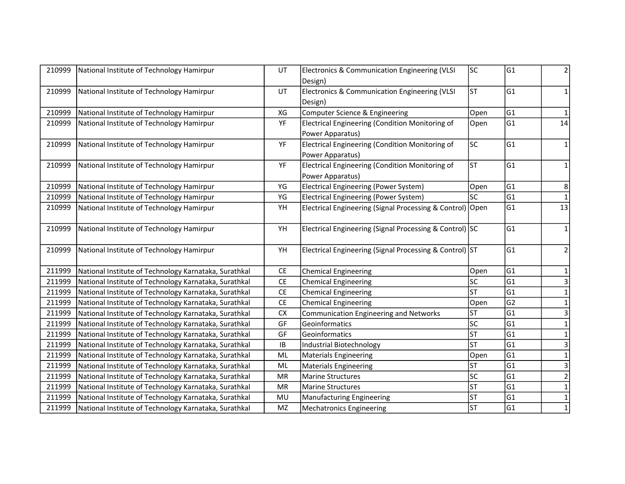| 210999 | National Institute of Technology Hamirpur             | UT        | Electronics & Communication Engineering (VLSI<br>Design)            | lsc                      | G1              | 2              |
|--------|-------------------------------------------------------|-----------|---------------------------------------------------------------------|--------------------------|-----------------|----------------|
| 210999 | National Institute of Technology Hamirpur             | UT        | Electronics & Communication Engineering (VLSI<br>Design)            | <b>ST</b>                | G1              | 1              |
| 210999 | National Institute of Technology Hamirpur             | XG        | Computer Science & Engineering                                      | Open                     | G1              |                |
| 210999 | National Institute of Technology Hamirpur             | YF        | Electrical Engineering (Condition Monitoring of<br>Power Apparatus) | Open                     | G1              | 14             |
| 210999 | National Institute of Technology Hamirpur             | YF        | Electrical Engineering (Condition Monitoring of<br>Power Apparatus) | <b>SC</b>                | G1              | 1              |
| 210999 | National Institute of Technology Hamirpur             | YF        | Electrical Engineering (Condition Monitoring of<br>Power Apparatus) | <b>ST</b>                | G1              | $\mathbf{1}$   |
| 210999 | National Institute of Technology Hamirpur             | YG        | <b>Electrical Engineering (Power System)</b>                        | Open                     | G1              | 8              |
| 210999 | National Institute of Technology Hamirpur             | YG        | Electrical Engineering (Power System)                               | lsc                      | G <sub>1</sub>  |                |
| 210999 | National Institute of Technology Hamirpur             | YH        | Electrical Engineering (Signal Processing & Control) Open           |                          | G1              | 13             |
| 210999 | National Institute of Technology Hamirpur             | YH        | Electrical Engineering (Signal Processing & Control) SC             |                          | G1              | 1              |
| 210999 | National Institute of Technology Hamirpur             | YH        | Electrical Engineering (Signal Processing & Control) ST             |                          | G1              | $\overline{2}$ |
| 211999 | National Institute of Technology Karnataka, Surathkal | <b>CE</b> | <b>Chemical Engineering</b>                                         | Open                     | G1              | 1              |
| 211999 | National Institute of Technology Karnataka, Surathkal | CE        | <b>Chemical Engineering</b>                                         | SC                       | G <sub>1</sub>  | 3              |
| 211999 | National Institute of Technology Karnataka, Surathkal | CE        | <b>Chemical Engineering</b>                                         | lst                      | G <sub>1</sub>  | $\mathbf{1}$   |
| 211999 | National Institute of Technology Karnataka, Surathkal | CE        | <b>Chemical Engineering</b>                                         | Open                     | G <sub>2</sub>  | $\mathbf{1}$   |
| 211999 | National Institute of Technology Karnataka, Surathkal | <b>CX</b> | Communication Engineering and Networks                              | <b>ST</b>                | G <sub>1</sub>  | 3              |
| 211999 | National Institute of Technology Karnataka, Surathkal | GF        | Geoinformatics                                                      | lsc                      | G <sub>1</sub>  | $\mathbf{1}$   |
| 211999 | National Institute of Technology Karnataka, Surathkal | GF        | Geoinformatics                                                      | ST                       | G <sub>1</sub>  |                |
| 211999 | National Institute of Technology Karnataka, Surathkal | IB        | Industrial Biotechnology                                            | $\overline{\mathsf{ST}}$ | G1              | 3              |
| 211999 | National Institute of Technology Karnataka, Surathkal | ML        | Materials Engineering                                               | Open                     | G1              | $\mathbf 1$    |
| 211999 | National Institute of Technology Karnataka, Surathkal | ML        | <b>Materials Engineering</b>                                        | lst                      | $\overline{G1}$ | $\overline{3}$ |
| 211999 | National Institute of Technology Karnataka, Surathkal | <b>MR</b> | <b>Marine Structures</b>                                            | lsc                      | G1              | $\overline{2}$ |
| 211999 | National Institute of Technology Karnataka, Surathkal | <b>MR</b> | <b>Marine Structures</b>                                            | $\overline{\text{ST}}$   | G1              | $\mathbf{1}$   |
| 211999 | National Institute of Technology Karnataka, Surathkal | MU        | <b>Manufacturing Engineering</b>                                    | ST                       | G1              | $\mathbf 1$    |
| 211999 | National Institute of Technology Karnataka, Surathkal | <b>MZ</b> | <b>Mechatronics Engineering</b>                                     | lsт                      | G1              | $\mathbf{1}$   |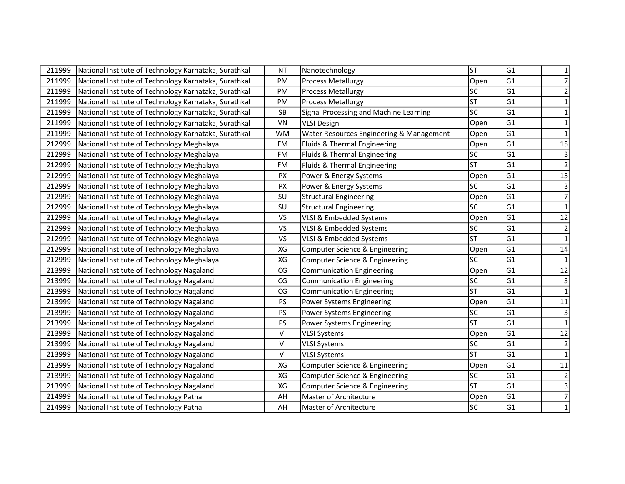| 211999 | National Institute of Technology Karnataka, Surathkal | <b>NT</b>     | Nanotechnology                           | <b>ST</b> | G <sub>1</sub> | 1               |
|--------|-------------------------------------------------------|---------------|------------------------------------------|-----------|----------------|-----------------|
| 211999 | National Institute of Technology Karnataka, Surathkal | PM            | <b>Process Metallurgy</b>                | Open      | lG1            | $\overline{7}$  |
| 211999 | National Institute of Technology Karnataka, Surathkal | PM            | <b>Process Metallurgy</b>                | SC        | lG1            | $\mathbf 2$     |
| 211999 | National Institute of Technology Karnataka, Surathkal | PM            | <b>Process Metallurgy</b>                | <b>ST</b> | lG1            | $\mathbf{1}$    |
| 211999 | National Institute of Technology Karnataka, Surathkal | SB            | Signal Processing and Machine Learning   | lsc       | G <sub>1</sub> | $\mathbf{1}$    |
| 211999 | National Institute of Technology Karnataka, Surathkal | VN            | <b>VLSI Design</b>                       | Open      | G1             | $\mathbf{1}$    |
| 211999 | National Institute of Technology Karnataka, Surathkal | <b>WM</b>     | Water Resources Engineering & Management | Open      | G1             | $\mathbf{1}$    |
| 212999 | National Institute of Technology Meghalaya            | <b>FM</b>     | Fluids & Thermal Engineering             | Open      | G1             | 15              |
| 212999 | National Institute of Technology Meghalaya            | <b>FM</b>     | Fluids & Thermal Engineering             | SC        | G1             | $\mathsf 3$     |
| 212999 | National Institute of Technology Meghalaya            | <b>FM</b>     | Fluids & Thermal Engineering             | <b>ST</b> | G1             | $\overline{2}$  |
| 212999 | National Institute of Technology Meghalaya            | <b>PX</b>     | Power & Energy Systems                   | Open      | G1             | 15              |
| 212999 | National Institute of Technology Meghalaya            | PX            | Power & Energy Systems                   | SC        | G1             | 3               |
| 212999 | National Institute of Technology Meghalaya            | SU            | <b>Structural Engineering</b>            | Open      | G1             | $\overline{7}$  |
| 212999 | National Institute of Technology Meghalaya            | SU            | Structural Engineering                   | SC        | lG1            | $\mathbf{1}$    |
| 212999 | National Institute of Technology Meghalaya            | <b>VS</b>     | VLSI & Embedded Systems                  | Open      | lG1            | 12              |
| 212999 | National Institute of Technology Meghalaya            | <b>VS</b>     | VLSI & Embedded Systems                  | SC        | G1             | $\mathbf 2$     |
| 212999 | National Institute of Technology Meghalaya            | <b>VS</b>     | VLSI & Embedded Systems                  | lst       | G1             | $\mathbf 1$     |
| 212999 | National Institute of Technology Meghalaya            | XG            | Computer Science & Engineering           | Open      | G1             | 14              |
| 212999 | National Institute of Technology Meghalaya            | XG            | Computer Science & Engineering           | lsc       | G1             | $\mathbf 1$     |
| 213999 | National Institute of Technology Nagaland             | CG            | <b>Communication Engineering</b>         | Open      | G1             | 12              |
| 213999 | National Institute of Technology Nagaland             | CG            | <b>Communication Engineering</b>         | lsc       | lG1            | $\overline{3}$  |
| 213999 | National Institute of Technology Nagaland             | CG            | <b>Communication Engineering</b>         | <b>ST</b> | G1             | $\mathbf{1}$    |
| 213999 | National Institute of Technology Nagaland             | PS            | Power Systems Engineering                | Open      | G1             | 11              |
| 213999 | National Institute of Technology Nagaland             | PS            | Power Systems Engineering                | lsc       | G1             | 3               |
| 213999 | National Institute of Technology Nagaland             | PS            | Power Systems Engineering                | <b>ST</b> | G1             | $\mathbf{1}$    |
| 213999 | National Institute of Technology Nagaland             | VI            | <b>VLSI Systems</b>                      | Open      | G1             | $\overline{12}$ |
| 213999 | National Institute of Technology Nagaland             | $\mathsf{VI}$ | <b>VLSI Systems</b>                      | lsc       | G1             | $\mathbf 2$     |
| 213999 | National Institute of Technology Nagaland             | VI            | <b>VLSI Systems</b>                      | <b>ST</b> | G1             | $\mathbf 1$     |
| 213999 | National Institute of Technology Nagaland             | XG            | Computer Science & Engineering           | Open      | G1             | 11              |
| 213999 | National Institute of Technology Nagaland             | XG            | Computer Science & Engineering           | lsc       | G1             | $\mathbf 2$     |
| 213999 | National Institute of Technology Nagaland             | XG            | Computer Science & Engineering           | <b>ST</b> | G1             | 3               |
| 214999 | National Institute of Technology Patna                | AH            | Master of Architecture                   | Open      | G1             | $\overline{7}$  |
| 214999 | National Institute of Technology Patna                | AH            | Master of Architecture                   | <b>SC</b> | G1             | $\mathbf{1}$    |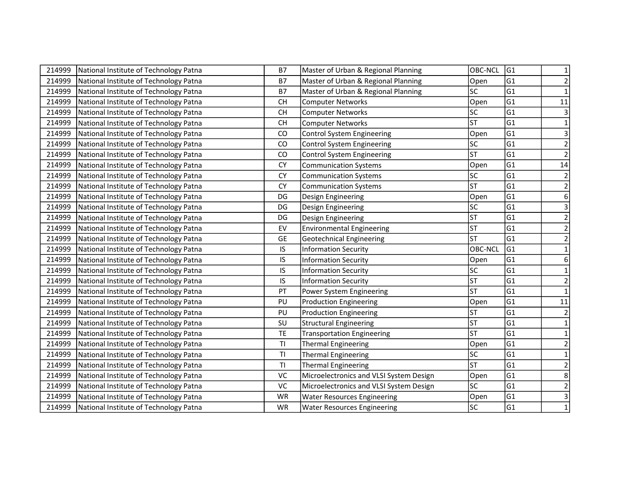| 214999 | National Institute of Technology Patna | <b>B7</b> | Master of Urban & Regional Planning     | <b>OBC-NCL</b> | G1              | 1                       |
|--------|----------------------------------------|-----------|-----------------------------------------|----------------|-----------------|-------------------------|
| 214999 | National Institute of Technology Patna | <b>B7</b> | Master of Urban & Regional Planning     | Open           | G1              | $\overline{2}$          |
| 214999 | National Institute of Technology Patna | <b>B7</b> | Master of Urban & Regional Planning     | SC             | lG1             | $\mathbf{1}$            |
| 214999 | National Institute of Technology Patna | <b>CH</b> | <b>Computer Networks</b>                | Open           | G1              | 11                      |
| 214999 | National Institute of Technology Patna | <b>CH</b> | <b>Computer Networks</b>                | <b>SC</b>      | G1              | 3                       |
| 214999 | National Institute of Technology Patna | <b>CH</b> | <b>Computer Networks</b>                | <b>ST</b>      | G1              | $\mathbf 1$             |
| 214999 | National Institute of Technology Patna | CO        | Control System Engineering              | Open           | G1              | 3                       |
| 214999 | National Institute of Technology Patna | CO        | Control System Engineering              | SC             | G1              | $\overline{2}$          |
| 214999 | National Institute of Technology Patna | CO        | <b>Control System Engineering</b>       | <b>ST</b>      | G1              | $\overline{2}$          |
| 214999 | National Institute of Technology Patna | <b>CY</b> | <b>Communication Systems</b>            | Open           | G1              | 14                      |
| 214999 | National Institute of Technology Patna | <b>CY</b> | <b>Communication Systems</b>            | <b>SC</b>      | G1              | $\mathbf 2$             |
| 214999 | National Institute of Technology Patna | <b>CY</b> | <b>Communication Systems</b>            | <b>ST</b>      | G1              | $\mathbf 2$             |
| 214999 | National Institute of Technology Patna | DG        | Design Engineering                      | Open           | G1              | 6                       |
| 214999 | National Institute of Technology Patna | DG        | Design Engineering                      | <b>SC</b>      | lG1             | $\mathsf{3}$            |
| 214999 | National Institute of Technology Patna | DG        | Design Engineering                      | ST             | G1              | $\overline{2}$          |
| 214999 | National Institute of Technology Patna | EV        | <b>Environmental Engineering</b>        | <b>ST</b>      | G1              | $\overline{2}$          |
| 214999 | National Institute of Technology Patna | <b>GE</b> | <b>Geotechnical Engineering</b>         | <b>ST</b>      | G1              | $\overline{\mathbf{c}}$ |
| 214999 | National Institute of Technology Patna | IS        | <b>Information Security</b>             | OBC-NCL        | G1              | 1                       |
| 214999 | National Institute of Technology Patna | IS        | <b>Information Security</b>             | Open           | G1              | 6                       |
| 214999 | National Institute of Technology Patna | IS        | <b>Information Security</b>             | SC             | G1              | 1                       |
| 214999 | National Institute of Technology Patna | IS.       | <b>Information Security</b>             | ST             | G1              | $\overline{\mathbf{c}}$ |
| 214999 | National Institute of Technology Patna | PT        | Power System Engineering                | <b>ST</b>      | G1              | $\mathbf{1}$            |
| 214999 | National Institute of Technology Patna | PU        | <b>Production Engineering</b>           | Open           | G1              | 11                      |
| 214999 | National Institute of Technology Patna | PU        | <b>Production Engineering</b>           | <b>ST</b>      | G1              | $\mathbf 2$             |
| 214999 | National Institute of Technology Patna | SU        | <b>Structural Engineering</b>           | <b>ST</b>      | G1              | $\mathbf{1}$            |
| 214999 | National Institute of Technology Patna | <b>TE</b> | <b>Transportation Engineering</b>       | ST             | G1              | $\mathbf{1}$            |
| 214999 | National Institute of Technology Patna | T1        | <b>Thermal Engineering</b>              | Open           | G1              | $\mathbf 2$             |
| 214999 | National Institute of Technology Patna | T1        | Thermal Engineering                     | SC             | lG1             | $\mathbf{1}$            |
| 214999 | National Institute of Technology Patna | T1        | <b>Thermal Engineering</b>              | <b>ST</b>      | G1              | $\mathbf 2$             |
| 214999 | National Institute of Technology Patna | VC        | Microelectronics and VLSI System Design | Open           | $\overline{G1}$ | 8                       |
| 214999 | National Institute of Technology Patna | VC        | Microelectronics and VLSI System Design | SC             | G1              | $\overline{\mathbf{c}}$ |
| 214999 | National Institute of Technology Patna | <b>WR</b> | <b>Water Resources Engineering</b>      | Open           | G1              | $\mathsf 3$             |
| 214999 | National Institute of Technology Patna | WR        | <b>Water Resources Engineering</b>      | <b>SC</b>      | G1              | $\mathbf{1}$            |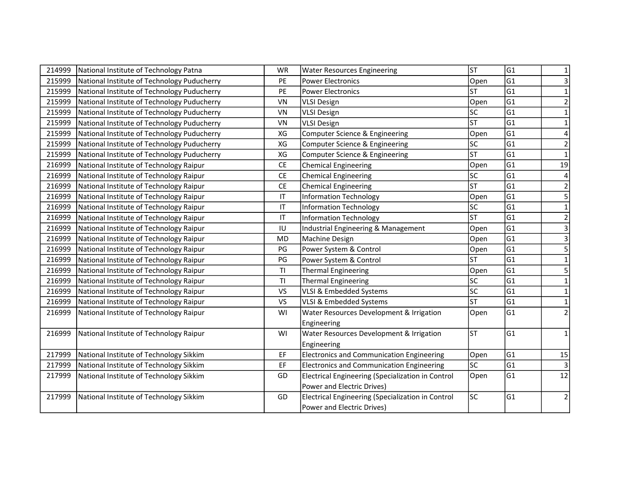| 214999 | National Institute of Technology Patna      | WR                     | <b>Water Resources Engineering</b>                | <b>ST</b>       | G1  | 1                       |
|--------|---------------------------------------------|------------------------|---------------------------------------------------|-----------------|-----|-------------------------|
| 215999 | National Institute of Technology Puducherry | PE                     | <b>Power Electronics</b>                          | Open            | lG1 | 3                       |
| 215999 | National Institute of Technology Puducherry | PE                     | <b>Power Electronics</b>                          | <b>ST</b>       | lG1 | $\mathbf{1}$            |
| 215999 | National Institute of Technology Puducherry | VN                     | <b>VLSI Design</b>                                | Open            | G1  | $\overline{2}$          |
| 215999 | National Institute of Technology Puducherry | VN                     | <b>VLSI Design</b>                                | <b>SC</b>       | G1  | 1                       |
| 215999 | National Institute of Technology Puducherry | VN                     | <b>VLSI Design</b>                                | <b>ST</b>       | G1  | 1                       |
| 215999 | National Institute of Technology Puducherry | XG                     | Computer Science & Engineering                    | Open            | G1  |                         |
| 215999 | National Institute of Technology Puducherry | XG                     | Computer Science & Engineering                    | SC              | G1  | $\overline{2}$          |
| 215999 | National Institute of Technology Puducherry | XG                     | Computer Science & Engineering                    | <b>ST</b>       | G1  | $\mathbf{1}$            |
| 216999 | National Institute of Technology Raipur     | <b>CE</b>              | <b>Chemical Engineering</b>                       | Open            | G1  | 19                      |
| 216999 | National Institute of Technology Raipur     | <b>CE</b>              | <b>Chemical Engineering</b>                       | <b>SC</b>       | G1  |                         |
| 216999 | National Institute of Technology Raipur     | <b>CE</b>              | <b>Chemical Engineering</b>                       | <b>ST</b>       | G1  | $\overline{\mathbf{c}}$ |
| 216999 | National Institute of Technology Raipur     | $\mathsf{I}\mathsf{T}$ | <b>Information Technology</b>                     | Open            | lG1 | 5                       |
| 216999 | National Institute of Technology Raipur     | $\mathsf{I}\mathsf{T}$ | <b>Information Technology</b>                     | <b>SC</b>       | lG1 | $\mathbf{1}$            |
| 216999 | National Institute of Technology Raipur     | $\mathsf{I}\mathsf{T}$ | <b>Information Technology</b>                     | lsт             | lG1 | $\overline{c}$          |
| 216999 | National Institute of Technology Raipur     | IU                     | Industrial Engineering & Management               | Open            | G1  | $\overline{\mathbf{3}}$ |
| 216999 | National Institute of Technology Raipur     | <b>MD</b>              | Machine Design                                    | Open            | G1  | $\overline{\mathbf{3}}$ |
| 216999 | National Institute of Technology Raipur     | PG                     | Power System & Control                            | Open            | G1  | 5                       |
| 216999 | National Institute of Technology Raipur     | PG                     | Power System & Control                            | <b>ST</b>       | G1  | $\mathbf{1}$            |
| 216999 | National Institute of Technology Raipur     | TI                     | <b>Thermal Engineering</b>                        | Open            | lG1 | 5                       |
| 216999 | National Institute of Technology Raipur     | T1                     | <b>Thermal Engineering</b>                        | SC              | lG1 | $\mathbf{1}$            |
| 216999 | National Institute of Technology Raipur     | <b>VS</b>              | VLSI & Embedded Systems                           | $\overline{sc}$ | G1  | $\mathbf{1}$            |
| 216999 | National Institute of Technology Raipur     | <b>VS</b>              | VLSI & Embedded Systems                           | <b>ST</b>       | G1  | $\mathbf{1}$            |
| 216999 | National Institute of Technology Raipur     | WI                     | Water Resources Development & Irrigation          | Open            | lG1 | $\overline{2}$          |
|        |                                             |                        | Engineering                                       |                 |     |                         |
| 216999 | National Institute of Technology Raipur     | WI                     | Water Resources Development & Irrigation          | <b>ST</b>       | G1  | $\mathbf{1}$            |
|        |                                             |                        | Engineering                                       |                 |     |                         |
| 217999 | National Institute of Technology Sikkim     | EF                     | <b>Electronics and Communication Engineering</b>  | Open            | G1  | 15                      |
| 217999 | National Institute of Technology Sikkim     | EF                     | <b>Electronics and Communication Engineering</b>  | <b>SC</b>       | G1  | 3                       |
| 217999 | National Institute of Technology Sikkim     | GD                     | Electrical Engineering (Specialization in Control | Open            | G1  | 12                      |
|        |                                             |                        | Power and Electric Drives)                        |                 |     |                         |
| 217999 | National Institute of Technology Sikkim     | GD                     | Electrical Engineering (Specialization in Control | <b>SC</b>       | G1  | $\mathbf 2$             |
|        |                                             |                        | Power and Electric Drives)                        |                 |     |                         |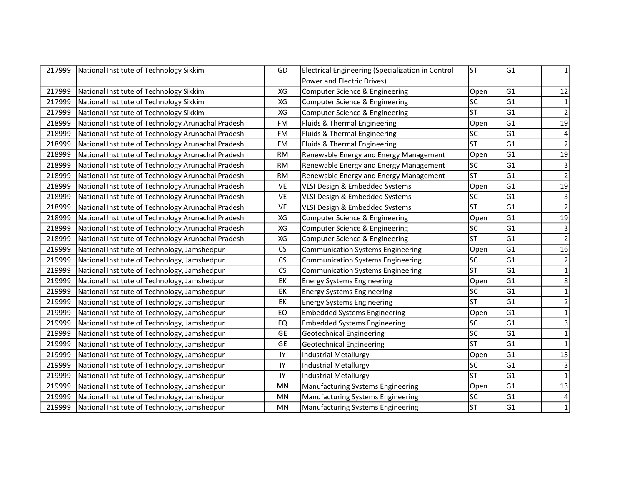| 217999 | National Institute of Technology Sikkim            | GD        | Electrical Engineering (Specialization in Control | <b>ST</b>       | lG1             | 1                       |
|--------|----------------------------------------------------|-----------|---------------------------------------------------|-----------------|-----------------|-------------------------|
|        |                                                    |           | Power and Electric Drives)                        |                 |                 |                         |
| 217999 | National Institute of Technology Sikkim            | XG        | Computer Science & Engineering                    | Open            | lG1             | 12                      |
| 217999 | National Institute of Technology Sikkim            | XG        | Computer Science & Engineering                    | <b>SC</b>       | G1              | $\mathbf{1}$            |
| 217999 | National Institute of Technology Sikkim            | XG        | Computer Science & Engineering                    | <b>ST</b>       | G1              | $\overline{2}$          |
| 218999 | National Institute of Technology Arunachal Pradesh | FM        | Fluids & Thermal Engineering                      | Open            | G1              | 19                      |
| 218999 | National Institute of Technology Arunachal Pradesh | FM        | Fluids & Thermal Engineering                      | <b>SC</b>       | G1              |                         |
| 218999 | National Institute of Technology Arunachal Pradesh | FM        | Fluids & Thermal Engineering                      | <b>ST</b>       | G1              | $\overline{2}$          |
| 218999 | National Institute of Technology Arunachal Pradesh | <b>RM</b> | Renewable Energy and Energy Management            | Open            | G1              | 19                      |
| 218999 | National Institute of Technology Arunachal Pradesh | <b>RM</b> | Renewable Energy and Energy Management            | <b>SC</b>       | G1              | $\overline{\mathbf{3}}$ |
| 218999 | National Institute of Technology Arunachal Pradesh | <b>RM</b> | Renewable Energy and Energy Management            | <b>ST</b>       | G1              | $\overline{2}$          |
| 218999 | National Institute of Technology Arunachal Pradesh | VE        | VLSI Design & Embedded Systems                    | Open            | G1              | 19                      |
| 218999 | National Institute of Technology Arunachal Pradesh | VE        | VLSI Design & Embedded Systems                    | <b>SC</b>       | G1              | $\mathsf 3$             |
| 218999 | National Institute of Technology Arunachal Pradesh | <b>VE</b> | VLSI Design & Embedded Systems                    | <b>ST</b>       | lG1             | $\overline{2}$          |
| 218999 | National Institute of Technology Arunachal Pradesh | XG        | Computer Science & Engineering                    | Open            | G1              | 19                      |
| 218999 | National Institute of Technology Arunachal Pradesh | XG        | Computer Science & Engineering                    | SC              | G1              | $\mathsf 3$             |
| 218999 | National Institute of Technology Arunachal Pradesh | XG        | Computer Science & Engineering                    | <b>ST</b>       | G1              | $\overline{2}$          |
| 219999 | National Institute of Technology, Jamshedpur       | CS        | <b>Communication Systems Engineering</b>          | Open            | G1              | 16                      |
| 219999 | National Institute of Technology, Jamshedpur       | CS        | <b>Communication Systems Engineering</b>          | <b>SC</b>       | G1              | $\overline{2}$          |
| 219999 | National Institute of Technology, Jamshedpur       | CS        | <b>Communication Systems Engineering</b>          | <b>ST</b>       | G1              | $\mathbf{1}$            |
| 219999 | National Institute of Technology, Jamshedpur       | EK        | <b>Energy Systems Engineering</b>                 | Open            | G1              | 8                       |
| 219999 | National Institute of Technology, Jamshedpur       | EK        | <b>Energy Systems Engineering</b>                 | <b>SC</b>       | G1              | $\mathbf{1}$            |
| 219999 | National Institute of Technology, Jamshedpur       | EK        | <b>Energy Systems Engineering</b>                 | <b>ST</b>       | G1              | $\overline{\mathbf{c}}$ |
| 219999 | National Institute of Technology, Jamshedpur       | EQ        | <b>Embedded Systems Engineering</b>               | Open            | G1              | $\mathbf 1$             |
| 219999 | National Institute of Technology, Jamshedpur       | EQ        | <b>Embedded Systems Engineering</b>               | <b>SC</b>       | G1              | 3                       |
| 219999 | National Institute of Technology, Jamshedpur       | <b>GE</b> | <b>Geotechnical Engineering</b>                   | $\overline{SC}$ | G1              | $\mathbf{1}$            |
| 219999 | National Institute of Technology, Jamshedpur       | <b>GE</b> | <b>Geotechnical Engineering</b>                   | <b>ST</b>       | G1              | $\mathbf{1}$            |
| 219999 | National Institute of Technology, Jamshedpur       | IY        | <b>Industrial Metallurgy</b>                      | Open            | lG1             | 15                      |
| 219999 | National Institute of Technology, Jamshedpur       | IY        | <b>Industrial Metallurgy</b>                      | <b>SC</b>       | G1              | $\mathsf 3$             |
| 219999 | National Institute of Technology, Jamshedpur       | IY        | <b>Industrial Metallurgy</b>                      | ST              | $\overline{G1}$ | $\mathbf{1}$            |
| 219999 | National Institute of Technology, Jamshedpur       | MN        | <b>Manufacturing Systems Engineering</b>          | Open            | G1              | 13                      |
| 219999 | National Institute of Technology, Jamshedpur       | MN        | <b>Manufacturing Systems Engineering</b>          | <b>SC</b>       | G1              | 4                       |
| 219999 | National Institute of Technology, Jamshedpur       | MN        | <b>Manufacturing Systems Engineering</b>          | <b>ST</b>       | G <sub>1</sub>  | $\mathbf{1}$            |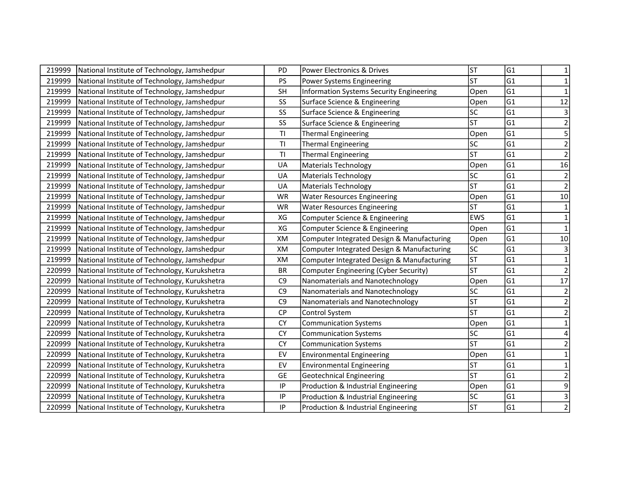| 219999 | National Institute of Technology, Jamshedpur  | PD             | Power Electronics & Drives                      | <b>ST</b>              | G1             | 1                       |
|--------|-----------------------------------------------|----------------|-------------------------------------------------|------------------------|----------------|-------------------------|
| 219999 | National Institute of Technology, Jamshedpur  | PS             | Power Systems Engineering                       | <b>ST</b>              | lG1            | $\mathbf{1}$            |
| 219999 | National Institute of Technology, Jamshedpur  | <b>SH</b>      | <b>Information Systems Security Engineering</b> | Open                   | lG1            | $\mathbf{1}$            |
| 219999 | National Institute of Technology, Jamshedpur  | SS             | Surface Science & Engineering                   | Open                   | G1             | 12                      |
| 219999 | National Institute of Technology, Jamshedpur  | SS             | Surface Science & Engineering                   | lsc                    | G1             | $\mathsf 3$             |
| 219999 | National Institute of Technology, Jamshedpur  | SS             | Surface Science & Engineering                   | <b>ST</b>              | G <sub>1</sub> | $\mathbf 2$             |
| 219999 | National Institute of Technology, Jamshedpur  | TI             | <b>Thermal Engineering</b>                      | Open                   | G1             | 5                       |
| 219999 | National Institute of Technology, Jamshedpur  | T1             | Thermal Engineering                             | SC                     | G <sub>1</sub> | $\overline{2}$          |
| 219999 | National Institute of Technology, Jamshedpur  | T1             | <b>Thermal Engineering</b>                      | <b>ST</b>              | G1             | $\mathbf 2$             |
| 219999 | National Institute of Technology, Jamshedpur  | UA             | <b>Materials Technology</b>                     | Open                   | G1             | 16                      |
| 219999 | National Institute of Technology, Jamshedpur  | UA             | <b>Materials Technology</b>                     | lsc                    | G1             | $\sqrt{2}$              |
| 219999 | National Institute of Technology, Jamshedpur  | UA             | <b>Materials Technology</b>                     | lst                    | G1             | $\overline{2}$          |
| 219999 | National Institute of Technology, Jamshedpur  | <b>WR</b>      | <b>Water Resources Engineering</b>              | Open                   | G1             | $10$                    |
| 219999 | National Institute of Technology, Jamshedpur  | <b>WR</b>      | <b>Water Resources Engineering</b>              | <b>ST</b>              | G1             | $\mathbf 1$             |
| 219999 | National Institute of Technology, Jamshedpur  | XG             | Computer Science & Engineering                  | <b>EWS</b>             | G1             | $\mathbf 1$             |
| 219999 | National Institute of Technology, Jamshedpur  | XG             | Computer Science & Engineering                  | Open                   | G1             | $\mathbf 1$             |
| 219999 | National Institute of Technology, Jamshedpur  | XM             | Computer Integrated Design & Manufacturing      | Open                   | G1             | $10\,$                  |
| 219999 | National Institute of Technology, Jamshedpur  | XM             | Computer Integrated Design & Manufacturing      | lsc                    | G1             | $\overline{3}$          |
| 219999 | National Institute of Technology, Jamshedpur  | XM             | Computer Integrated Design & Manufacturing      | $\overline{\text{ST}}$ | G1             | $\mathbf{1}$            |
| 220999 | National Institute of Technology, Kurukshetra | <b>BR</b>      | Computer Engineering (Cyber Security)           | <b>ST</b>              | G1             | $\mathbf 2$             |
| 220999 | National Institute of Technology, Kurukshetra | C <sub>9</sub> | Nanomaterials and Nanotechnology                | Open                   | G <sub>1</sub> | 17                      |
| 220999 | National Institute of Technology, Kurukshetra | C <sub>9</sub> | Nanomaterials and Nanotechnology                | lsc                    | G1             | $\mathbf 2$             |
| 220999 | National Institute of Technology, Kurukshetra | C <sub>9</sub> | Nanomaterials and Nanotechnology                | lsт                    | G1             | $\overline{c}$          |
| 220999 | National Institute of Technology, Kurukshetra | CP             | Control System                                  | <b>ST</b>              | G1             | $\overline{2}$          |
| 220999 | National Institute of Technology, Kurukshetra | <b>CY</b>      | <b>Communication Systems</b>                    | Open                   | G1             | $\mathbf{1}$            |
| 220999 | National Institute of Technology, Kurukshetra | <b>CY</b>      | <b>Communication Systems</b>                    | lsc                    | G1             |                         |
| 220999 | National Institute of Technology, Kurukshetra | <b>CY</b>      | <b>Communication Systems</b>                    | <b>ST</b>              | lG1            | 2                       |
| 220999 | National Institute of Technology, Kurukshetra | EV             | <b>Environmental Engineering</b>                | Open                   | G1             | $\mathbf{1}$            |
| 220999 | National Institute of Technology, Kurukshetra | EV             | <b>Environmental Engineering</b>                | <b>ST</b>              | G1             | $\mathbf{1}$            |
| 220999 | National Institute of Technology, Kurukshetra | <b>GE</b>      | <b>Geotechnical Engineering</b>                 | <b>ST</b>              | G1             | $\overline{\mathbf{c}}$ |
| 220999 | National Institute of Technology, Kurukshetra | IP             | Production & Industrial Engineering             | Open                   | G1             | 9                       |
| 220999 | National Institute of Technology, Kurukshetra | IP             | Production & Industrial Engineering             | <b>SC</b>              | G1             | $\mathsf 3$             |
| 220999 | National Institute of Technology, Kurukshetra | $\sf IP$       | Production & Industrial Engineering             | <b>ST</b>              | G1             | $\overline{2}$          |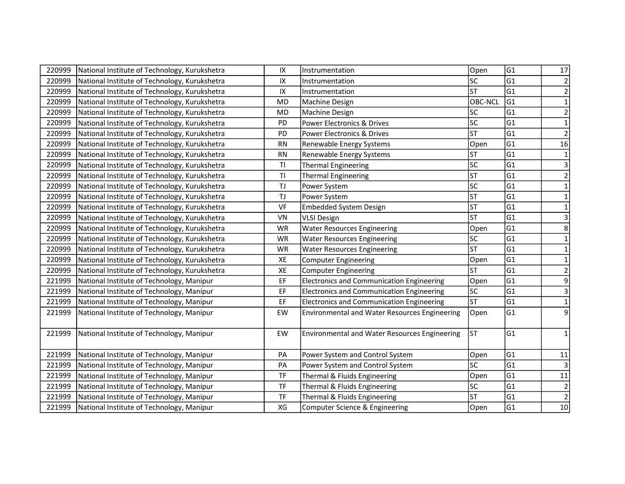| 220999 | National Institute of Technology, Kurukshetra | IX                   | Instrumentation                                      | Open           | G1             | 17                      |
|--------|-----------------------------------------------|----------------------|------------------------------------------------------|----------------|----------------|-------------------------|
| 220999 | National Institute of Technology, Kurukshetra | IX                   | Instrumentation                                      | SC             | G1             | $\mathbf 2$             |
| 220999 | National Institute of Technology, Kurukshetra | IX                   | Instrumentation                                      | <b>ST</b>      | lG1            | $\mathbf 2$             |
| 220999 | National Institute of Technology, Kurukshetra | <b>MD</b>            | Machine Design                                       | <b>OBC-NCL</b> | G1             | $\mathbf 1$             |
| 220999 | National Institute of Technology, Kurukshetra | <b>MD</b>            | Machine Design                                       | <b>SC</b>      | G1             | $\mathbf 2$             |
| 220999 | National Institute of Technology, Kurukshetra | PD                   | Power Electronics & Drives                           | SC             | G1             | $\mathbf 1$             |
| 220999 | National Institute of Technology, Kurukshetra | PD                   | Power Electronics & Drives                           | <b>ST</b>      | G1             | $\overline{2}$          |
| 220999 | National Institute of Technology, Kurukshetra | <b>RN</b>            | Renewable Energy Systems                             | Open           | G1             | 16                      |
| 220999 | National Institute of Technology, Kurukshetra | <b>RN</b>            | Renewable Energy Systems                             | <b>ST</b>      | G1             | $\mathbf 1$             |
| 220999 | National Institute of Technology, Kurukshetra | T1                   | <b>Thermal Engineering</b>                           | <b>SC</b>      | G1             | $\overline{\mathbf{3}}$ |
| 220999 | National Institute of Technology, Kurukshetra | T <sub>l</sub>       | <b>Thermal Engineering</b>                           | <b>ST</b>      | G1             | $\overline{2}$          |
| 220999 | National Institute of Technology, Kurukshetra | $\mathsf T\mathsf J$ | Power System                                         | <b>SC</b>      | G1             | $\mathbf 1$             |
| 220999 | National Institute of Technology, Kurukshetra | $\mathsf T\mathsf J$ | Power System                                         | <b>ST</b>      | G1             | $\mathbf 1$             |
| 220999 | National Institute of Technology, Kurukshetra | VF                   | <b>Embedded System Design</b>                        | <b>ST</b>      | lG1            | $\mathbf 1$             |
| 220999 | National Institute of Technology, Kurukshetra | VN                   | <b>VLSI Design</b>                                   | <b>ST</b>      | G1             | $\mathsf{3}$            |
| 220999 | National Institute of Technology, Kurukshetra | <b>WR</b>            | <b>Water Resources Engineering</b>                   | Open           | G1             | 8                       |
| 220999 | National Institute of Technology, Kurukshetra | <b>WR</b>            | <b>Water Resources Engineering</b>                   | SC             | G1             | $\mathbf{1}$            |
| 220999 | National Institute of Technology, Kurukshetra | <b>WR</b>            | <b>Water Resources Engineering</b>                   | <b>ST</b>      | G1             | $\mathbf{1}$            |
| 220999 | National Institute of Technology, Kurukshetra | XE                   | <b>Computer Engineering</b>                          | Open           | G1             | $\mathbf{1}$            |
| 220999 | National Institute of Technology, Kurukshetra | XE                   | <b>Computer Engineering</b>                          | <b>ST</b>      | G1             | $\mathbf 2$             |
| 221999 | National Institute of Technology, Manipur     | EF                   | <b>Electronics and Communication Engineering</b>     | Open           | G1             | 9                       |
| 221999 | National Institute of Technology, Manipur     | EF                   | <b>Electronics and Communication Engineering</b>     | <b>SC</b>      | G1             | 3                       |
| 221999 | National Institute of Technology, Manipur     | EF                   | <b>Electronics and Communication Engineering</b>     | <b>ST</b>      | G1             | $\mathbf 1$             |
| 221999 | National Institute of Technology, Manipur     | EW                   | <b>Environmental and Water Resources Engineering</b> | Open           | G1             | $\overline{9}$          |
| 221999 | National Institute of Technology, Manipur     | EW                   | <b>Environmental and Water Resources Engineering</b> | <b>ST</b>      | G <sub>1</sub> | $\mathbf 1$             |
| 221999 | National Institute of Technology, Manipur     | PA                   | Power System and Control System                      | Open           | G1             | 11                      |
| 221999 | National Institute of Technology, Manipur     | PA                   | Power System and Control System                      | <b>SC</b>      | G1             | $\overline{3}$          |
| 221999 | National Institute of Technology, Manipur     | <b>TF</b>            | Thermal & Fluids Engineering                         | Open           | G1             | 11                      |
| 221999 | National Institute of Technology, Manipur     | <b>TF</b>            | Thermal & Fluids Engineering                         | SC             | G1             | $\overline{2}$          |
| 221999 | National Institute of Technology, Manipur     | <b>TF</b>            | Thermal & Fluids Engineering                         | <b>ST</b>      | G1             | $\mathbf 2$             |
| 221999 | National Institute of Technology, Manipur     | XG                   | Computer Science & Engineering                       | Open           | G <sub>1</sub> | 10                      |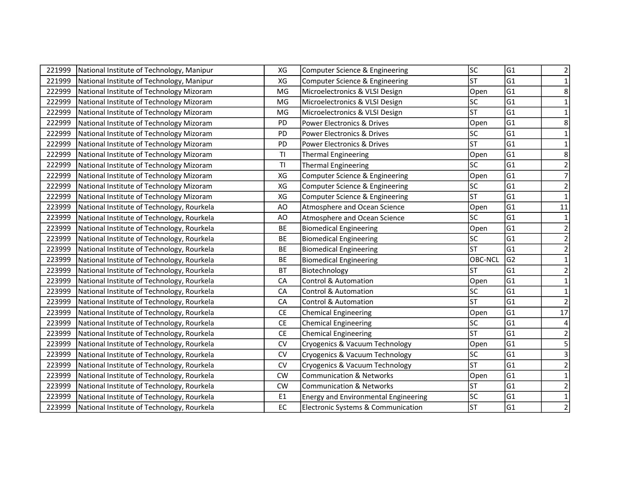| 221999 | National Institute of Technology, Manipur  | XG             | Computer Science & Engineering              | <b>SC</b>      | G1             | 2                       |
|--------|--------------------------------------------|----------------|---------------------------------------------|----------------|----------------|-------------------------|
| 221999 | National Institute of Technology, Manipur  | XG             | Computer Science & Engineering              | <b>ST</b>      | lG1            | $\mathbf 1$             |
| 222999 | National Institute of Technology Mizoram   | MG             | Microelectronics & VLSI Design              | Open           | lG1            | 8                       |
| 222999 | National Institute of Technology Mizoram   | MG             | Microelectronics & VLSI Design              | lsc            | G1             | 1                       |
| 222999 | National Institute of Technology Mizoram   | MG             | Microelectronics & VLSI Design              | <b>ST</b>      | G1             | 1                       |
| 222999 | National Institute of Technology Mizoram   | PD             | Power Electronics & Drives                  | Open           | G1             | 8                       |
| 222999 | National Institute of Technology Mizoram   | <b>PD</b>      | Power Electronics & Drives                  | lsc            | G1             | 1                       |
| 222999 | National Institute of Technology Mizoram   | PD             | Power Electronics & Drives                  | <b>ST</b>      | G <sub>1</sub> | 1                       |
| 222999 | National Institute of Technology Mizoram   | T1             | <b>Thermal Engineering</b>                  | Open           | G1             | 8                       |
| 222999 | National Institute of Technology Mizoram   | T1             | <b>Thermal Engineering</b>                  | SC             | G1             | $\mathbf 2$             |
| 222999 | National Institute of Technology Mizoram   | XG             | Computer Science & Engineering              | Open           | G1             | $\overline{7}$          |
| 222999 | National Institute of Technology Mizoram   | XG             | Computer Science & Engineering              | SC             | G1             | $\mathbf 2$             |
| 222999 | National Institute of Technology Mizoram   | XG             | Computer Science & Engineering              | lsт            | lG1            | $\mathbf 1$             |
| 223999 | National Institute of Technology, Rourkela | AO             | Atmosphere and Ocean Science                | Open           | G1             | 11                      |
| 223999 | National Institute of Technology, Rourkela | AO             | Atmosphere and Ocean Science                | SC             | G1             | $\mathbf 1$             |
| 223999 | National Institute of Technology, Rourkela | <b>BE</b>      | <b>Biomedical Engineering</b>               | Open           | G1             | $\mathbf 2$             |
| 223999 | National Institute of Technology, Rourkela | <b>BE</b>      | <b>Biomedical Engineering</b>               | SC             | G1             | $\overline{2}$          |
| 223999 | National Institute of Technology, Rourkela | <b>BE</b>      | <b>Biomedical Engineering</b>               | lsт            | G1             | $\overline{2}$          |
| 223999 | National Institute of Technology, Rourkela | <b>BE</b>      | <b>Biomedical Engineering</b>               | <b>OBC-NCL</b> | G <sub>2</sub> | 1                       |
| 223999 | National Institute of Technology, Rourkela | <b>BT</b>      | Biotechnology                               | <b>ST</b>      | G1             | $\overline{2}$          |
| 223999 | National Institute of Technology, Rourkela | CA             | <b>Control &amp; Automation</b>             | Open           | G <sub>1</sub> | 1                       |
| 223999 | National Institute of Technology, Rourkela | CA             | <b>Control &amp; Automation</b>             | lsc            | G1             | 1                       |
| 223999 | National Institute of Technology, Rourkela | CA             | <b>Control &amp; Automation</b>             | lsт            | G1             | $\overline{2}$          |
| 223999 | National Institute of Technology, Rourkela | <b>CE</b>      | <b>Chemical Engineering</b>                 | Open           | G1             | $\overline{17}$         |
| 223999 | National Institute of Technology, Rourkela | CE             | <b>Chemical Engineering</b>                 | lsc            | G1             | $\overline{\mathbf{4}}$ |
| 223999 | National Institute of Technology, Rourkela | <b>CE</b>      | <b>Chemical Engineering</b>                 | <b>ST</b>      | G1             | $\mathbf 2$             |
| 223999 | National Institute of Technology, Rourkela | CV             | Cryogenics & Vacuum Technology              | Open           | lG1            | 5                       |
| 223999 | National Institute of Technology, Rourkela | ${\sf CV}$     | Cryogenics & Vacuum Technology              | lsc            | G1             | 3                       |
| 223999 | National Institute of Technology, Rourkela | CV             | Cryogenics & Vacuum Technology              | lsт            | G1             | $\mathbf 2$             |
| 223999 | National Institute of Technology, Rourkela | <b>CW</b>      | <b>Communication &amp; Networks</b>         | Open           | G1             | $\mathbf{1}$            |
| 223999 | National Institute of Technology, Rourkela | <b>CW</b>      | <b>Communication &amp; Networks</b>         | lst            | G1             | $\mathbf 2$             |
| 223999 | National Institute of Technology, Rourkela | E <sub>1</sub> | <b>Energy and Environmental Engineering</b> | lsc            | G1             | $\mathbf 1$             |
| 223999 | National Institute of Technology, Rourkela | EC             | Electronic Systems & Communication          | <b>ST</b>      | G1             | $\overline{2}$          |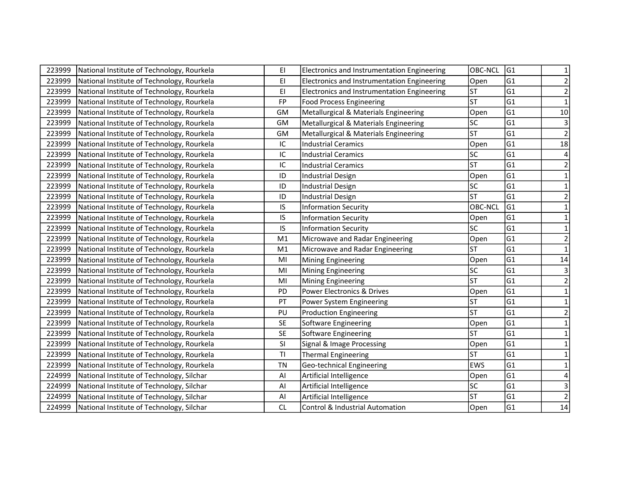| 223999 | National Institute of Technology, Rourkela | EI             | Electronics and Instrumentation Engineering | OBC-NCL    | G1  | 1                       |
|--------|--------------------------------------------|----------------|---------------------------------------------|------------|-----|-------------------------|
| 223999 | National Institute of Technology, Rourkela | EI.            | Electronics and Instrumentation Engineering | Open       | G1  | $\mathbf 2$             |
| 223999 | National Institute of Technology, Rourkela | ΕI             | Electronics and Instrumentation Engineering | <b>ST</b>  | lG1 | $\mathbf 2$             |
| 223999 | National Institute of Technology, Rourkela | <b>FP</b>      | <b>Food Process Engineering</b>             | lsт        | G1  | $\mathbf 1$             |
| 223999 | National Institute of Technology, Rourkela | GM             | Metallurgical & Materials Engineering       | Open       | G1  | $10\,$                  |
| 223999 | National Institute of Technology, Rourkela | GM             | Metallurgical & Materials Engineering       | SC         | G1  | $\mathsf 3$             |
| 223999 | National Institute of Technology, Rourkela | GM             | Metallurgical & Materials Engineering       | <b>ST</b>  | G1  | $\overline{2}$          |
| 223999 | National Institute of Technology, Rourkela | IC             | <b>Industrial Ceramics</b>                  | Open       | G1  | 18                      |
| 223999 | National Institute of Technology, Rourkela | IC             | <b>Industrial Ceramics</b>                  | lsc        | G1  | 4                       |
| 223999 | National Institute of Technology, Rourkela | IC             | <b>Industrial Ceramics</b>                  | lsт        | G1  | $\overline{\mathbf{c}}$ |
| 223999 | National Institute of Technology, Rourkela | ID             | <b>Industrial Design</b>                    | Open       | G1  | $\mathbf{1}$            |
| 223999 | National Institute of Technology, Rourkela | ID             | <b>Industrial Design</b>                    | SC         | G1  | 1                       |
| 223999 | National Institute of Technology, Rourkela | ID             | <b>Industrial Design</b>                    | lst        | lG1 | $\mathbf 2$             |
| 223999 | National Institute of Technology, Rourkela | IS             | <b>Information Security</b>                 | OBC-NCL    | G1  | $\mathbf{1}$            |
| 223999 | National Institute of Technology, Rourkela | IS             | <b>Information Security</b>                 | Open       | G1  | $\mathbf{1}$            |
| 223999 | National Institute of Technology, Rourkela | IS             | <b>Information Security</b>                 | lsc        | G1  | $\mathbf{1}$            |
| 223999 | National Institute of Technology, Rourkela | M1             | Microwave and Radar Engineering             | Open       | G1  | $\mathbf 2$             |
| 223999 | National Institute of Technology, Rourkela | M <sub>1</sub> | Microwave and Radar Engineering             | lst        | G1  | $\mathbf{1}$            |
| 223999 | National Institute of Technology, Rourkela | MI             | <b>Mining Engineering</b>                   | Open       | G1  | 14                      |
| 223999 | National Institute of Technology, Rourkela | MI             | <b>Mining Engineering</b>                   | lsc        | G1  | 3                       |
| 223999 | National Institute of Technology, Rourkela | MI             | <b>Mining Engineering</b>                   | <b>ST</b>  | G1  | $\overline{2}$          |
| 223999 | National Institute of Technology, Rourkela | PD             | Power Electronics & Drives                  | Open       | G1  | 1                       |
| 223999 | National Institute of Technology, Rourkela | PT             | Power System Engineering                    | <b>ST</b>  | G1  | $\mathbf{1}$            |
| 223999 | National Institute of Technology, Rourkela | PU             | <b>Production Engineering</b>               | <b>ST</b>  | G1  | $\overline{\mathbf{c}}$ |
| 223999 | National Institute of Technology, Rourkela | <b>SE</b>      | Software Engineering                        | Open       | G1  | $\mathbf{1}$            |
| 223999 | National Institute of Technology, Rourkela | <b>SE</b>      | Software Engineering                        | lsт        | G1  |                         |
| 223999 | National Institute of Technology, Rourkela | SI             | Signal & Image Processing                   | Open       | G1  | 1                       |
| 223999 | National Institute of Technology, Rourkela | T1             | Thermal Engineering                         | <b>ST</b>  | G1  | $\mathbf{1}$            |
| 223999 | National Institute of Technology, Rourkela | <b>TN</b>      | Geo-technical Engineering                   | <b>EWS</b> | G1  | $\mathbf{1}$            |
| 224999 | National Institute of Technology, Silchar  | Al             | Artificial Intelligence                     | Open       | G1  |                         |
| 224999 | National Institute of Technology, Silchar  | Al             | Artificial Intelligence                     | lsc        | G1  | 3                       |
| 224999 | National Institute of Technology, Silchar  | Al             | Artificial Intelligence                     | lst        | G1  | $\mathbf 2$             |
| 224999 | National Institute of Technology, Silchar  | CL             | Control & Industrial Automation             | Open       | G1  | 14                      |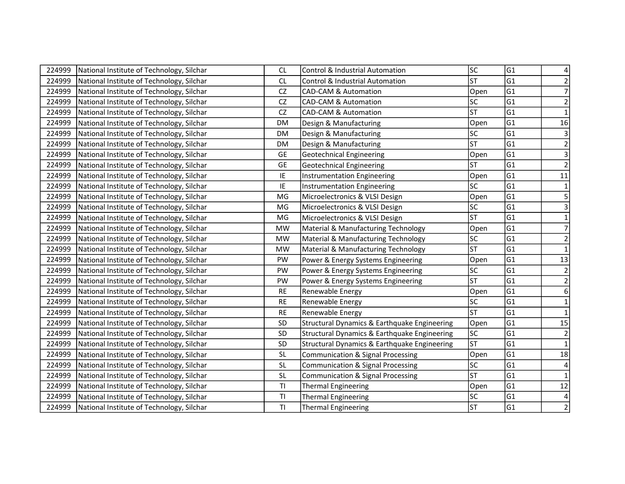| 224999 | National Institute of Technology, Silchar | CL        | <b>Control &amp; Industrial Automation</b>   | lsc                      | G1              |                         |
|--------|-------------------------------------------|-----------|----------------------------------------------|--------------------------|-----------------|-------------------------|
| 224999 | National Institute of Technology, Silchar | <b>CL</b> | <b>Control &amp; Industrial Automation</b>   | <b>ST</b>                | G1              | $\overline{2}$          |
| 224999 | National Institute of Technology, Silchar | CZ        | <b>CAD-CAM &amp; Automation</b>              | Open                     | lG1             | $\overline{7}$          |
| 224999 | National Institute of Technology, Silchar | CZ        | <b>CAD-CAM &amp; Automation</b>              | SC                       | G <sub>1</sub>  | $\overline{2}$          |
| 224999 | National Institute of Technology, Silchar | <b>CZ</b> | <b>CAD-CAM &amp; Automation</b>              | <b>ST</b>                | G1              | $\mathbf{1}$            |
| 224999 | National Institute of Technology, Silchar | <b>DM</b> | Design & Manufacturing                       | Open                     | G1              | 16                      |
| 224999 | National Institute of Technology, Silchar | <b>DM</b> | Design & Manufacturing                       | lsc                      | G1              | $\mathsf{3}$            |
| 224999 | National Institute of Technology, Silchar | <b>DM</b> | Design & Manufacturing                       | <b>ST</b>                | G1              | $\overline{2}$          |
| 224999 | National Institute of Technology, Silchar | GE        | <b>Geotechnical Engineering</b>              | Open                     | G1              | $\overline{3}$          |
| 224999 | National Institute of Technology, Silchar | <b>GE</b> | <b>Geotechnical Engineering</b>              | <b>ST</b>                | G1              | $\overline{2}$          |
| 224999 | National Institute of Technology, Silchar | IE        | Instrumentation Engineering                  | Open                     | G1              | 11                      |
| 224999 | National Institute of Technology, Silchar | IE        | Instrumentation Engineering                  | lsc                      | G1              | $\mathbf 1$             |
| 224999 | National Institute of Technology, Silchar | MG        | Microelectronics & VLSI Design               | Open                     | G1              | $\overline{5}$          |
| 224999 | National Institute of Technology, Silchar | MG        | Microelectronics & VLSI Design               | lsc                      | G1              | $\overline{\mathbf{3}}$ |
| 224999 | National Institute of Technology, Silchar | MG        | Microelectronics & VLSI Design               | lst                      | G1              | $\mathbf{1}$            |
| 224999 | National Institute of Technology, Silchar | <b>MW</b> | Material & Manufacturing Technology          | Open                     | G1              | $\overline{7}$          |
| 224999 | National Institute of Technology, Silchar | <b>MW</b> | Material & Manufacturing Technology          | SC                       | G1              | $\mathbf 2$             |
| 224999 | National Institute of Technology, Silchar | <b>MW</b> | Material & Manufacturing Technology          | <b>ST</b>                | G1              | $\mathbf{1}$            |
| 224999 | National Institute of Technology, Silchar | PW        | Power & Energy Systems Engineering           | Open                     | G1              | 13                      |
| 224999 | National Institute of Technology, Silchar | PW        | Power & Energy Systems Engineering           | lsc                      | G1              | $\overline{2}$          |
| 224999 | National Institute of Technology, Silchar | PW        | Power & Energy Systems Engineering           | $\overline{\mathsf{ST}}$ | G1              | $\mathbf 2$             |
| 224999 | National Institute of Technology, Silchar | <b>RE</b> | Renewable Energy                             | Open                     | G1              | 6                       |
| 224999 | National Institute of Technology, Silchar | <b>RE</b> | Renewable Energy                             | lsc                      | G1              | $\mathbf{1}$            |
| 224999 | National Institute of Technology, Silchar | <b>RE</b> | Renewable Energy                             | <b>ST</b>                | G1              | $\mathbf{1}$            |
| 224999 | National Institute of Technology, Silchar | SD        | Structural Dynamics & Earthquake Engineering | Open                     | G1              | 15                      |
| 224999 | National Institute of Technology, Silchar | SD        | Structural Dynamics & Earthquake Engineering | $\overline{\text{sc}}$   | G1              | $\overline{2}$          |
| 224999 | National Institute of Technology, Silchar | SD        | Structural Dynamics & Earthquake Engineering | <b>ST</b>                | G1              | $\mathbf 1$             |
| 224999 | National Institute of Technology, Silchar | <b>SL</b> | <b>Communication &amp; Signal Processing</b> | Open                     | lG1             | 18                      |
| 224999 | National Institute of Technology, Silchar | <b>SL</b> | <b>Communication &amp; Signal Processing</b> | lsc                      | G1              | 4                       |
| 224999 | National Institute of Technology, Silchar | <b>SL</b> | <b>Communication &amp; Signal Processing</b> | $\overline{\mathsf{ST}}$ | $\overline{G1}$ | $\mathbf 1$             |
| 224999 | National Institute of Technology, Silchar | T1        | <b>Thermal Engineering</b>                   | Open                     | G1              | $12$                    |
| 224999 | National Institute of Technology, Silchar | T1        | <b>Thermal Engineering</b>                   | lsc                      | G1              | $\overline{4}$          |
| 224999 | National Institute of Technology, Silchar | T1        | <b>Thermal Engineering</b>                   | <b>ST</b>                | G1              | $\overline{2}$          |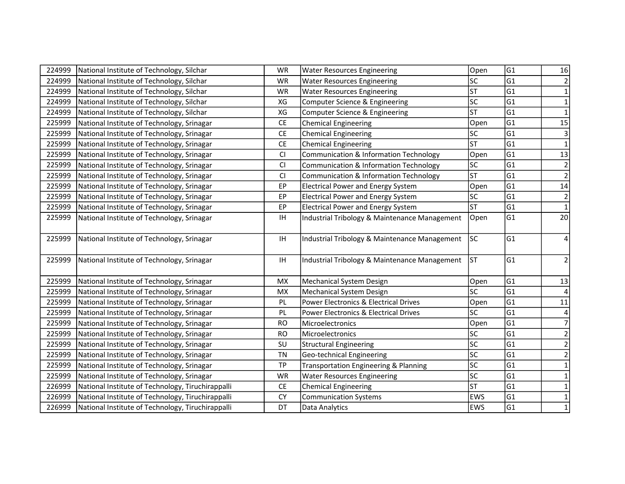| 224999 | National Institute of Technology, Silchar         | WR        | <b>Water Resources Engineering</b>                | Open                     | G1              | 16               |
|--------|---------------------------------------------------|-----------|---------------------------------------------------|--------------------------|-----------------|------------------|
| 224999 | National Institute of Technology, Silchar         | <b>WR</b> | <b>Water Resources Engineering</b>                | lsc                      | lG1             | $\overline{2}$   |
| 224999 | National Institute of Technology, Silchar         | <b>WR</b> | <b>Water Resources Engineering</b>                | <b>ST</b>                | lG1             | $\mathbf{1}$     |
| 224999 | National Institute of Technology, Silchar         | XG        | Computer Science & Engineering                    | <b>SC</b>                | G1              | $\mathbf 1$      |
| 224999 | National Institute of Technology, Silchar         | XG        | Computer Science & Engineering                    | <b>ST</b>                | G1              | $\mathbf 1$      |
| 225999 | National Institute of Technology, Srinagar        | <b>CE</b> | <b>Chemical Engineering</b>                       | Open                     | G1              | 15               |
| 225999 | National Institute of Technology, Srinagar        | <b>CE</b> | <b>Chemical Engineering</b>                       | lsc                      | lG1             | $\mathsf{3}$     |
| 225999 | National Institute of Technology, Srinagar        | CE        | <b>Chemical Engineering</b>                       | lsт                      | G1              | $\mathbf{1}$     |
| 225999 | National Institute of Technology, Srinagar        | CI        | Communication & Information Technology            | Open                     | G1              | $13\,$           |
| 225999 | National Institute of Technology, Srinagar        | CI        | Communication & Information Technology            | lsc                      | G1              | $\overline{2}$   |
| 225999 | National Institute of Technology, Srinagar        | CI        | <b>Communication &amp; Information Technology</b> | <b>ST</b>                | G1              | $\overline{2}$   |
| 225999 | National Institute of Technology, Srinagar        | EP        | <b>Electrical Power and Energy System</b>         | Open                     | G1              | $\overline{14}$  |
| 225999 | National Institute of Technology, Srinagar        | EP        | <b>Electrical Power and Energy System</b>         | <b>SC</b>                | G1              | $\overline{2}$   |
| 225999 | National Institute of Technology, Srinagar        | EP        | <b>Electrical Power and Energy System</b>         | <b>ST</b>                | G1              | $\mathbf{1}$     |
| 225999 | National Institute of Technology, Srinagar        | IH        | Industrial Tribology & Maintenance Management     | Open                     | G1              | 20 <sup>1</sup>  |
| 225999 | National Institute of Technology, Srinagar        | IH        | Industrial Tribology & Maintenance Management     | <b>SC</b>                | G1              | 4                |
| 225999 | National Institute of Technology, Srinagar        | IH        | Industrial Tribology & Maintenance Management     | <b>ST</b>                | G1              | $\overline{2}$   |
| 225999 | National Institute of Technology, Srinagar        | <b>MX</b> | <b>Mechanical System Design</b>                   | Open                     | G1              | 13               |
| 225999 | National Institute of Technology, Srinagar        | <b>MX</b> | Mechanical System Design                          | lsc                      | G1              |                  |
| 225999 | National Institute of Technology, Srinagar        | PL        | Power Electronics & Electrical Drives             | Open                     | $\overline{G1}$ | 11               |
| 225999 | National Institute of Technology, Srinagar        | PL        | Power Electronics & Electrical Drives             | lsc                      | G1              | 4                |
| 225999 | National Institute of Technology, Srinagar        | <b>RO</b> | Microelectronics                                  | Open                     | G1              | $\boldsymbol{7}$ |
| 225999 | National Institute of Technology, Srinagar        | <b>RO</b> | Microelectronics                                  | $\overline{\mathsf{sc}}$ | G1              | $\overline{2}$   |
| 225999 | National Institute of Technology, Srinagar        | SU        | <b>Structural Engineering</b>                     | lsc                      | G1              | $\mathbf 2$      |
| 225999 | National Institute of Technology, Srinagar        | <b>TN</b> | Geo-technical Engineering                         | $\overline{\text{sc}}$   | lG1             | $\overline{2}$   |
| 225999 | National Institute of Technology, Srinagar        | <b>TP</b> | <b>Transportation Engineering &amp; Planning</b>  | lsc                      | G1              | $\mathbf{1}$     |
| 225999 | National Institute of Technology, Srinagar        | <b>WR</b> | <b>Water Resources Engineering</b>                | $\overline{\text{sc}}$   | $\overline{G1}$ | $\mathbf{1}$     |
| 226999 | National Institute of Technology, Tiruchirappalli | <b>CE</b> | <b>Chemical Engineering</b>                       | <b>ST</b>                | G1              | $\mathbf{1}$     |
| 226999 | National Institute of Technology, Tiruchirappalli | <b>CY</b> | <b>Communication Systems</b>                      | EWS                      | G1              | $\mathbf{1}$     |
| 226999 | National Institute of Technology, Tiruchirappalli | DT        | Data Analytics                                    | <b>EWS</b>               | G1              | $\mathbf 1$      |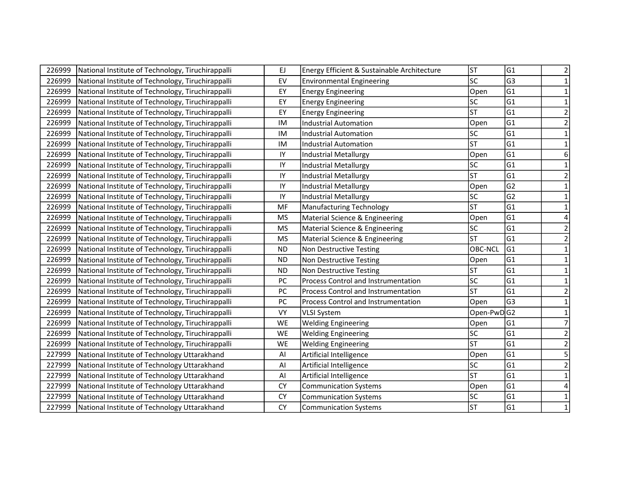| 226999 | National Institute of Technology, Tiruchirappalli | EJ        | Energy Efficient & Sustainable Architecture | <b>ST</b>  | G1             | 2                       |
|--------|---------------------------------------------------|-----------|---------------------------------------------|------------|----------------|-------------------------|
| 226999 | National Institute of Technology, Tiruchirappalli | EV        | <b>Environmental Engineering</b>            | lsc        | G3             |                         |
| 226999 | National Institute of Technology, Tiruchirappalli | EY        | <b>Energy Engineering</b>                   | Open       | G1             | 1                       |
| 226999 | National Institute of Technology, Tiruchirappalli | EY        | <b>Energy Engineering</b>                   | lsc        | lG1            | $\mathbf{1}$            |
| 226999 | National Institute of Technology, Tiruchirappalli | EY        | <b>Energy Engineering</b>                   | <b>ST</b>  | G1             | $\overline{2}$          |
| 226999 | National Institute of Technology, Tiruchirappalli | IM        | <b>Industrial Automation</b>                | Open       | G1             | $\overline{2}$          |
| 226999 | National Institute of Technology, Tiruchirappalli | IM        | <b>Industrial Automation</b>                | lsc        | G1             | $\mathbf{1}$            |
| 226999 | National Institute of Technology, Tiruchirappalli | IM        | <b>Industrial Automation</b>                | lsт        | G1             | 1                       |
| 226999 | National Institute of Technology, Tiruchirappalli | IY        | <b>Industrial Metallurgy</b>                | Open       | G1             | 6                       |
| 226999 | National Institute of Technology, Tiruchirappalli | IY        | <b>Industrial Metallurgy</b>                | SC         | G1             | 1                       |
| 226999 | National Institute of Technology, Tiruchirappalli | IY        | <b>Industrial Metallurgy</b>                | <b>ST</b>  | G1             | $\overline{2}$          |
| 226999 | National Institute of Technology, Tiruchirappalli | IY        | <b>Industrial Metallurgy</b>                | Open       | G <sub>2</sub> |                         |
| 226999 | National Institute of Technology, Tiruchirappalli | IY        | <b>Industrial Metallurgy</b>                | lsc        | G <sub>2</sub> | $\mathbf{1}$            |
| 226999 | National Institute of Technology, Tiruchirappalli | MF        | <b>Manufacturing Technology</b>             | <b>ST</b>  | lG1            | 1                       |
| 226999 | National Institute of Technology, Tiruchirappalli | <b>MS</b> | Material Science & Engineering              | Open       | lG1            |                         |
| 226999 | National Institute of Technology, Tiruchirappalli | <b>MS</b> | Material Science & Engineering              | SC         | G1             | 2                       |
| 226999 | National Institute of Technology, Tiruchirappalli | <b>MS</b> | Material Science & Engineering              | lst        | G1             | $\mathbf 2$             |
| 226999 | National Institute of Technology, Tiruchirappalli | <b>ND</b> | Non Destructive Testing                     | OBC-NCL    | G1             | $\mathbf 1$             |
| 226999 | National Institute of Technology, Tiruchirappalli | <b>ND</b> | Non Destructive Testing                     | Open       | G1             | 1                       |
| 226999 | National Institute of Technology, Tiruchirappalli | <b>ND</b> | Non Destructive Testing                     | lst        | G1             | 1                       |
| 226999 | National Institute of Technology, Tiruchirappalli | PC        | Process Control and Instrumentation         | SC         | G1             | 1                       |
| 226999 | National Institute of Technology, Tiruchirappalli | PC        | Process Control and Instrumentation         | <b>ST</b>  | G1             |                         |
| 226999 | National Institute of Technology, Tiruchirappalli | PC        | Process Control and Instrumentation         | Open       | G <sub>3</sub> |                         |
| 226999 | National Institute of Technology, Tiruchirappalli | <b>VY</b> | <b>VLSI System</b>                          | Open-PwDG2 |                | $\mathbf{1}$            |
| 226999 | National Institute of Technology, Tiruchirappalli | WE        | <b>Welding Engineering</b>                  | Open       | G1             | $\overline{7}$          |
| 226999 | National Institute of Technology, Tiruchirappalli | WE        | <b>Welding Engineering</b>                  | lsc        | G1             | $\overline{\mathbf{c}}$ |
| 226999 | National Institute of Technology, Tiruchirappalli | WE        | <b>Welding Engineering</b>                  | <b>ST</b>  | G1             | $\overline{2}$          |
| 227999 | National Institute of Technology Uttarakhand      | Al        | Artificial Intelligence                     | Open       | G1             | 5                       |
| 227999 | National Institute of Technology Uttarakhand      | Al        | Artificial Intelligence                     | lsc        | G1             | $\overline{2}$          |
| 227999 | National Institute of Technology Uttarakhand      | Al        | Artificial Intelligence                     | lsт        | G1             | $\mathbf{1}$            |
| 227999 | National Institute of Technology Uttarakhand      | <b>CY</b> | <b>Communication Systems</b>                | Open       | G1             |                         |
| 227999 | National Institute of Technology Uttarakhand      | <b>CY</b> | <b>Communication Systems</b>                | lsc        | G1             | 1                       |
| 227999 | National Institute of Technology Uttarakhand      | <b>CY</b> | <b>Communication Systems</b>                | <b>ST</b>  | G1             | 1                       |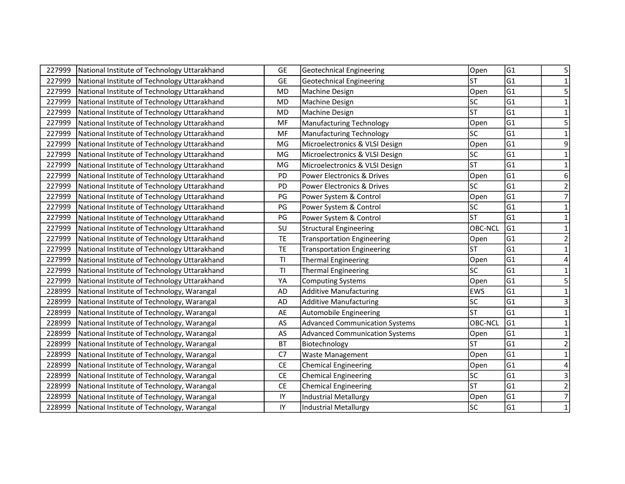| 227999 | National Institute of Technology Uttarakhand | <b>GE</b>      | <b>Geotechnical Engineering</b>       | Open            | G1             | 5                       |
|--------|----------------------------------------------|----------------|---------------------------------------|-----------------|----------------|-------------------------|
| 227999 | National Institute of Technology Uttarakhand | <b>GE</b>      | <b>Geotechnical Engineering</b>       | <b>ST</b>       | G1             | $\mathbf{1}$            |
| 227999 | National Institute of Technology Uttarakhand | <b>MD</b>      | Machine Design                        | Open            | lG1            | 5                       |
| 227999 | National Institute of Technology Uttarakhand | <b>MD</b>      | Machine Design                        | SC              | G <sub>1</sub> | 1                       |
| 227999 | National Institute of Technology Uttarakhand | <b>MD</b>      | Machine Design                        | <b>ST</b>       | G1             | $\mathbf{1}$            |
| 227999 | National Institute of Technology Uttarakhand | MF             | <b>Manufacturing Technology</b>       | Open            | G1             | 5                       |
| 227999 | National Institute of Technology Uttarakhand | MF             | <b>Manufacturing Technology</b>       | <b>SC</b>       | G1             | $\mathbf{1}$            |
| 227999 | National Institute of Technology Uttarakhand | MG             | Microelectronics & VLSI Design        | Open            | G1             | 9                       |
| 227999 | National Institute of Technology Uttarakhand | MG             | Microelectronics & VLSI Design        | SC              | G1             | $\mathbf 1$             |
| 227999 | National Institute of Technology Uttarakhand | MG             | Microelectronics & VLSI Design        | <b>ST</b>       | lG1            | $\mathbf 1$             |
| 227999 | National Institute of Technology Uttarakhand | PD             | Power Electronics & Drives            | Open            | G1             | 6                       |
| 227999 | National Institute of Technology Uttarakhand | PD             | Power Electronics & Drives            | <b>SC</b>       | G1             | $\overline{\mathbf{c}}$ |
| 227999 | National Institute of Technology Uttarakhand | PG             | Power System & Control                | Open            | G1             | $\overline{7}$          |
| 227999 | National Institute of Technology Uttarakhand | PG             | Power System & Control                | <b>SC</b>       | G1             | $\mathbf{1}$            |
| 227999 | National Institute of Technology Uttarakhand | PG             | Power System & Control                | lsт             | G1             | $\mathbf{1}$            |
| 227999 | National Institute of Technology Uttarakhand | SU             | <b>Structural Engineering</b>         | <b>OBC-NCL</b>  | G1             | 1                       |
| 227999 | National Institute of Technology Uttarakhand | <b>TE</b>      | <b>Transportation Engineering</b>     | Open            | G1             | $\overline{2}$          |
| 227999 | National Institute of Technology Uttarakhand | <b>TE</b>      | <b>Transportation Engineering</b>     | <b>ST</b>       | G1             | 1                       |
| 227999 | National Institute of Technology Uttarakhand | T <sub>l</sub> | <b>Thermal Engineering</b>            | Open            | G1             |                         |
| 227999 | National Institute of Technology Uttarakhand | T <sub>l</sub> | <b>Thermal Engineering</b>            | SC              | G1             |                         |
| 227999 | National Institute of Technology Uttarakhand | YA             | <b>Computing Systems</b>              | Open            | G1             | 5                       |
| 228999 | National Institute of Technology, Warangal   | <b>AD</b>      | <b>Additive Manufacturing</b>         | <b>EWS</b>      | G1             |                         |
| 228999 | National Institute of Technology, Warangal   | <b>AD</b>      | <b>Additive Manufacturing</b>         | <b>SC</b>       | G1             | $\mathbf{3}$            |
| 228999 | National Institute of Technology, Warangal   | AE             | Automobile Engineering                | <b>ST</b>       | G1             | $\mathbf{1}$            |
| 228999 | National Institute of Technology, Warangal   | AS             | <b>Advanced Communication Systems</b> | OBC-NCL         | G1             | $\mathbf{1}$            |
| 228999 | National Institute of Technology, Warangal   | AS             | <b>Advanced Communication Systems</b> | Open            | G1             | $\mathbf{1}$            |
| 228999 | National Institute of Technology, Warangal   | <b>BT</b>      | Biotechnology                         | <b>ST</b>       | G1             | $\overline{2}$          |
| 228999 | National Institute of Technology, Warangal   | C7             | <b>Waste Management</b>               | Open            | G1             | $\mathbf{1}$            |
| 228999 | National Institute of Technology, Warangal   | $\mathsf{CE}$  | <b>Chemical Engineering</b>           | Open            | G1             | 4                       |
| 228999 | National Institute of Technology, Warangal   | CE             | <b>Chemical Engineering</b>           | $\overline{SC}$ | G1             | 3                       |
| 228999 | National Institute of Technology, Warangal   | <b>CE</b>      | <b>Chemical Engineering</b>           | <b>ST</b>       | G1             | $\mathbf 2$             |
| 228999 | National Institute of Technology, Warangal   | IY             | <b>Industrial Metallurgy</b>          | Open            | G1             | $\overline{7}$          |
| 228999 | National Institute of Technology, Warangal   | IY             | <b>Industrial Metallurgy</b>          | <b>SC</b>       | G1             | $\mathbf{1}$            |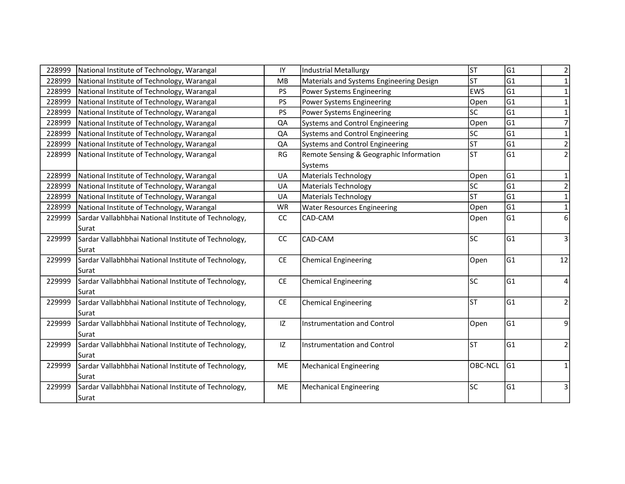| 228999 | National Institute of Technology, Warangal           | IY                                          | <b>Industrial Metallurgy</b>             | <b>ST</b>      | lG1            | 2              |
|--------|------------------------------------------------------|---------------------------------------------|------------------------------------------|----------------|----------------|----------------|
| 228999 | National Institute of Technology, Warangal           | MB                                          | Materials and Systems Engineering Design | lsт            | G <sub>1</sub> | 1              |
| 228999 | National Institute of Technology, Warangal           | PS                                          | Power Systems Engineering                | <b>EWS</b>     | G1             | $\mathbf{1}$   |
| 228999 | National Institute of Technology, Warangal           | PS                                          | Power Systems Engineering                | Open           | G1             | $\mathbf{1}$   |
| 228999 | National Institute of Technology, Warangal           | PS                                          | <b>Power Systems Engineering</b>         | lsc            | G1             | $\mathbf{1}$   |
| 228999 | National Institute of Technology, Warangal           | QA                                          | <b>Systems and Control Engineering</b>   | Open           | lG1            | $\overline{7}$ |
| 228999 | National Institute of Technology, Warangal           | QA                                          | <b>Systems and Control Engineering</b>   | SC             | G1             | $\mathbf{1}$   |
| 228999 | National Institute of Technology, Warangal           | QA                                          | <b>Systems and Control Engineering</b>   | <b>ST</b>      | G1             | $\overline{2}$ |
| 228999 | National Institute of Technology, Warangal           | <b>RG</b>                                   | Remote Sensing & Geographic Information  | lsт            | lG1            | $\overline{2}$ |
|        |                                                      |                                             | Systems                                  |                |                |                |
| 228999 | National Institute of Technology, Warangal           | UA                                          | <b>Materials Technology</b>              | Open           | G1             | 1              |
| 228999 | National Institute of Technology, Warangal           | UA                                          | <b>Materials Technology</b>              | lsc            | lG1            | $\overline{2}$ |
| 228999 | National Institute of Technology, Warangal           | UA                                          | <b>Materials Technology</b>              | lst            | lG1            | $\mathbf{1}$   |
| 228999 | National Institute of Technology, Warangal           | <b>WR</b>                                   | <b>Water Resources Engineering</b>       | Open           | G1             | $\mathbf 1$    |
| 229999 | Sardar Vallabhbhai National Institute of Technology, | CC                                          | CAD-CAM                                  | Open           | G1             | 6              |
|        | Surat                                                |                                             |                                          |                |                |                |
| 229999 | Sardar Vallabhbhai National Institute of Technology, | cc                                          | CAD-CAM                                  | lsc            | G1             | 3              |
|        | Surat                                                |                                             |                                          |                |                |                |
| 229999 | Sardar Vallabhbhai National Institute of Technology, | CE                                          | <b>Chemical Engineering</b>              | Open           | lG1            | 12             |
|        | Surat                                                |                                             |                                          |                |                |                |
| 229999 | Sardar Vallabhbhai National Institute of Technology, | $\mathsf{CE}% _{\mathsf{CE}}^{\mathsf{CE}}$ | Chemical Engineering                     | lsc            | G1             | $\overline{4}$ |
|        | Surat                                                |                                             |                                          |                |                |                |
| 229999 | Sardar Vallabhbhai National Institute of Technology, | CE                                          | <b>Chemical Engineering</b>              | lsт            | G1             | $\overline{2}$ |
|        | Surat                                                |                                             |                                          |                |                |                |
| 229999 | Sardar Vallabhbhai National Institute of Technology, | IZ                                          | <b>Instrumentation and Control</b>       | Open           | lG1            | 9              |
|        | Surat                                                |                                             |                                          |                |                |                |
| 229999 | Sardar Vallabhbhai National Institute of Technology, | IZ                                          | Instrumentation and Control              | lsт            | G1             | $\mathbf 2$    |
|        | Surat                                                |                                             |                                          |                |                |                |
| 229999 | Sardar Vallabhbhai National Institute of Technology, | ME                                          | <b>Mechanical Engineering</b>            | <b>OBC-NCL</b> | lG1            | 1              |
|        | Surat                                                |                                             |                                          |                |                |                |
| 229999 | Sardar Vallabhbhai National Institute of Technology, | ME                                          | <b>Mechanical Engineering</b>            | lsc            | G1             | 3              |
|        | Surat                                                |                                             |                                          |                |                |                |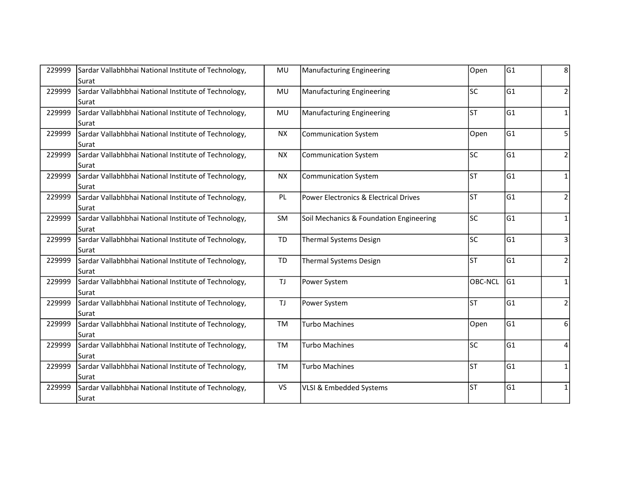| 229999 | Sardar Vallabhbhai National Institute of Technology, | MU        | <b>Manufacturing Engineering</b>        | Open           | G1             | 8                       |
|--------|------------------------------------------------------|-----------|-----------------------------------------|----------------|----------------|-------------------------|
|        | Surat                                                |           |                                         |                |                |                         |
| 229999 | Sardar Vallabhbhai National Institute of Technology, | MU        | Manufacturing Engineering               | lsc            | G1             | $\overline{\mathbf{c}}$ |
|        | Surat                                                |           |                                         |                |                |                         |
| 229999 | Sardar Vallabhbhai National Institute of Technology, | MU        | <b>Manufacturing Engineering</b>        | lst            | lG1            | $\mathbf{1}$            |
|        | Surat                                                |           |                                         |                |                |                         |
| 229999 | Sardar Vallabhbhai National Institute of Technology, | <b>NX</b> | <b>Communication System</b>             | Open           | G <sub>1</sub> | 5                       |
|        | Surat                                                |           |                                         |                |                |                         |
| 229999 | Sardar Vallabhbhai National Institute of Technology, | <b>NX</b> | <b>Communication System</b>             | lsc            | lG1            | $\overline{\mathbf{c}}$ |
|        | Surat                                                |           |                                         |                |                |                         |
| 229999 | Sardar Vallabhbhai National Institute of Technology, | <b>NX</b> | <b>Communication System</b>             | lst            | G1             | $\mathbf{1}$            |
|        | Surat                                                |           |                                         |                |                |                         |
| 229999 | Sardar Vallabhbhai National Institute of Technology, | PL        | Power Electronics & Electrical Drives   | lsт            | lG1            | $\overline{2}$          |
|        | Surat                                                |           |                                         |                |                |                         |
| 229999 | Sardar Vallabhbhai National Institute of Technology, | SM        | Soil Mechanics & Foundation Engineering | lsc            | G1             | $\mathbf{1}$            |
|        | Surat                                                |           |                                         |                |                |                         |
|        |                                                      |           |                                         |                |                |                         |
| 229999 | Sardar Vallabhbhai National Institute of Technology, | <b>TD</b> | <b>Thermal Systems Design</b>           | lsc            | G1             | 3                       |
|        | Surat                                                |           |                                         |                |                |                         |
| 229999 | Sardar Vallabhbhai National Institute of Technology, | <b>TD</b> | <b>Thermal Systems Design</b>           | lst            | G1             | $\overline{2}$          |
|        | Surat                                                |           |                                         |                |                |                         |
| 229999 | Sardar Vallabhbhai National Institute of Technology, | <b>TJ</b> | Power System                            | <b>OBC-NCL</b> | lG1            | $\mathbf{1}$            |
|        | Surat                                                |           |                                         |                |                |                         |
| 229999 | Sardar Vallabhbhai National Institute of Technology, | <b>TJ</b> | Power System                            | lst            | G1             | $\overline{2}$          |
|        | Surat                                                |           |                                         |                |                |                         |
| 229999 | Sardar Vallabhbhai National Institute of Technology, | <b>TM</b> | Turbo Machines                          | Open           | G1             | 6                       |
|        | Surat                                                |           |                                         |                |                |                         |
| 229999 | Sardar Vallabhbhai National Institute of Technology, | TM        | <b>Turbo Machines</b>                   | lsc            | G1             | $\overline{4}$          |
|        | Surat                                                |           |                                         |                |                |                         |
| 229999 | Sardar Vallabhbhai National Institute of Technology, | TM        | <b>Turbo Machines</b>                   | lsт            | G1             | 1                       |
|        | Surat                                                |           |                                         |                |                |                         |
| 229999 | Sardar Vallabhbhai National Institute of Technology, | <b>VS</b> | VLSI & Embedded Systems                 | lst            | G1             | $\mathbf{1}$            |
|        | Surat                                                |           |                                         |                |                |                         |
|        |                                                      |           |                                         |                |                |                         |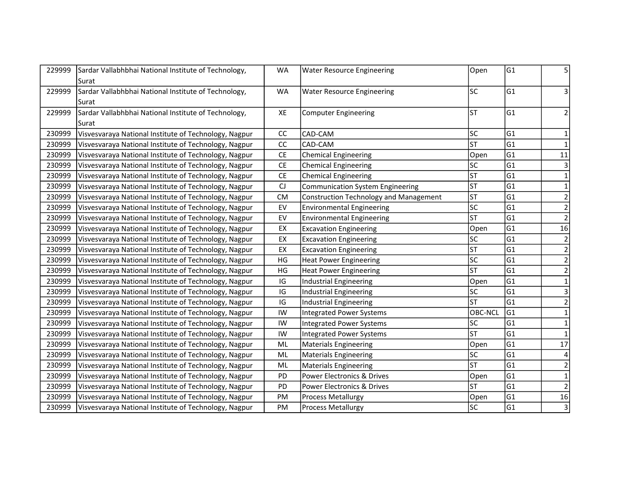| 229999 | Sardar Vallabhbhai National Institute of Technology,  | <b>WA</b>                     | <b>Water Resource Engineering</b>       | Open      | G1             | 5                       |
|--------|-------------------------------------------------------|-------------------------------|-----------------------------------------|-----------|----------------|-------------------------|
|        | Surat                                                 |                               |                                         |           |                |                         |
| 229999 | Sardar Vallabhbhai National Institute of Technology,  | <b>WA</b>                     | <b>Water Resource Engineering</b>       | lsc       | G1             | 3                       |
|        | Surat                                                 |                               |                                         |           |                |                         |
| 229999 | Sardar Vallabhbhai National Institute of Technology,  | XE                            | <b>Computer Engineering</b>             | lsт       | lG1            | $\overline{2}$          |
|        | Surat                                                 |                               |                                         |           |                |                         |
| 230999 | Visvesvaraya National Institute of Technology, Nagpur | cc                            | CAD-CAM                                 | lsc       | G1             | $\mathbf{1}$            |
| 230999 | Visvesvaraya National Institute of Technology, Nagpur | cc                            | CAD-CAM                                 | lst       | G <sub>1</sub> | $\mathbf{1}$            |
| 230999 | Visvesvaraya National Institute of Technology, Nagpur | <b>CE</b>                     | <b>Chemical Engineering</b>             | Open      | lG1            | 11                      |
| 230999 | Visvesvaraya National Institute of Technology, Nagpur | $\mathsf{CE}% _{\mathcal{A}}$ | <b>Chemical Engineering</b>             | lsc       | G1             | $\mathsf 3$             |
| 230999 | Visvesvaraya National Institute of Technology, Nagpur | CE                            | <b>Chemical Engineering</b>             | <b>ST</b> | G <sub>1</sub> | $\mathbf{1}$            |
| 230999 | Visvesvaraya National Institute of Technology, Nagpur | $\mathsf{C}\mathsf{J}$        | <b>Communication System Engineering</b> | <b>ST</b> | G <sub>1</sub> | 1                       |
| 230999 | Visvesvaraya National Institute of Technology, Nagpur | CM                            | Construction Technology and Management  | <b>ST</b> | G <sub>1</sub> | $\mathbf 2$             |
| 230999 | Visvesvaraya National Institute of Technology, Nagpur | EV                            | <b>Environmental Engineering</b>        | <b>SC</b> | G <sub>1</sub> | $\mathbf 2$             |
| 230999 | Visvesvaraya National Institute of Technology, Nagpur | EV                            | <b>Environmental Engineering</b>        | lst       | G <sub>1</sub> | $\overline{2}$          |
| 230999 | Visvesvaraya National Institute of Technology, Nagpur | EX                            | <b>Excavation Engineering</b>           | Open      | G <sub>1</sub> | 16                      |
| 230999 | Visvesvaraya National Institute of Technology, Nagpur | EX                            | <b>Excavation Engineering</b>           | lsc       | G <sub>1</sub> | $\overline{2}$          |
| 230999 | Visvesvaraya National Institute of Technology, Nagpur | EX                            | <b>Excavation Engineering</b>           | lst       | G1             | $\mathbf 2$             |
| 230999 | Visvesvaraya National Institute of Technology, Nagpur | HG                            | <b>Heat Power Engineering</b>           | lsc       | G <sub>1</sub> | $\overline{\mathbf{c}}$ |
| 230999 | Visvesvaraya National Institute of Technology, Nagpur | HG                            | <b>Heat Power Engineering</b>           | <b>ST</b> | G1             | $\overline{2}$          |
| 230999 | Visvesvaraya National Institute of Technology, Nagpur | $\mathsf{IG}$                 | Industrial Engineering                  | Open      | G1             | $\mathbf 1$             |
| 230999 | Visvesvaraya National Institute of Technology, Nagpur | IG                            | Industrial Engineering                  | lsc       | G <sub>1</sub> | $\overline{\mathbf{3}}$ |
| 230999 | Visvesvaraya National Institute of Technology, Nagpur | $\mathsf{IG}$                 | <b>Industrial Engineering</b>           | <b>ST</b> | G1             | $\overline{2}$          |
| 230999 | Visvesvaraya National Institute of Technology, Nagpur | IW                            | <b>Integrated Power Systems</b>         | OBC-NCL   | lG1            | $\mathbf 1$             |
| 230999 | Visvesvaraya National Institute of Technology, Nagpur | IW                            | <b>Integrated Power Systems</b>         | lsc       | lG1            | $\mathbf{1}$            |
| 230999 | Visvesvaraya National Institute of Technology, Nagpur | IW                            | <b>Integrated Power Systems</b>         | lst       | G <sub>1</sub> | $\mathbf 1$             |
| 230999 | Visvesvaraya National Institute of Technology, Nagpur | <b>ML</b>                     | <b>Materials Engineering</b>            | Open      | G1             | 17                      |
| 230999 | Visvesvaraya National Institute of Technology, Nagpur | <b>ML</b>                     | <b>Materials Engineering</b>            | lsc       | G <sub>1</sub> | 4                       |
| 230999 | Visvesvaraya National Institute of Technology, Nagpur | <b>ML</b>                     | <b>Materials Engineering</b>            | <b>ST</b> | G1             | $\mathbf 2$             |
| 230999 | Visvesvaraya National Institute of Technology, Nagpur | PD                            | Power Electronics & Drives              | Open      | G1             | $\mathbf 1$             |
| 230999 | Visvesvaraya National Institute of Technology, Nagpur | PD                            | Power Electronics & Drives              | <b>ST</b> | G1             | $\mathbf 2$             |
| 230999 | Visvesvaraya National Institute of Technology, Nagpur | PM                            | <b>Process Metallurgy</b>               | Open      | G <sub>1</sub> | 16                      |
| 230999 | Visvesvaraya National Institute of Technology, Nagpur | PM                            | <b>Process Metallurgy</b>               | lsc       | G1             | $\mathsf{3}$            |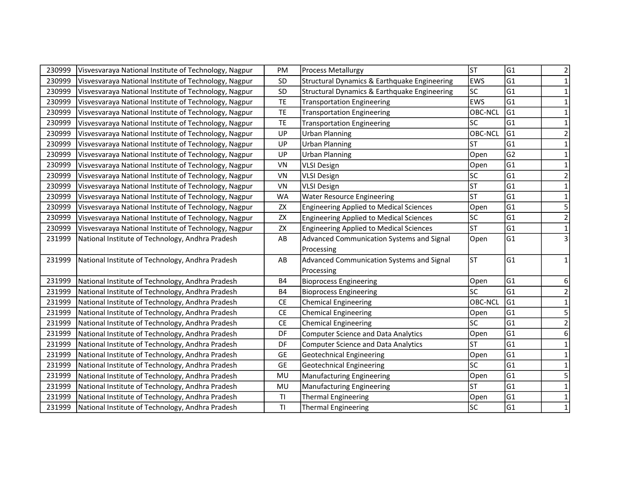| 230999 | Visvesvaraya National Institute of Technology, Nagpur | PM        | Process Metallurgy                             | <b>ST</b>      | G1             |                         |
|--------|-------------------------------------------------------|-----------|------------------------------------------------|----------------|----------------|-------------------------|
|        |                                                       |           |                                                |                |                | 2                       |
| 230999 | Visvesvaraya National Institute of Technology, Nagpur | SD        | Structural Dynamics & Earthquake Engineering   | <b>EWS</b>     | lG1            | 1                       |
| 230999 | Visvesvaraya National Institute of Technology, Nagpur | SD        | Structural Dynamics & Earthquake Engineering   | lsc            | lG1            | 1                       |
| 230999 | Visvesvaraya National Institute of Technology, Nagpur | TE        | <b>Transportation Engineering</b>              | <b>EWS</b>     | lG1            | 1                       |
| 230999 | Visvesvaraya National Institute of Technology, Nagpur | TE        | <b>Transportation Engineering</b>              | <b>OBC-NCL</b> | G1             | 1                       |
| 230999 | Visvesvaraya National Institute of Technology, Nagpur | TE        | <b>Transportation Engineering</b>              | lsc            | G1             | 1                       |
| 230999 | Visvesvaraya National Institute of Technology, Nagpur | UP        | <b>Urban Planning</b>                          | OBC-NCL        | lG1            | 2                       |
| 230999 | Visvesvaraya National Institute of Technology, Nagpur | UP        | <b>Urban Planning</b>                          | <b>ST</b>      | G1             | 1                       |
| 230999 | Visvesvaraya National Institute of Technology, Nagpur | UP        | <b>Urban Planning</b>                          | Open           | G2             | 1                       |
| 230999 | Visvesvaraya National Institute of Technology, Nagpur | VN        | <b>VLSI Design</b>                             | Open           | G1             | $\mathbf 1$             |
| 230999 | Visvesvaraya National Institute of Technology, Nagpur | VN        | <b>VLSI Design</b>                             | lsc            | G1             | $\overline{\mathbf{c}}$ |
| 230999 | Visvesvaraya National Institute of Technology, Nagpur | VN        | <b>VLSI Design</b>                             | lst            | G1             | 1                       |
| 230999 | Visvesvaraya National Institute of Technology, Nagpur | <b>WA</b> | <b>Water Resource Engineering</b>              | lsт            | lG1            | $\mathbf{1}$            |
| 230999 | Visvesvaraya National Institute of Technology, Nagpur | ZX        | <b>Engineering Applied to Medical Sciences</b> | Open           | G1             | 5                       |
| 230999 | Visvesvaraya National Institute of Technology, Nagpur | ZX        | <b>Engineering Applied to Medical Sciences</b> | SC             | G1             | $\overline{c}$          |
| 230999 | Visvesvaraya National Institute of Technology, Nagpur | ZX        | <b>Engineering Applied to Medical Sciences</b> | <b>ST</b>      | G1             | $\mathbf{1}$            |
| 231999 | National Institute of Technology, Andhra Pradesh      | AB        | Advanced Communication Systems and Signal      | Open           | lG1            | 3                       |
|        |                                                       |           | Processing                                     |                |                |                         |
| 231999 | National Institute of Technology, Andhra Pradesh      | AB        | Advanced Communication Systems and Signal      | <b>ST</b>      | G1             | 1                       |
|        |                                                       |           | Processing                                     |                |                |                         |
| 231999 | National Institute of Technology, Andhra Pradesh      | <b>B4</b> | <b>Bioprocess Engineering</b>                  | Open           | G1             | 6                       |
| 231999 | National Institute of Technology, Andhra Pradesh      | <b>B4</b> | <b>Bioprocess Engineering</b>                  | lsc            | lG1            |                         |
| 231999 | National Institute of Technology, Andhra Pradesh      | <b>CE</b> | <b>Chemical Engineering</b>                    | <b>OBC-NCL</b> | G1             | $\mathbf{1}$            |
| 231999 | National Institute of Technology, Andhra Pradesh      | <b>CE</b> | <b>Chemical Engineering</b>                    | Open           | G1             | 5                       |
| 231999 | National Institute of Technology, Andhra Pradesh      | CE        | <b>Chemical Engineering</b>                    | SC             | G1             | $\overline{c}$          |
| 231999 | National Institute of Technology, Andhra Pradesh      | DF        | <b>Computer Science and Data Analytics</b>     | Open           | lG1            | 6                       |
| 231999 | National Institute of Technology, Andhra Pradesh      | DF        | <b>Computer Science and Data Analytics</b>     | lst            | lG1            | 1                       |
| 231999 | National Institute of Technology, Andhra Pradesh      | GE        | Geotechnical Engineering                       | Open           | G1             | 1                       |
| 231999 | National Institute of Technology, Andhra Pradesh      | <b>GE</b> | <b>Geotechnical Engineering</b>                | lsc            | G1             | $\mathbf{1}$            |
| 231999 | National Institute of Technology, Andhra Pradesh      | MU        | <b>Manufacturing Engineering</b>               | Open           | G1             | 5                       |
| 231999 | National Institute of Technology, Andhra Pradesh      | MU        | <b>Manufacturing Engineering</b>               | lst            | G1             | 1                       |
| 231999 | National Institute of Technology, Andhra Pradesh      | <b>TI</b> | <b>Thermal Engineering</b>                     | Open           | G <sub>1</sub> | $\mathbf{1}$            |
| 231999 | National Institute of Technology, Andhra Pradesh      | T1        | <b>Thermal Engineering</b>                     | <b>SC</b>      | G1             | $\mathbf{1}$            |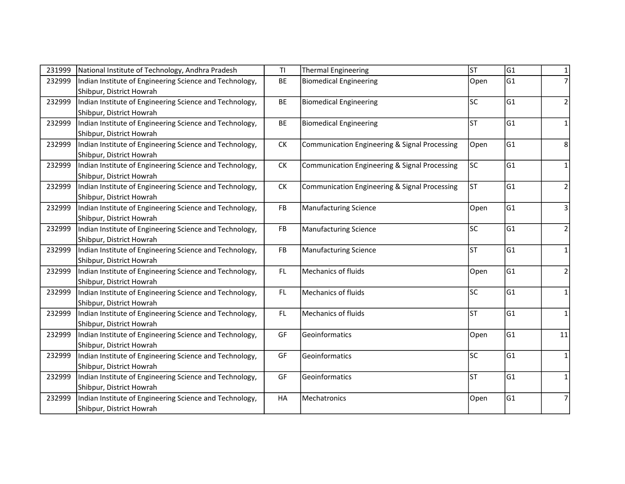| 231999 | National Institute of Technology, Andhra Pradesh        | <b>TI</b>        | <b>Thermal Engineering</b>                    | <b>ST</b> | G <sub>1</sub> | 1              |
|--------|---------------------------------------------------------|------------------|-----------------------------------------------|-----------|----------------|----------------|
| 232999 | Indian Institute of Engineering Science and Technology, | BE               | <b>Biomedical Engineering</b>                 | Open      | G1             | $\overline{7}$ |
|        | Shibpur, District Howrah                                |                  |                                               |           |                |                |
| 232999 | Indian Institute of Engineering Science and Technology, | BE               | <b>Biomedical Engineering</b>                 | lsc       | G1             | 2              |
|        | Shibpur, District Howrah                                |                  |                                               |           |                |                |
| 232999 | Indian Institute of Engineering Science and Technology, | BE               | <b>Biomedical Engineering</b>                 | lsт       | lG1            | 1              |
|        | Shibpur, District Howrah                                |                  |                                               |           |                |                |
| 232999 | Indian Institute of Engineering Science and Technology, | ${\sf C}{\sf K}$ | Communication Engineering & Signal Processing | Open      | G1             | 8              |
|        | Shibpur, District Howrah                                |                  |                                               |           |                |                |
| 232999 | Indian Institute of Engineering Science and Technology, | ${\sf C}{\sf K}$ | Communication Engineering & Signal Processing | lsc       | G1             | $\mathbf{1}$   |
|        | Shibpur, District Howrah                                |                  |                                               |           |                |                |
| 232999 | Indian Institute of Engineering Science and Technology, | ${\sf C}{\sf K}$ | Communication Engineering & Signal Processing | lst       | G1             | $\overline{2}$ |
|        | Shibpur, District Howrah                                |                  |                                               |           |                |                |
| 232999 | Indian Institute of Engineering Science and Technology, | FB               | <b>Manufacturing Science</b>                  | Open      | lG1            | $\overline{3}$ |
|        | Shibpur, District Howrah                                |                  |                                               |           |                |                |
| 232999 | Indian Institute of Engineering Science and Technology, | FB               | <b>Manufacturing Science</b>                  | lsc       | lG1            | $\overline{2}$ |
|        | Shibpur, District Howrah                                |                  |                                               |           |                |                |
| 232999 | Indian Institute of Engineering Science and Technology, | <b>FB</b>        | <b>Manufacturing Science</b>                  | lsт       | lG1            | $\mathbf{1}$   |
|        | Shibpur, District Howrah                                |                  |                                               |           |                |                |
| 232999 | Indian Institute of Engineering Science and Technology, | FL.              | <b>Mechanics of fluids</b>                    | Open      | lG1            | $\overline{2}$ |
|        | Shibpur, District Howrah                                |                  |                                               |           |                |                |
| 232999 | Indian Institute of Engineering Science and Technology, | FL.              | <b>Mechanics of fluids</b>                    | lsc       | G1             | $\mathbf{1}$   |
|        | Shibpur, District Howrah                                |                  |                                               |           |                |                |
| 232999 | Indian Institute of Engineering Science and Technology, | FL.              | <b>Mechanics of fluids</b>                    | lst       | lG1            | 1              |
|        | Shibpur, District Howrah                                |                  |                                               |           |                |                |
| 232999 | Indian Institute of Engineering Science and Technology, | GF               | Geoinformatics                                | Open      | lG1            | 11             |
|        | Shibpur, District Howrah                                |                  |                                               |           |                |                |
| 232999 | Indian Institute of Engineering Science and Technology, | GF               | Geoinformatics                                | lsc       | lG1            | 1              |
|        | Shibpur, District Howrah                                |                  |                                               |           |                |                |
| 232999 | Indian Institute of Engineering Science and Technology, | GF               | Geoinformatics                                | lsт       | G1             | $\mathbf{1}$   |
|        | Shibpur, District Howrah                                |                  |                                               |           |                |                |
| 232999 | Indian Institute of Engineering Science and Technology, | HA               | Mechatronics                                  | Open      | G1             | $\overline{7}$ |
|        | Shibpur, District Howrah                                |                  |                                               |           |                |                |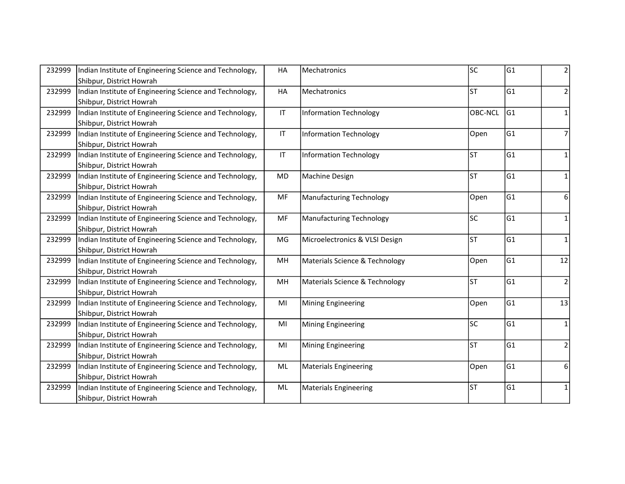| 232999 | Indian Institute of Engineering Science and Technology, | HA                     | Mechatronics                    | lsc     | G1  | 2              |
|--------|---------------------------------------------------------|------------------------|---------------------------------|---------|-----|----------------|
|        | Shibpur, District Howrah                                |                        |                                 |         |     |                |
| 232999 | Indian Institute of Engineering Science and Technology, | HA                     | Mechatronics                    | lsт     | G1  | $\overline{2}$ |
|        | Shibpur, District Howrah                                |                        |                                 |         |     |                |
| 232999 | Indian Institute of Engineering Science and Technology, | $\mathsf{I}\mathsf{T}$ | <b>Information Technology</b>   | OBC-NCL | lG1 | $\mathbf{1}$   |
|        | Shibpur, District Howrah                                |                        |                                 |         |     |                |
| 232999 | Indian Institute of Engineering Science and Technology, | $\mathsf{I}\mathsf{T}$ | <b>Information Technology</b>   | Open    | G1  | 7              |
|        | Shibpur, District Howrah                                |                        |                                 |         |     |                |
| 232999 | Indian Institute of Engineering Science and Technology, | $\mathsf{I}\mathsf{T}$ | <b>Information Technology</b>   | lsт     | G1  | $\mathbf{1}$   |
|        | Shibpur, District Howrah                                |                        |                                 |         |     |                |
| 232999 | Indian Institute of Engineering Science and Technology, | <b>MD</b>              | Machine Design                  | lsт     | G1  | $\mathbf{1}$   |
|        | Shibpur, District Howrah                                |                        |                                 |         |     |                |
| 232999 | Indian Institute of Engineering Science and Technology, | MF                     | <b>Manufacturing Technology</b> | Open    | G1  | 6              |
|        | Shibpur, District Howrah                                |                        |                                 |         |     |                |
| 232999 | Indian Institute of Engineering Science and Technology, | MF                     | <b>Manufacturing Technology</b> | lsc     | G1  | $\mathbf 1$    |
|        | Shibpur, District Howrah                                |                        |                                 |         |     |                |
| 232999 | Indian Institute of Engineering Science and Technology, | MG                     | Microelectronics & VLSI Design  | lsт     | G1  | $\mathbf{1}$   |
|        | Shibpur, District Howrah                                |                        |                                 |         |     |                |
| 232999 | Indian Institute of Engineering Science and Technology, | MH                     | Materials Science & Technology  | Open    | G1  | 12             |
|        | Shibpur, District Howrah                                |                        |                                 |         |     |                |
| 232999 | Indian Institute of Engineering Science and Technology, | MH                     | Materials Science & Technology  | lsт     | G1  | $\overline{2}$ |
|        | Shibpur, District Howrah                                |                        |                                 |         |     |                |
| 232999 | Indian Institute of Engineering Science and Technology, | MI                     | <b>Mining Engineering</b>       | Open    | G1  | 13             |
|        | Shibpur, District Howrah                                |                        |                                 |         |     |                |
| 232999 | Indian Institute of Engineering Science and Technology, | MI                     | <b>Mining Engineering</b>       | lsc     | G1  | 1              |
|        | Shibpur, District Howrah                                |                        |                                 |         |     |                |
| 232999 | Indian Institute of Engineering Science and Technology, | MI                     | <b>Mining Engineering</b>       | lsт     | G1  | $\overline{2}$ |
|        | Shibpur, District Howrah                                |                        |                                 |         |     |                |
| 232999 | Indian Institute of Engineering Science and Technology, | ML                     | <b>Materials Engineering</b>    | Open    | G1  | 6              |
|        | Shibpur, District Howrah                                |                        |                                 |         |     |                |
| 232999 | Indian Institute of Engineering Science and Technology, | $\mathsf{ML}$          | <b>Materials Engineering</b>    | lst     | G1  | 1              |
|        | Shibpur, District Howrah                                |                        |                                 |         |     |                |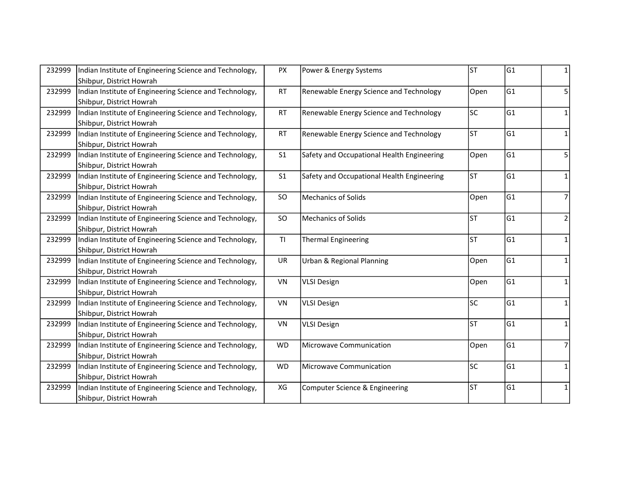| 232999 | Indian Institute of Engineering Science and Technology, | <b>PX</b>      | Power & Energy Systems                     | lsт       | G1  | 1              |
|--------|---------------------------------------------------------|----------------|--------------------------------------------|-----------|-----|----------------|
|        | Shibpur, District Howrah                                |                |                                            |           |     |                |
| 232999 | Indian Institute of Engineering Science and Technology, | <b>RT</b>      | Renewable Energy Science and Technology    | Open      | G1  | 5              |
|        | Shibpur, District Howrah                                |                |                                            |           |     |                |
| 232999 | Indian Institute of Engineering Science and Technology, | <b>RT</b>      | Renewable Energy Science and Technology    | lsc       | G1  | $\mathbf{1}$   |
|        | Shibpur, District Howrah                                |                |                                            |           |     |                |
| 232999 | Indian Institute of Engineering Science and Technology, | <b>RT</b>      | Renewable Energy Science and Technology    | lsт       | G1  | 1              |
|        | Shibpur, District Howrah                                |                |                                            |           |     |                |
| 232999 | Indian Institute of Engineering Science and Technology, | S <sub>1</sub> | Safety and Occupational Health Engineering | Open      | G1  | 5              |
|        | Shibpur, District Howrah                                |                |                                            |           |     |                |
| 232999 | Indian Institute of Engineering Science and Technology, | S <sub>1</sub> | Safety and Occupational Health Engineering | <b>ST</b> | G1  | $\mathbf{1}$   |
|        | Shibpur, District Howrah                                |                |                                            |           |     |                |
| 232999 | Indian Institute of Engineering Science and Technology, | SO             | <b>Mechanics of Solids</b>                 | Open      | G1  | 7              |
|        | Shibpur, District Howrah                                |                |                                            |           |     |                |
| 232999 | Indian Institute of Engineering Science and Technology, | SO             | <b>Mechanics of Solids</b>                 | lsт       | G1  | $\overline{2}$ |
|        | Shibpur, District Howrah                                |                |                                            |           |     |                |
| 232999 | Indian Institute of Engineering Science and Technology, | T1             | <b>Thermal Engineering</b>                 | <b>ST</b> | G1  | 1              |
|        | Shibpur, District Howrah                                |                |                                            |           |     |                |
| 232999 | Indian Institute of Engineering Science and Technology, | UR             | Urban & Regional Planning                  | Open      | G1  | 1              |
|        | Shibpur, District Howrah                                |                |                                            |           |     |                |
| 232999 | Indian Institute of Engineering Science and Technology, | VN             | <b>VLSI Design</b>                         | Open      | G1  | $\mathbf{1}$   |
|        | Shibpur, District Howrah                                |                |                                            |           |     |                |
| 232999 | Indian Institute of Engineering Science and Technology, | VN             | <b>VLSI Design</b>                         | lsc       | G1  | 1              |
|        | Shibpur, District Howrah                                |                |                                            |           |     |                |
| 232999 | Indian Institute of Engineering Science and Technology, | VN             | <b>VLSI Design</b>                         | <b>ST</b> | lG1 | 1              |
|        | Shibpur, District Howrah                                |                |                                            |           |     |                |
| 232999 | Indian Institute of Engineering Science and Technology, | <b>WD</b>      | Microwave Communication                    | Open      | G1  | $\overline{7}$ |
|        | Shibpur, District Howrah                                |                |                                            |           |     |                |
| 232999 | Indian Institute of Engineering Science and Technology, | <b>WD</b>      | <b>Microwave Communication</b>             | lsc       | G1  | 1              |
|        | Shibpur, District Howrah                                |                |                                            |           |     |                |
| 232999 | Indian Institute of Engineering Science and Technology, | XG             | Computer Science & Engineering             | lst       | G1  | 1              |
|        | Shibpur, District Howrah                                |                |                                            |           |     |                |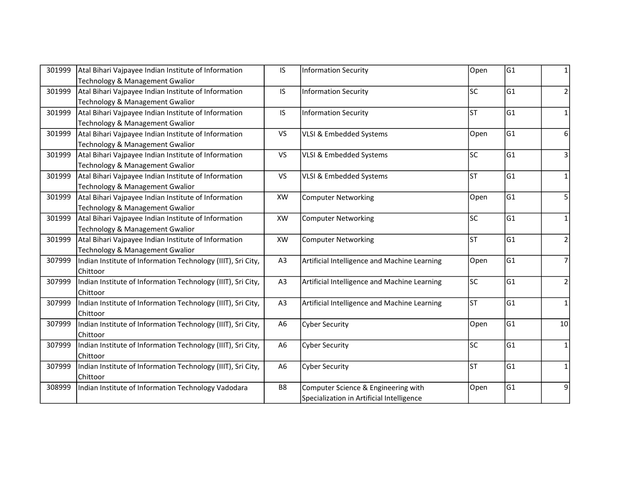| 301999 | Atal Bihari Vajpayee Indian Institute of Information         | IS             | <b>Information Security</b>                  | Open | G1 | 1              |
|--------|--------------------------------------------------------------|----------------|----------------------------------------------|------|----|----------------|
|        | Technology & Management Gwalior                              |                |                                              |      |    |                |
| 301999 | Atal Bihari Vajpayee Indian Institute of Information         | IS.            | <b>Information Security</b>                  | lsc  | G1 | $\mathbf 2$    |
|        | Technology & Management Gwalior                              |                |                                              |      |    |                |
| 301999 | Atal Bihari Vajpayee Indian Institute of Information         | IS.            | <b>Information Security</b>                  | lsт  | G1 | $\mathbf{1}$   |
|        | Technology & Management Gwalior                              |                |                                              |      |    |                |
| 301999 | Atal Bihari Vajpayee Indian Institute of Information         | <b>VS</b>      | VLSI & Embedded Systems                      | Open | G1 | 6              |
|        | Technology & Management Gwalior                              |                |                                              |      |    |                |
| 301999 | Atal Bihari Vajpayee Indian Institute of Information         | <b>VS</b>      | VLSI & Embedded Systems                      | lsc  | G1 | 3              |
|        | Technology & Management Gwalior                              |                |                                              |      |    |                |
| 301999 | Atal Bihari Vajpayee Indian Institute of Information         | <b>VS</b>      | VLSI & Embedded Systems                      | lsт  | G1 | $\mathbf{1}$   |
|        | Technology & Management Gwalior                              |                |                                              |      |    |                |
| 301999 | Atal Bihari Vajpayee Indian Institute of Information         | XW             | <b>Computer Networking</b>                   | Open | G1 | 5              |
|        | Technology & Management Gwalior                              |                |                                              |      |    |                |
| 301999 | Atal Bihari Vajpayee Indian Institute of Information         | XW             | <b>Computer Networking</b>                   | lsc  | G1 | $\mathbf{1}$   |
|        | Technology & Management Gwalior                              |                |                                              |      |    |                |
| 301999 | Atal Bihari Vajpayee Indian Institute of Information         | XW             | <b>Computer Networking</b>                   | lsт  | G1 | $\overline{2}$ |
|        | Technology & Management Gwalior                              |                |                                              |      |    |                |
| 307999 | Indian Institute of Information Technology (IIIT), Sri City, | A <sub>3</sub> | Artificial Intelligence and Machine Learning | Open | G1 | 7              |
|        | Chittoor                                                     |                |                                              |      |    |                |
| 307999 | Indian Institute of Information Technology (IIIT), Sri City, | A <sub>3</sub> | Artificial Intelligence and Machine Learning | lsc  | G1 | $\overline{2}$ |
|        | Chittoor                                                     |                |                                              |      |    |                |
| 307999 | Indian Institute of Information Technology (IIIT), Sri City, | A3             | Artificial Intelligence and Machine Learning | lst  | G1 | $\mathbf{1}$   |
|        | Chittoor                                                     |                |                                              |      |    |                |
| 307999 | Indian Institute of Information Technology (IIIT), Sri City, | A <sub>6</sub> | <b>Cyber Security</b>                        | Open | G1 | 10             |
|        | Chittoor                                                     |                |                                              |      |    |                |
| 307999 | Indian Institute of Information Technology (IIIT), Sri City, | A <sub>6</sub> | <b>Cyber Security</b>                        | lsc  | G1 | $\mathbf{1}$   |
|        | Chittoor                                                     |                |                                              |      |    |                |
| 307999 | Indian Institute of Information Technology (IIIT), Sri City, | A <sub>6</sub> | <b>Cyber Security</b>                        | lsт  | G1 | $\mathbf{1}$   |
|        | Chittoor                                                     |                |                                              |      |    |                |
| 308999 | Indian Institute of Information Technology Vadodara          | B8             | Computer Science & Engineering with          | Open | G1 | 9              |
|        |                                                              |                | Specialization in Artificial Intelligence    |      |    |                |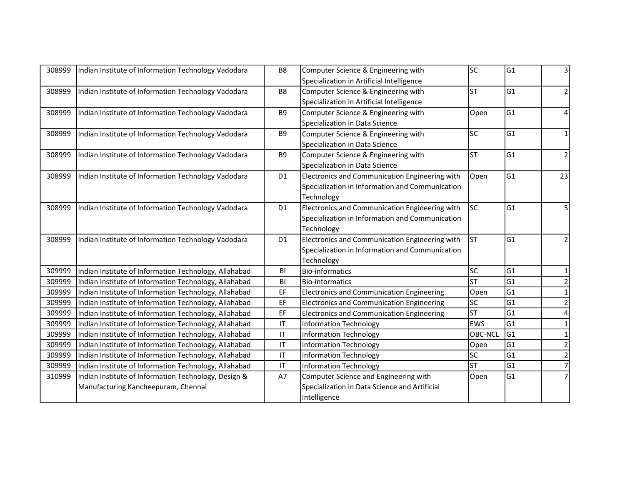| 308999 | Indian Institute of Information Technology Vadodara   | B8                                | Computer Science & Engineering with              | lsc            | G1             | 3              |
|--------|-------------------------------------------------------|-----------------------------------|--------------------------------------------------|----------------|----------------|----------------|
|        |                                                       |                                   | Specialization in Artificial Intelligence        |                |                |                |
| 308999 | Indian Institute of Information Technology Vadodara   | B <sub>8</sub>                    | Computer Science & Engineering with              | lst            | lG1            | $\overline{2}$ |
|        |                                                       |                                   | Specialization in Artificial Intelligence        |                |                |                |
| 308999 | Indian Institute of Information Technology Vadodara   | B <sub>9</sub>                    | Computer Science & Engineering with              | Open           | G1             | 4              |
|        |                                                       |                                   | Specialization in Data Science                   |                |                |                |
| 308999 | Indian Institute of Information Technology Vadodara   | B <sub>9</sub>                    | Computer Science & Engineering with              | lsc            | G1             | 1              |
|        |                                                       |                                   | Specialization in Data Science                   |                |                |                |
| 308999 | Indian Institute of Information Technology Vadodara   | B <sub>9</sub>                    | Computer Science & Engineering with              | <b>ST</b>      | G1             | $\overline{2}$ |
|        |                                                       |                                   | Specialization in Data Science                   |                |                |                |
| 308999 | Indian Institute of Information Technology Vadodara   | D <sub>1</sub>                    | Electronics and Communication Engineering with   | Open           | G1             | 23             |
|        |                                                       |                                   | Specialization in Information and Communication  |                |                |                |
|        |                                                       |                                   | Technology                                       |                |                |                |
| 308999 | Indian Institute of Information Technology Vadodara   | D <sub>1</sub>                    | Electronics and Communication Engineering with   | <b>SC</b>      | G1             | 5              |
|        |                                                       |                                   | Specialization in Information and Communication  |                |                |                |
|        |                                                       |                                   | Technology                                       |                |                |                |
| 308999 | Indian Institute of Information Technology Vadodara   | D <sub>1</sub>                    | Electronics and Communication Engineering with   | Ist            | G1             | $\overline{2}$ |
|        |                                                       |                                   | Specialization in Information and Communication  |                |                |                |
|        |                                                       |                                   | Technology                                       |                |                |                |
| 309999 | Indian Institute of Information Technology, Allahabad | BI                                | <b>Bio-informatics</b>                           | lsc            | G1             | 1              |
| 309999 | Indian Institute of Information Technology, Allahabad | BI                                | <b>Bio-informatics</b>                           | lsт            | G <sub>1</sub> | $\overline{2}$ |
| 309999 | Indian Institute of Information Technology, Allahabad | EF                                | Electronics and Communication Engineering        | Open           | G <sub>1</sub> | $\mathbf{1}$   |
| 309999 | Indian Institute of Information Technology, Allahabad | EF                                | <b>Electronics and Communication Engineering</b> | lsc            | G <sub>1</sub> | $\overline{2}$ |
| 309999 | Indian Institute of Information Technology, Allahabad | EF                                | Electronics and Communication Engineering        | lst            | G <sub>1</sub> |                |
| 309999 | Indian Institute of Information Technology, Allahabad | $\mathsf{I}\mathsf{T}$            | Information Technology                           | <b>EWS</b>     | G <sub>1</sub> |                |
| 309999 | Indian Institute of Information Technology, Allahabad | $\mathsf{I}\mathsf{T}$            | <b>Information Technology</b>                    | <b>OBC-NCL</b> | G1             | $\mathbf{1}$   |
| 309999 | Indian Institute of Information Technology, Allahabad | $\ensuremath{\mathsf{IT}}\xspace$ | <b>Information Technology</b>                    | Open           | G <sub>1</sub> | $\overline{2}$ |
| 309999 | Indian Institute of Information Technology, Allahabad | $\ensuremath{\mathsf{IT}}\xspace$ | Information Technology                           | lsc            | G <sub>1</sub> | $\overline{2}$ |
| 309999 | Indian Institute of Information Technology, Allahabad | $\mathsf{I}\mathsf{T}$            | Information Technology                           | lst            | G <sub>1</sub> | $\overline{7}$ |
| 310999 | Indian Institute of Information Technology, Design &  | A7                                | Computer Science and Engineering with            | Open           | G1             |                |
|        | Manufacturing Kancheepuram, Chennai                   |                                   | Specialization in Data Science and Artificial    |                |                |                |
|        |                                                       |                                   | Intelligence                                     |                |                |                |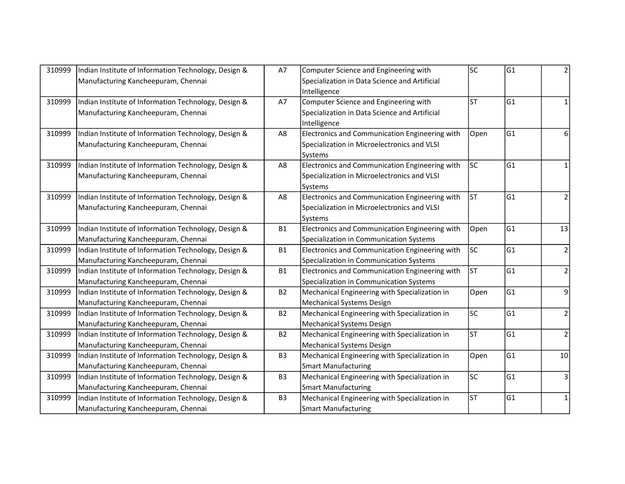| 310999 | Indian Institute of Information Technology, Design & | A7             | Computer Science and Engineering with          | lsc       | G1             | 2              |
|--------|------------------------------------------------------|----------------|------------------------------------------------|-----------|----------------|----------------|
|        | Manufacturing Kancheepuram, Chennai                  |                | Specialization in Data Science and Artificial  |           |                |                |
|        |                                                      |                | Intelligence                                   |           |                |                |
| 310999 | Indian Institute of Information Technology, Design & | A7             | Computer Science and Engineering with          | lsт       | lG1            | $\mathbf{1}$   |
|        | Manufacturing Kancheepuram, Chennai                  |                | Specialization in Data Science and Artificial  |           |                |                |
|        |                                                      |                | Intelligence                                   |           |                |                |
| 310999 | Indian Institute of Information Technology, Design & | A8             | Electronics and Communication Engineering with | Open      | G1             | 6              |
|        | Manufacturing Kancheepuram, Chennai                  |                | Specialization in Microelectronics and VLSI    |           |                |                |
|        |                                                      |                | Systems                                        |           |                |                |
| 310999 | Indian Institute of Information Technology, Design & | A8             | Electronics and Communication Engineering with | <b>SC</b> | G1             |                |
|        | Manufacturing Kancheepuram, Chennai                  |                | Specialization in Microelectronics and VLSI    |           |                |                |
|        |                                                      |                | Systems                                        |           |                |                |
| 310999 | Indian Institute of Information Technology, Design & | A8             | Electronics and Communication Engineering with | lsт       | G1             | 2              |
|        | Manufacturing Kancheepuram, Chennai                  |                | Specialization in Microelectronics and VLSI    |           |                |                |
|        |                                                      |                | Systems                                        |           |                |                |
| 310999 | Indian Institute of Information Technology, Design & | <b>B1</b>      | Electronics and Communication Engineering with | Open      | G1             | 13             |
|        | Manufacturing Kancheepuram, Chennai                  |                | Specialization in Communication Systems        |           |                |                |
| 310999 | Indian Institute of Information Technology, Design & | <b>B1</b>      | Electronics and Communication Engineering with | lsc       | lG1            | 2              |
|        | Manufacturing Kancheepuram, Chennai                  |                | Specialization in Communication Systems        |           |                |                |
| 310999 | Indian Institute of Information Technology, Design & | <b>B1</b>      | Electronics and Communication Engineering with | <b>ST</b> | G1             | $\overline{2}$ |
|        | Manufacturing Kancheepuram, Chennai                  |                | Specialization in Communication Systems        |           |                |                |
| 310999 | Indian Institute of Information Technology, Design & | <b>B2</b>      | Mechanical Engineering with Specialization in  | Open      | G1             | 9              |
|        | Manufacturing Kancheepuram, Chennai                  |                | <b>Mechanical Systems Design</b>               |           |                |                |
| 310999 | Indian Institute of Information Technology, Design & | <b>B2</b>      | Mechanical Engineering with Specialization in  | lsc       | G1             | $\overline{2}$ |
|        | Manufacturing Kancheepuram, Chennai                  |                | <b>Mechanical Systems Design</b>               |           |                |                |
| 310999 | Indian Institute of Information Technology, Design & | <b>B2</b>      | Mechanical Engineering with Specialization in  | lsт       | G1             | $\overline{2}$ |
|        | Manufacturing Kancheepuram, Chennai                  |                | <b>Mechanical Systems Design</b>               |           |                |                |
| 310999 | Indian Institute of Information Technology, Design & | B <sub>3</sub> | Mechanical Engineering with Specialization in  | Open      | G1             | 10             |
|        | Manufacturing Kancheepuram, Chennai                  |                | <b>Smart Manufacturing</b>                     |           |                |                |
| 310999 | Indian Institute of Information Technology, Design & | B <sub>3</sub> | Mechanical Engineering with Specialization in  | <b>SC</b> | G <sub>1</sub> | 3              |
|        | Manufacturing Kancheepuram, Chennai                  |                | <b>Smart Manufacturing</b>                     |           |                |                |
| 310999 | Indian Institute of Information Technology, Design & | B <sub>3</sub> | Mechanical Engineering with Specialization in  | <b>ST</b> | G1             | $\mathbf{1}$   |
|        | Manufacturing Kancheepuram, Chennai                  |                | <b>Smart Manufacturing</b>                     |           |                |                |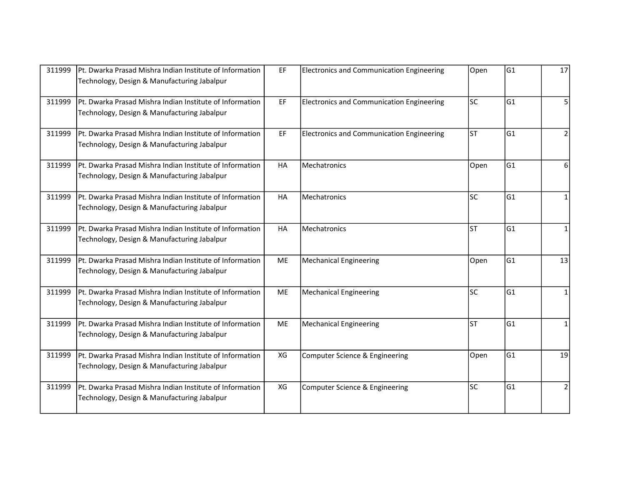| 311999 | Pt. Dwarka Prasad Mishra Indian Institute of Information<br>Technology, Design & Manufacturing Jabalpur | EF        | <b>Electronics and Communication Engineering</b> | Open | G1  | 17             |
|--------|---------------------------------------------------------------------------------------------------------|-----------|--------------------------------------------------|------|-----|----------------|
| 311999 | Pt. Dwarka Prasad Mishra Indian Institute of Information<br>Technology, Design & Manufacturing Jabalpur | EF        | <b>Electronics and Communication Engineering</b> | lsc  | lG1 | 5              |
| 311999 | Pt. Dwarka Prasad Mishra Indian Institute of Information<br>Technology, Design & Manufacturing Jabalpur | EF        | <b>Electronics and Communication Engineering</b> | lsт  | lG1 | $\overline{2}$ |
| 311999 | Pt. Dwarka Prasad Mishra Indian Institute of Information<br>Technology, Design & Manufacturing Jabalpur | HA        | Mechatronics                                     | Open | G1  | 6              |
| 311999 | Pt. Dwarka Prasad Mishra Indian Institute of Information<br>Technology, Design & Manufacturing Jabalpur | <b>HA</b> | <b>I</b> Mechatronics                            | lsc  | lG1 | $\mathbf{1}$   |
| 311999 | Pt. Dwarka Prasad Mishra Indian Institute of Information<br>Technology, Design & Manufacturing Jabalpur | HA        | <b>Mechatronics</b>                              | lst  | lG1 | 1              |
| 311999 | Pt. Dwarka Prasad Mishra Indian Institute of Information<br>Technology, Design & Manufacturing Jabalpur | ME        | <b>Mechanical Engineering</b>                    | Open | G1  | 13             |
| 311999 | Pt. Dwarka Prasad Mishra Indian Institute of Information<br>Technology, Design & Manufacturing Jabalpur | ME        | <b>Mechanical Engineering</b>                    | lsc  | G1  | $\mathbf{1}$   |
| 311999 | Pt. Dwarka Prasad Mishra Indian Institute of Information<br>Technology, Design & Manufacturing Jabalpur | ME        | Mechanical Engineering                           | lst  | lG1 | 1              |
| 311999 | Pt. Dwarka Prasad Mishra Indian Institute of Information<br>Technology, Design & Manufacturing Jabalpur | XG        | Computer Science & Engineering                   | Open | G1  | 19             |
| 311999 | Pt. Dwarka Prasad Mishra Indian Institute of Information<br>Technology, Design & Manufacturing Jabalpur | XG        | Computer Science & Engineering                   | lsc  | lG1 | $\overline{2}$ |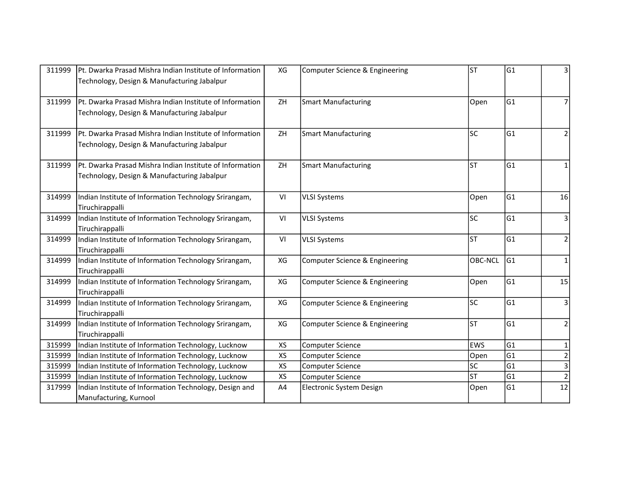| 311999 | Pt. Dwarka Prasad Mishra Indian Institute of Information | XG        | Computer Science & Engineering | lst        | G1  | 3               |
|--------|----------------------------------------------------------|-----------|--------------------------------|------------|-----|-----------------|
|        | Technology, Design & Manufacturing Jabalpur              |           |                                |            |     |                 |
| 311999 | Pt. Dwarka Prasad Mishra Indian Institute of Information | ZH        | <b>Smart Manufacturing</b>     | Open       | lG1 | 7               |
|        | Technology, Design & Manufacturing Jabalpur              |           |                                |            |     |                 |
|        |                                                          |           |                                |            |     |                 |
| 311999 | Pt. Dwarka Prasad Mishra Indian Institute of Information | ZH        | <b>Smart Manufacturing</b>     | lsc        | lG1 | $\overline{2}$  |
|        | Technology, Design & Manufacturing Jabalpur              |           |                                |            |     |                 |
| 311999 | Pt. Dwarka Prasad Mishra Indian Institute of Information | ZH        | <b>Smart Manufacturing</b>     | lst        | lG1 | 1               |
|        | Technology, Design & Manufacturing Jabalpur              |           |                                |            |     |                 |
|        |                                                          |           |                                |            |     |                 |
| 314999 | Indian Institute of Information Technology Srirangam,    | VI        | <b>VLSI Systems</b>            | Open       | lG1 | 16              |
|        | Tiruchirappalli                                          |           |                                |            |     |                 |
| 314999 | Indian Institute of Information Technology Srirangam,    | VI        | <b>VLSI Systems</b>            | lsc        | G1  | 3               |
|        | Tiruchirappalli                                          |           |                                |            |     |                 |
| 314999 | Indian Institute of Information Technology Srirangam,    | VI        | <b>VLSI Systems</b>            | lsт        | G1  | $\overline{2}$  |
|        | Tiruchirappalli                                          |           |                                |            |     |                 |
| 314999 | Indian Institute of Information Technology Srirangam,    | XG        | Computer Science & Engineering | OBC-NCL    | G1  | 1               |
|        | Tiruchirappalli                                          |           |                                |            |     |                 |
| 314999 | Indian Institute of Information Technology Srirangam,    | XG        | Computer Science & Engineering | Open       | G1  | 15              |
|        | Tiruchirappalli                                          |           |                                |            |     |                 |
| 314999 | Indian Institute of Information Technology Srirangam,    | XG        | Computer Science & Engineering | lsc        | G1  | 3               |
|        | Tiruchirappalli                                          |           |                                |            |     |                 |
| 314999 | Indian Institute of Information Technology Srirangam,    | XG        | Computer Science & Engineering | lst        | lG1 | $\overline{2}$  |
|        | Tiruchirappalli                                          |           |                                |            |     |                 |
| 315999 | Indian Institute of Information Technology, Lucknow      | <b>XS</b> | <b>Computer Science</b>        | <b>EWS</b> | G1  | 1               |
| 315999 | Indian Institute of Information Technology, Lucknow      | <b>XS</b> | Computer Science               | Open       | lG1 | $\mathbf 2$     |
| 315999 | Indian Institute of Information Technology, Lucknow      | <b>XS</b> | Computer Science               | lsc        | G1  | $\overline{3}$  |
| 315999 | Indian Institute of Information Technology, Lucknow      | <b>XS</b> | Computer Science               | lst        | G1  | $\overline{2}$  |
| 317999 | Indian Institute of Information Technology, Design and   | A4        | Electronic System Design       | Open       | G1  | $\overline{12}$ |
|        | Manufacturing, Kurnool                                   |           |                                |            |     |                 |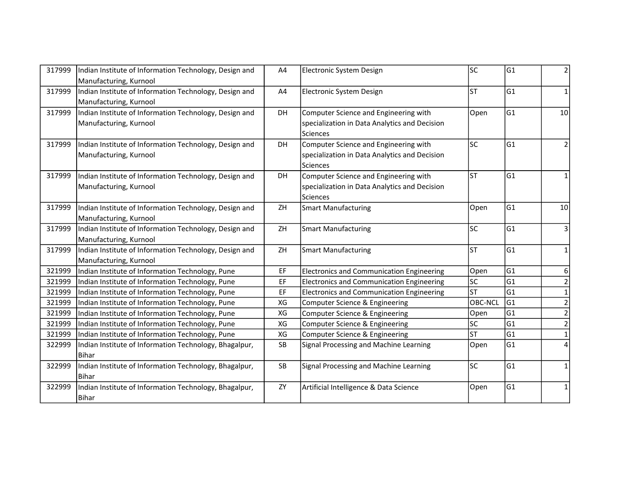| 317999 | Indian Institute of Information Technology, Design and | A4 | Electronic System Design                         | lsc       | G1             | 2              |
|--------|--------------------------------------------------------|----|--------------------------------------------------|-----------|----------------|----------------|
|        | Manufacturing, Kurnool                                 |    |                                                  |           |                |                |
| 317999 | Indian Institute of Information Technology, Design and | A4 | Electronic System Design                         | lst       | G1             | $\mathbf{1}$   |
|        | Manufacturing, Kurnool                                 |    |                                                  |           |                |                |
| 317999 | Indian Institute of Information Technology, Design and | DH | Computer Science and Engineering with            | Open      | G1             | 10             |
|        | Manufacturing, Kurnool                                 |    | specialization in Data Analytics and Decision    |           |                |                |
|        |                                                        |    | <b>Sciences</b>                                  |           |                |                |
| 317999 | Indian Institute of Information Technology, Design and | DH | Computer Science and Engineering with            | lsc       | G1             | $\overline{2}$ |
|        | Manufacturing, Kurnool                                 |    | specialization in Data Analytics and Decision    |           |                |                |
|        |                                                        |    | <b>Sciences</b>                                  |           |                |                |
| 317999 | Indian Institute of Information Technology, Design and | DH | Computer Science and Engineering with            | lst       | G1             | $\mathbf{1}$   |
|        | Manufacturing, Kurnool                                 |    | specialization in Data Analytics and Decision    |           |                |                |
|        |                                                        |    | <b>Sciences</b>                                  |           |                |                |
| 317999 | Indian Institute of Information Technology, Design and | ZH | <b>Smart Manufacturing</b>                       | Open      | G1             | 10             |
|        | Manufacturing, Kurnool                                 |    |                                                  |           |                |                |
| 317999 | Indian Institute of Information Technology, Design and | ZH | <b>Smart Manufacturing</b>                       | lsc       | G1             | 3              |
|        | Manufacturing, Kurnool                                 |    |                                                  |           |                |                |
| 317999 | Indian Institute of Information Technology, Design and | ZH | Smart Manufacturing                              | lsт       | G1             | $\mathbf{1}$   |
|        | Manufacturing, Kurnool                                 |    |                                                  |           |                |                |
| 321999 | Indian Institute of Information Technology, Pune       | EF | <b>Electronics and Communication Engineering</b> | Open      | G1             | 6              |
| 321999 | Indian Institute of Information Technology, Pune       | EF | <b>Electronics and Communication Engineering</b> | <b>SC</b> | G <sub>1</sub> | 2              |
| 321999 | Indian Institute of Information Technology, Pune       | EF | <b>Electronics and Communication Engineering</b> | lst       | G1             | $\mathbf{1}$   |
| 321999 | Indian Institute of Information Technology, Pune       | XG | Computer Science & Engineering                   | OBC-NCL   | G <sub>1</sub> | $\overline{2}$ |
| 321999 | Indian Institute of Information Technology, Pune       | XG | Computer Science & Engineering                   | Open      | G1             | $\overline{2}$ |
| 321999 | Indian Institute of Information Technology, Pune       | XG | Computer Science & Engineering                   | lsc       | G1             | $\overline{2}$ |
| 321999 | Indian Institute of Information Technology, Pune       | XG | Computer Science & Engineering                   | <b>ST</b> | G1             | $\mathbf{1}$   |
| 322999 | Indian Institute of Information Technology, Bhagalpur, | SB | Signal Processing and Machine Learning           | Open      | G1             | 4              |
|        | <b>Bihar</b>                                           |    |                                                  |           |                |                |
| 322999 | Indian Institute of Information Technology, Bhagalpur, | SB | Signal Processing and Machine Learning           | lsc       | G1             | $\mathbf{1}$   |
|        | Bihar                                                  |    |                                                  |           |                |                |
| 322999 | Indian Institute of Information Technology, Bhagalpur, | ZY | Artificial Intelligence & Data Science           | Open      | G1             | 1              |
|        | Bihar                                                  |    |                                                  |           |                |                |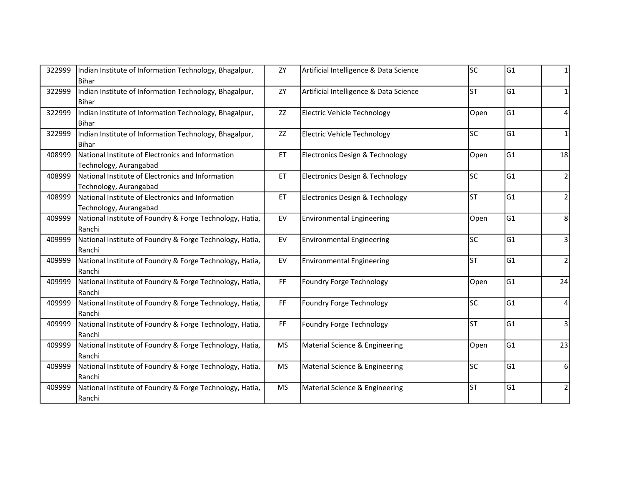| 322999 | Indian Institute of Information Technology, Bhagalpur,<br>Bihar             | ΖY                                                                                                  | Artificial Intelligence & Data Science | lsc       | G1  | 1              |
|--------|-----------------------------------------------------------------------------|-----------------------------------------------------------------------------------------------------|----------------------------------------|-----------|-----|----------------|
| 322999 | Indian Institute of Information Technology, Bhagalpur,<br><b>Bihar</b>      | ZY                                                                                                  | Artificial Intelligence & Data Science | lst       | G1  | $\mathbf{1}$   |
| 322999 | Indian Institute of Information Technology, Bhagalpur,<br><b>Bihar</b>      | ZZ                                                                                                  | Electric Vehicle Technology            | Open      | G1  | 4              |
| 322999 | Indian Institute of Information Technology, Bhagalpur,<br><b>Bihar</b>      | ZZ                                                                                                  | <b>Electric Vehicle Technology</b>     | lsc       | lG1 | $\mathbf{1}$   |
| 408999 | National Institute of Electronics and Information<br>Technology, Aurangabad | ET                                                                                                  | Electronics Design & Technology        | Open      | G1  | 18             |
| 408999 | National Institute of Electronics and Information<br>Technology, Aurangabad | ET                                                                                                  | Electronics Design & Technology        | lsc       | G1  | 2              |
| 408999 | National Institute of Electronics and Information<br>Technology, Aurangabad | ET                                                                                                  | Electronics Design & Technology        | lsт       | G1  | $\overline{2}$ |
| 409999 | National Institute of Foundry & Forge Technology, Hatia,<br>Ranchi          | EV                                                                                                  | <b>Environmental Engineering</b>       | Open      | G1  | 8              |
| 409999 | National Institute of Foundry & Forge Technology, Hatia,<br>Ranchi          | EV                                                                                                  | <b>Environmental Engineering</b>       | lsc       | G1  | $\overline{3}$ |
| 409999 | National Institute of Foundry & Forge Technology, Hatia,<br>Ranchi          | EV                                                                                                  | <b>Environmental Engineering</b>       | lst       | G1  | $\mathbf 2$    |
| 409999 | National Institute of Foundry & Forge Technology, Hatia,<br>Ranchi          | $\mathsf{FF}% _{0}$                                                                                 | Foundry Forge Technology               | Open      | lG1 | 24             |
| 409999 | National Institute of Foundry & Forge Technology, Hatia,<br>Ranchi          | $\mathsf{FF}% _{0}\left( \mathcal{F}_{0}\right) =\mathsf{FF}_{0}\left( \mathcal{F}_{0}\right)$      | Foundry Forge Technology               | lsc       | G1  | 4              |
| 409999 | National Institute of Foundry & Forge Technology, Hatia,<br>Ranchi          | $\mathsf{FF}% _{0}\left( \mathcal{F}_{0}\right) \equiv\mathsf{FF}_{0}\left( \mathcal{F}_{0}\right)$ | Foundry Forge Technology               | <b>ST</b> | G1  | 3              |
| 409999 | National Institute of Foundry & Forge Technology, Hatia,<br>Ranchi          | <b>MS</b>                                                                                           | Material Science & Engineering         | Open      | G1  | 23             |
| 409999 | National Institute of Foundry & Forge Technology, Hatia,<br>Ranchi          | <b>MS</b>                                                                                           | Material Science & Engineering         | lsc       | G1  | 6              |
| 409999 | National Institute of Foundry & Forge Technology, Hatia,<br>Ranchi          | <b>MS</b>                                                                                           | Material Science & Engineering         | lst       | G1  | $\overline{2}$ |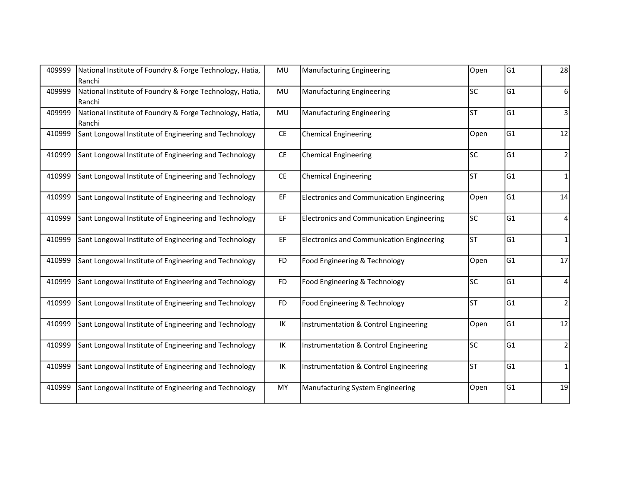| 409999 | National Institute of Foundry & Forge Technology, Hatia,<br>Ranchi | MU        | <b>Manufacturing Engineering</b>                 | Open      | G1  | 28             |
|--------|--------------------------------------------------------------------|-----------|--------------------------------------------------|-----------|-----|----------------|
| 409999 | National Institute of Foundry & Forge Technology, Hatia,<br>Ranchi | MU        | <b>Manufacturing Engineering</b>                 | lsc       | G1  | 6              |
| 409999 | National Institute of Foundry & Forge Technology, Hatia,<br>Ranchi | MU        | <b>Manufacturing Engineering</b>                 | lst       | lG1 | 3              |
| 410999 | Sant Longowal Institute of Engineering and Technology              | CE        | <b>Chemical Engineering</b>                      | Open      | lG1 | 12             |
| 410999 | Sant Longowal Institute of Engineering and Technology              | CE        | <b>Chemical Engineering</b>                      | lsc       | G1  | $\mathbf 2$    |
| 410999 | Sant Longowal Institute of Engineering and Technology              | CE        | <b>Chemical Engineering</b>                      | lst       | lG1 | $\mathbf{1}$   |
| 410999 | Sant Longowal Institute of Engineering and Technology              | EF        | <b>Electronics and Communication Engineering</b> | Open      | G1  | 14             |
| 410999 | Sant Longowal Institute of Engineering and Technology              | EF        | <b>Electronics and Communication Engineering</b> | lsc       | G1  | 4              |
| 410999 | Sant Longowal Institute of Engineering and Technology              | EF        | <b>Electronics and Communication Engineering</b> | lsт       | G1  | 1              |
| 410999 | Sant Longowal Institute of Engineering and Technology              | <b>FD</b> | Food Engineering & Technology                    | Open      | G1  | 17             |
| 410999 | Sant Longowal Institute of Engineering and Technology              | FD.       | Food Engineering & Technology                    | lsc       | lG1 | 4              |
| 410999 | Sant Longowal Institute of Engineering and Technology              | <b>FD</b> | Food Engineering & Technology                    | lsт       | G1  | $\overline{2}$ |
| 410999 | Sant Longowal Institute of Engineering and Technology              | IK        | Instrumentation & Control Engineering            | Open      | lG1 | 12             |
| 410999 | Sant Longowal Institute of Engineering and Technology              | IK        | Instrumentation & Control Engineering            | lsc       | G1  | $\overline{2}$ |
| 410999 | Sant Longowal Institute of Engineering and Technology              | IK        | Instrumentation & Control Engineering            | <b>ST</b> | G1  | 1              |
| 410999 | Sant Longowal Institute of Engineering and Technology              | MY        | Manufacturing System Engineering                 | Open      | G1  | 19             |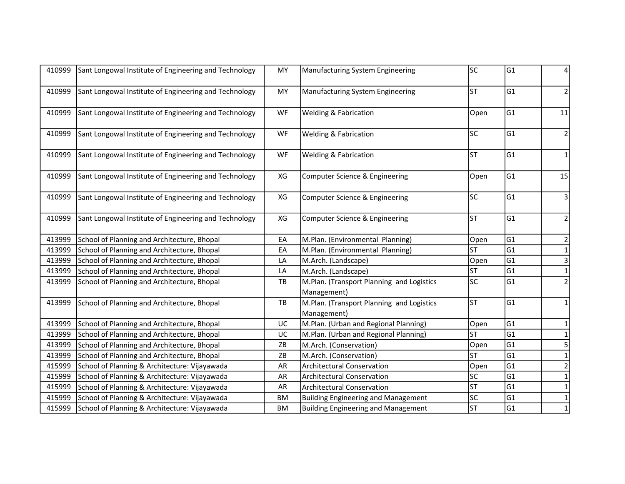| 410999 | Sant Longowal Institute of Engineering and Technology | MY | Manufacturing System Engineering                         | lsc       | G1             | 4              |
|--------|-------------------------------------------------------|----|----------------------------------------------------------|-----------|----------------|----------------|
| 410999 | Sant Longowal Institute of Engineering and Technology | MY | Manufacturing System Engineering                         | <b>ST</b> | G1             | $\overline{2}$ |
| 410999 | Sant Longowal Institute of Engineering and Technology | WF | <b>Welding &amp; Fabrication</b>                         | Open      | G1             | $11\,$         |
| 410999 | Sant Longowal Institute of Engineering and Technology | WF | Welding & Fabrication                                    | lsc       | lG1            | $\overline{2}$ |
| 410999 | Sant Longowal Institute of Engineering and Technology | WF | <b>Welding &amp; Fabrication</b>                         | lsт       | G1             | $\mathbf{1}$   |
| 410999 | Sant Longowal Institute of Engineering and Technology | XG | Computer Science & Engineering                           | Open      | G <sub>1</sub> | 15             |
| 410999 | Sant Longowal Institute of Engineering and Technology | XG | Computer Science & Engineering                           | lsc       | G1             | 3              |
| 410999 | Sant Longowal Institute of Engineering and Technology | XG | Computer Science & Engineering                           | lsт       | lG1            | $\overline{2}$ |
| 413999 | School of Planning and Architecture, Bhopal           | EA | M.Plan. (Environmental Planning)                         | Open      | G1             | 2              |
| 413999 | School of Planning and Architecture, Bhopal           | EA | M.Plan. (Environmental Planning)                         | <b>ST</b> | G1             | $\mathbf{1}$   |
| 413999 | School of Planning and Architecture, Bhopal           | LA | M.Arch. (Landscape)                                      | Open      | G1             | 3              |
| 413999 | School of Planning and Architecture, Bhopal           | LA | M.Arch. (Landscape)                                      | ST        | G1             | $\mathbf{1}$   |
| 413999 | School of Planning and Architecture, Bhopal           | TB | M.Plan. (Transport Planning and Logistics<br>Management) | lsc       | G1             | $\overline{2}$ |
| 413999 | School of Planning and Architecture, Bhopal           | TB | M.Plan. (Transport Planning and Logistics<br>Management) | <b>ST</b> | G1             | 1              |
| 413999 | School of Planning and Architecture, Bhopal           | UC | M.Plan. (Urban and Regional Planning)                    | Open      | lG1            | 1              |
| 413999 | School of Planning and Architecture, Bhopal           | UC | M.Plan. (Urban and Regional Planning)                    | <b>ST</b> | G1             | $\mathbf{1}$   |
| 413999 | School of Planning and Architecture, Bhopal           | ZB | M.Arch. (Conservation)                                   | Open      | G1             | 5              |
| 413999 | School of Planning and Architecture, Bhopal           | ZB | M.Arch. (Conservation)                                   | <b>ST</b> | G1             | $\mathbf{1}$   |
| 415999 | School of Planning & Architecture: Vijayawada         | AR | <b>Architectural Conservation</b>                        | Open      | G1             | $\mathbf 2$    |
| 415999 | School of Planning & Architecture: Vijayawada         | AR | <b>Architectural Conservation</b>                        | lsc       | lG1            | $\mathbf{1}$   |
| 415999 | School of Planning & Architecture: Vijayawada         | AR | <b>Architectural Conservation</b>                        | lst       | G1             | $\mathbf{1}$   |
| 415999 | School of Planning & Architecture: Vijayawada         | BM | <b>Building Engineering and Management</b>               | lsc       | G1             | $\mathbf 1$    |
| 415999 | School of Planning & Architecture: Vijayawada         | ВM | <b>Building Engineering and Management</b>               | <b>ST</b> | G1             | $\mathbf{1}$   |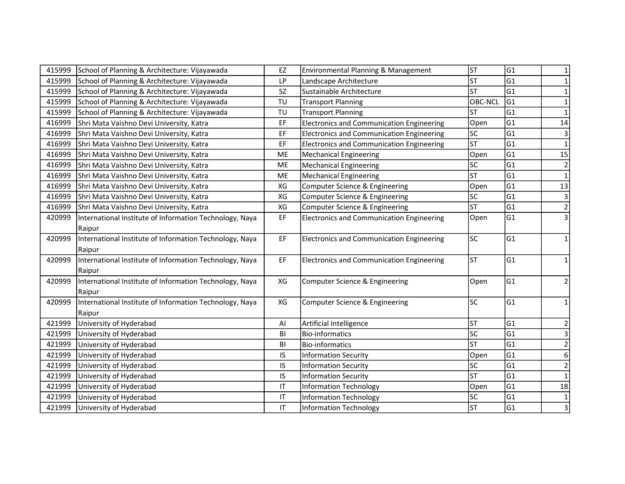| 415999 | School of Planning & Architecture: Vijayawada           | EZ        | Environmental Planning & Management              | <b>ST</b>                | G1              | 1              |
|--------|---------------------------------------------------------|-----------|--------------------------------------------------|--------------------------|-----------------|----------------|
| 415999 | School of Planning & Architecture: Vijayawada           | LP        | Landscape Architecture                           | lsт                      | lG1             | $\mathbf{1}$   |
| 415999 | School of Planning & Architecture: Vijayawada           | <b>SZ</b> | Sustainable Architecture                         | <b>ST</b>                | lG1             | $\mathbf{1}$   |
| 415999 | School of Planning & Architecture: Vijayawada           | TU        | <b>Transport Planning</b>                        | OBC-NCL                  | G1              | $\mathbf{1}$   |
| 415999 | School of Planning & Architecture: Vijayawada           | TU        | <b>Transport Planning</b>                        | lst                      | G1              | $\mathbf 1$    |
| 416999 | Shri Mata Vaishno Devi University, Katra                | EF        | <b>Electronics and Communication Engineering</b> | Open                     | G1              | 14             |
| 416999 | Shri Mata Vaishno Devi University, Katra                | EF        | <b>Electronics and Communication Engineering</b> | lsc                      | G1              | $\mathsf 3$    |
| 416999 | Shri Mata Vaishno Devi University, Katra                | EF        | <b>Electronics and Communication Engineering</b> | lsт                      | G1              | $\mathbf 1$    |
| 416999 | Shri Mata Vaishno Devi University, Katra                | ME        | <b>Mechanical Engineering</b>                    | Open                     | G1              | 15             |
| 416999 | Shri Mata Vaishno Devi University, Katra                | ME        | <b>Mechanical Engineering</b>                    | SC                       | G1              | $\mathbf 2$    |
| 416999 | Shri Mata Vaishno Devi University, Katra                | ME        | <b>Mechanical Engineering</b>                    | <b>ST</b>                | G1              | $\mathbf{1}$   |
| 416999 | Shri Mata Vaishno Devi University, Katra                | XG        | Computer Science & Engineering                   | Open                     | G1              | 13             |
| 416999 | Shri Mata Vaishno Devi University, Katra                | XG        | Computer Science & Engineering                   | lsc                      | G1              | $\mathbf{3}$   |
| 416999 | Shri Mata Vaishno Devi University, Katra                | XG        | Computer Science & Engineering                   | <b>ST</b>                | G1              | $\sqrt{2}$     |
| 420999 | International Institute of Information Technology, Naya | EF        | <b>Electronics and Communication Engineering</b> | Open                     | G1              | $\overline{3}$ |
|        | Raipur                                                  |           |                                                  |                          |                 |                |
| 420999 | International Institute of Information Technology, Naya | EF        | <b>Electronics and Communication Engineering</b> | lsc                      | G1              | $\mathbf{1}$   |
|        | Raipur                                                  |           |                                                  |                          |                 |                |
| 420999 | International Institute of Information Technology, Naya | EF        | Electronics and Communication Engineering        | lsт                      | G1              | $\mathbf{1}$   |
|        | Raipur                                                  |           |                                                  |                          |                 |                |
| 420999 | International Institute of Information Technology, Naya | XG        | Computer Science & Engineering                   | Open                     | G1              | $\overline{2}$ |
|        | Raipur                                                  |           |                                                  |                          |                 |                |
| 420999 | International Institute of Information Technology, Naya | XG        | Computer Science & Engineering                   | lsc                      | G1              | $\mathbf{1}$   |
|        | Raipur                                                  |           |                                                  |                          |                 |                |
| 421999 | University of Hyderabad                                 | Al        | Artificial Intelligence                          | <b>ST</b>                | G1              | $\overline{2}$ |
| 421999 | University of Hyderabad                                 | BI        | <b>Bio-informatics</b>                           | lsc                      | G1              | $\overline{3}$ |
| 421999 | University of Hyderabad                                 | BI        | <b>Bio-informatics</b>                           | $\overline{\mathsf{ST}}$ | $\overline{G1}$ | $\overline{2}$ |
| 421999 | University of Hyderabad                                 | IS.       | <b>Information Security</b>                      | Open                     | lG1             | $\sqrt{6}$     |
| 421999 | University of Hyderabad                                 | IS.       | <b>Information Security</b>                      | SC                       | lG1             | $\mathbf 2$    |
| 421999 | University of Hyderabad                                 | IS        | <b>Information Security</b>                      | lsт                      | lG1             | $\mathbf{1}$   |
| 421999 | University of Hyderabad                                 | IT        | <b>Information Technology</b>                    | Open                     | G1              | 18             |
| 421999 | University of Hyderabad                                 | IT        | <b>Information Technology</b>                    | lsc                      | G1              | $\mathbf 1$    |
| 421999 | University of Hyderabad                                 | IT.       | <b>Information Technology</b>                    | <b>ST</b>                | G1              | $\overline{3}$ |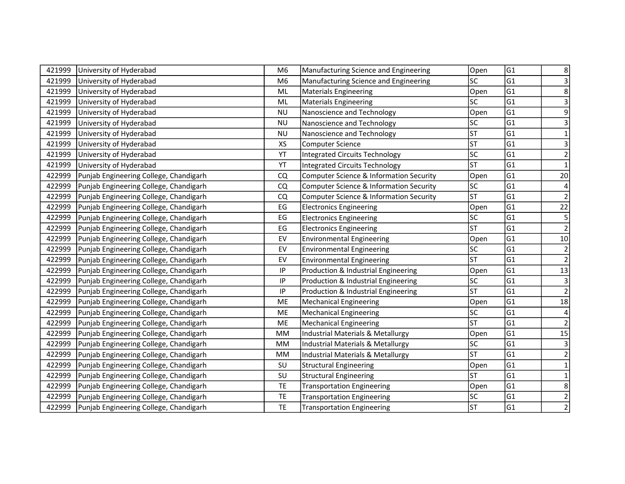| 421999 | University of Hyderabad                | M <sub>6</sub>         | Manufacturing Science and Engineering   | Open      | G <sub>1</sub> | 8                       |
|--------|----------------------------------------|------------------------|-----------------------------------------|-----------|----------------|-------------------------|
| 421999 | University of Hyderabad                | M <sub>6</sub>         | Manufacturing Science and Engineering   | <b>SC</b> | G1             | 3                       |
| 421999 | University of Hyderabad                | ML                     | <b>Materials Engineering</b>            | Open      | G1             | 8                       |
| 421999 | University of Hyderabad                | ML                     | <b>Materials Engineering</b>            | <b>SC</b> | G1             | 3                       |
| 421999 | University of Hyderabad                | <b>NU</b>              | Nanoscience and Technology              | Open      | G1             | 9                       |
| 421999 | University of Hyderabad                | <b>NU</b>              | Nanoscience and Technology              | lsc       | G1             | 3                       |
| 421999 | University of Hyderabad                | <b>NU</b>              | Nanoscience and Technology              | <b>ST</b> | G1             | $\mathbf{1}$            |
| 421999 | University of Hyderabad                | XS                     | Computer Science                        | <b>ST</b> | G1             | $\overline{\mathbf{3}}$ |
| 421999 | University of Hyderabad                | YT                     | <b>Integrated Circuits Technology</b>   | <b>SC</b> | G1             | $\overline{2}$          |
| 421999 | University of Hyderabad                | YT                     | <b>Integrated Circuits Technology</b>   | <b>ST</b> | G1             | $\mathbf 1$             |
| 422999 | Punjab Engineering College, Chandigarh | CQ                     | Computer Science & Information Security | Open      | G1             | 20 <sup>°</sup>         |
| 422999 | Punjab Engineering College, Chandigarh | CQ                     | Computer Science & Information Security | SC.       | G1             | 4                       |
| 422999 | Punjab Engineering College, Chandigarh | CQ                     | Computer Science & Information Security | <b>ST</b> | G1             | $\overline{2}$          |
| 422999 | Punjab Engineering College, Chandigarh | $\mathsf{E}\mathsf{G}$ | <b>Electronics Engineering</b>          | Open      | G1             | 22                      |
| 422999 | Punjab Engineering College, Chandigarh | EG                     | <b>Electronics Engineering</b>          | lsc       | G1             | $\overline{5}$          |
| 422999 | Punjab Engineering College, Chandigarh | EG                     | <b>Electronics Engineering</b>          | lst       | G1             | $\overline{2}$          |
| 422999 | Punjab Engineering College, Chandigarh | EV                     | <b>Environmental Engineering</b>        | Open      | G1             | $10\,$                  |
| 422999 | Punjab Engineering College, Chandigarh | EV                     | <b>Environmental Engineering</b>        | lsc       | G1             | $\mathbf 2$             |
| 422999 | Punjab Engineering College, Chandigarh | EV                     | <b>Environmental Engineering</b>        | lst       | G1             | $\overline{2}$          |
| 422999 | Punjab Engineering College, Chandigarh | IP                     | Production & Industrial Engineering     | Open      | G1             | $13\,$                  |
| 422999 | Punjab Engineering College, Chandigarh | $\sf IP$               | Production & Industrial Engineering     | lsc       | G1             | $\overline{3}$          |
| 422999 | Punjab Engineering College, Chandigarh | $\sf IP$               | Production & Industrial Engineering     | <b>ST</b> | G1             | $\mathbf 2$             |
| 422999 | Punjab Engineering College, Chandigarh | ME                     | <b>Mechanical Engineering</b>           | Open      | G1             | $18\,$                  |
| 422999 | Punjab Engineering College, Chandigarh | ME                     | <b>Mechanical Engineering</b>           | SC        | G1             | 4                       |
| 422999 | Punjab Engineering College, Chandigarh | ME                     | <b>Mechanical Engineering</b>           | <b>ST</b> | G1             | $\sqrt{2}$              |
| 422999 | Punjab Engineering College, Chandigarh | <b>MM</b>              | Industrial Materials & Metallurgy       | Open      | G1             | 15                      |
| 422999 | Punjab Engineering College, Chandigarh | <b>MM</b>              | Industrial Materials & Metallurgy       | <b>SC</b> | G1             | $\mathsf 3$             |
| 422999 | Punjab Engineering College, Chandigarh | <b>MM</b>              | Industrial Materials & Metallurgy       | <b>ST</b> | G1             | $\overline{2}$          |
| 422999 | Punjab Engineering College, Chandigarh | SU                     | <b>Structural Engineering</b>           | Open      | G1             | $\mathbf 1$             |
| 422999 | Punjab Engineering College, Chandigarh | SU                     | <b>Structural Engineering</b>           | <b>ST</b> | G1             | $\mathbf 1$             |
| 422999 | Punjab Engineering College, Chandigarh | TE                     | <b>Transportation Engineering</b>       | Open      | G1             | 8                       |
| 422999 | Punjab Engineering College, Chandigarh | TE                     | <b>Transportation Engineering</b>       | lsc       | G1             | $\overline{2}$          |
| 422999 | Punjab Engineering College, Chandigarh | <b>TE</b>              | <b>Transportation Engineering</b>       | <b>ST</b> | G1             | $\overline{2}$          |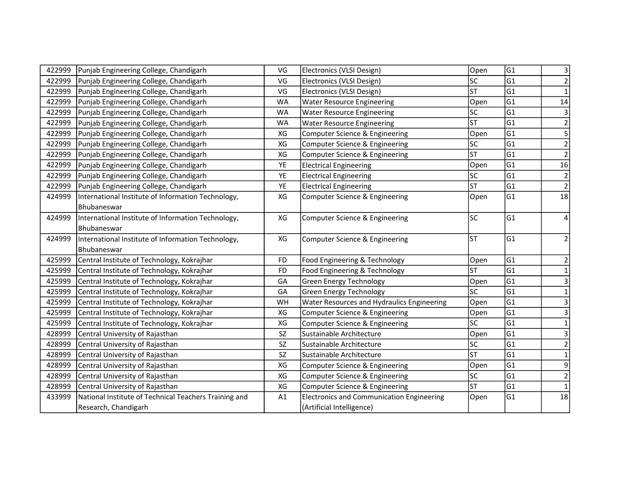| 422999 | Punjab Engineering College, Chandigarh                | VG        | Electronics (VLSI Design)                        | Open      | G1             | 3                       |
|--------|-------------------------------------------------------|-----------|--------------------------------------------------|-----------|----------------|-------------------------|
| 422999 | Punjab Engineering College, Chandigarh                | VG        | Electronics (VLSI Design)                        | SC        | G <sub>1</sub> | 2                       |
| 422999 | Punjab Engineering College, Chandigarh                | VG        | Electronics (VLSI Design)                        | lst       | lG1            | $\mathbf{1}$            |
| 422999 | Punjab Engineering College, Chandigarh                | <b>WA</b> | <b>Water Resource Engineering</b>                | Open      | G1             | 14                      |
| 422999 | Punjab Engineering College, Chandigarh                | <b>WA</b> | <b>Water Resource Engineering</b>                | lsc       | G1             | $\overline{\mathbf{3}}$ |
| 422999 | Punjab Engineering College, Chandigarh                | <b>WA</b> | <b>Water Resource Engineering</b>                | lst       | lG1            | $\overline{2}$          |
| 422999 | Punjab Engineering College, Chandigarh                | XG        | Computer Science & Engineering                   | Open      | G1             | $\overline{5}$          |
| 422999 | Punjab Engineering College, Chandigarh                | XG        | Computer Science & Engineering                   | SC        | G <sub>1</sub> | $\mathbf 2$             |
| 422999 | Punjab Engineering College, Chandigarh                | XG        | Computer Science & Engineering                   | <b>ST</b> | G1             | $\overline{2}$          |
| 422999 | Punjab Engineering College, Chandigarh                | YE        | <b>Electrical Engineering</b>                    | Open      | lG1            | 16                      |
| 422999 | Punjab Engineering College, Chandigarh                | YE        | <b>Electrical Engineering</b>                    | lsc       | G1             | $\sqrt{2}$              |
| 422999 | Punjab Engineering College, Chandigarh                | YE        | <b>Electrical Engineering</b>                    | <b>ST</b> | G1             | $\mathbf 2$             |
| 424999 | International Institute of Information Technology,    | XG        | Computer Science & Engineering                   | Open      | G1             | $\overline{18}$         |
|        | Bhubaneswar                                           |           |                                                  |           |                |                         |
| 424999 | International Institute of Information Technology,    | XG        | Computer Science & Engineering                   | <b>SC</b> | G1             | 4                       |
|        | Bhubaneswar                                           |           |                                                  |           |                |                         |
| 424999 | International Institute of Information Technology,    | XG        | Computer Science & Engineering                   | lsт       | G1             | $\overline{2}$          |
|        | Bhubaneswar                                           |           |                                                  |           |                |                         |
| 425999 | Central Institute of Technology, Kokrajhar            | <b>FD</b> | Food Engineering & Technology                    | Open      | G1             | 2                       |
| 425999 | Central Institute of Technology, Kokrajhar            | <b>FD</b> | Food Engineering & Technology                    | lst       | G1             | $\mathbf 1$             |
| 425999 | Central Institute of Technology, Kokrajhar            | GA        | <b>Green Energy Technology</b>                   | Open      | lG1            | 3                       |
| 425999 | Central Institute of Technology, Kokrajhar            | GA        | <b>Green Energy Technology</b>                   | <b>SC</b> | G1             | $\mathbf{1}$            |
| 425999 | Central Institute of Technology, Kokrajhar            | WH        | Water Resources and Hydraulics Engineering       | Open      | G1             | $\mathsf 3$             |
| 425999 | Central Institute of Technology, Kokrajhar            | XG        | Computer Science & Engineering                   | Open      | G1             | $\overline{\mathbf{3}}$ |
| 425999 | Central Institute of Technology, Kokrajhar            | XG        | Computer Science & Engineering                   | SC        | G1             | $\mathbf{1}$            |
| 428999 | Central University of Rajasthan                       | SZ        | Sustainable Architecture                         | Open      | G1             | 3                       |
| 428999 | Central University of Rajasthan                       | SZ        | Sustainable Architecture                         | lsc       | G <sub>1</sub> | $\mathbf 2$             |
| 428999 | Central University of Rajasthan                       | SZ        | Sustainable Architecture                         | <b>ST</b> | G <sub>1</sub> | $\mathbf 1$             |
| 428999 | Central University of Rajasthan                       | XG        | Computer Science & Engineering                   | Open      | G1             | 9                       |
| 428999 | Central University of Rajasthan                       | XG        | Computer Science & Engineering                   | lsc       | G <sub>1</sub> | $\overline{2}$          |
| 428999 | Central University of Rajasthan                       | XG        | Computer Science & Engineering                   | lst       | G <sub>1</sub> |                         |
| 433999 | National Institute of Technical Teachers Training and | A1        | <b>Electronics and Communication Engineering</b> | Open      | G1             | $\overline{18}$         |
|        | Research, Chandigarh                                  |           | (Artificial Intelligence)                        |           |                |                         |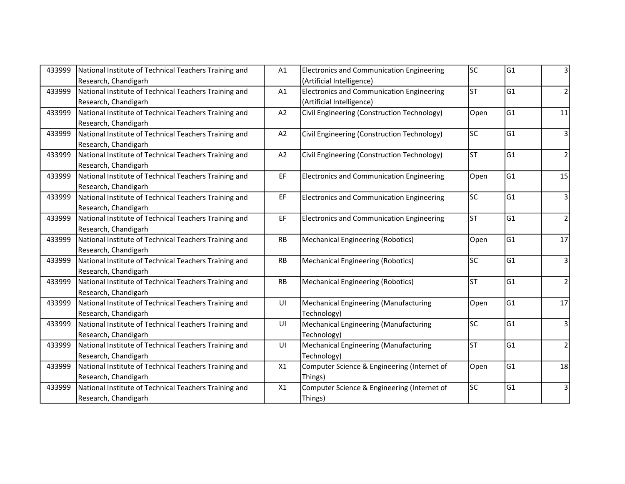| 433999 | National Institute of Technical Teachers Training and | A1        | <b>Electronics and Communication Engineering</b> | lsc       | lG1 | 3              |
|--------|-------------------------------------------------------|-----------|--------------------------------------------------|-----------|-----|----------------|
|        | Research, Chandigarh                                  |           | (Artificial Intelligence)                        |           |     |                |
| 433999 | National Institute of Technical Teachers Training and | A1        | <b>Electronics and Communication Engineering</b> | lsт       | G1  | $\overline{2}$ |
|        | Research, Chandigarh                                  |           | (Artificial Intelligence)                        |           |     |                |
| 433999 | National Institute of Technical Teachers Training and | A2        | Civil Engineering (Construction Technology)      | Open      | G1  | 11             |
|        | Research, Chandigarh                                  |           |                                                  |           |     |                |
| 433999 | National Institute of Technical Teachers Training and | A2        | Civil Engineering (Construction Technology)      | lsc       | lG1 | 3              |
|        | Research, Chandigarh                                  |           |                                                  |           |     |                |
| 433999 | National Institute of Technical Teachers Training and | A2        | Civil Engineering (Construction Technology)      | lst       | lG1 | $\overline{2}$ |
|        | Research, Chandigarh                                  |           |                                                  |           |     |                |
| 433999 | National Institute of Technical Teachers Training and | EF        | <b>Electronics and Communication Engineering</b> | Open      | G1  | 15             |
|        | Research, Chandigarh                                  |           |                                                  |           |     |                |
| 433999 | National Institute of Technical Teachers Training and | EF        | <b>Electronics and Communication Engineering</b> | lsc       | lG1 | 3              |
|        | Research, Chandigarh                                  |           |                                                  |           |     |                |
| 433999 | National Institute of Technical Teachers Training and | EF        | <b>Electronics and Communication Engineering</b> | <b>ST</b> | lG1 | $\overline{2}$ |
|        | Research, Chandigarh                                  |           |                                                  |           |     |                |
| 433999 | National Institute of Technical Teachers Training and | RB        | <b>Mechanical Engineering (Robotics)</b>         | Open      | lG1 | 17             |
|        | Research, Chandigarh                                  |           |                                                  |           |     |                |
| 433999 | National Institute of Technical Teachers Training and | RB        | <b>Mechanical Engineering (Robotics)</b>         | lsc       | lG1 | 3              |
|        | Research, Chandigarh                                  |           |                                                  |           |     |                |
| 433999 | National Institute of Technical Teachers Training and | <b>RB</b> | <b>Mechanical Engineering (Robotics)</b>         | lst       | lG1 | $\overline{2}$ |
|        | Research, Chandigarh                                  |           |                                                  |           |     |                |
| 433999 | National Institute of Technical Teachers Training and | UI        | Mechanical Engineering (Manufacturing            | Open      | G1  | 17             |
|        | Research, Chandigarh                                  |           | Technology)                                      |           |     |                |
| 433999 | National Institute of Technical Teachers Training and | UI        | <b>Mechanical Engineering (Manufacturing</b>     | lsc       | lG1 | 3              |
|        | Research, Chandigarh                                  |           | Technology)                                      |           |     |                |
| 433999 | National Institute of Technical Teachers Training and | UI        | <b>Mechanical Engineering (Manufacturing</b>     | lsт       | lG1 | $\overline{2}$ |
|        | Research, Chandigarh                                  |           | Technology)                                      |           |     |                |
| 433999 | National Institute of Technical Teachers Training and | X1        | Computer Science & Engineering (Internet of      | Open      | G1  | 18             |
|        | Research, Chandigarh                                  |           | Things)                                          |           |     |                |
| 433999 | National Institute of Technical Teachers Training and | X1        | Computer Science & Engineering (Internet of      | lsc       | lG1 | 3              |
|        | Research, Chandigarh                                  |           | Things)                                          |           |     |                |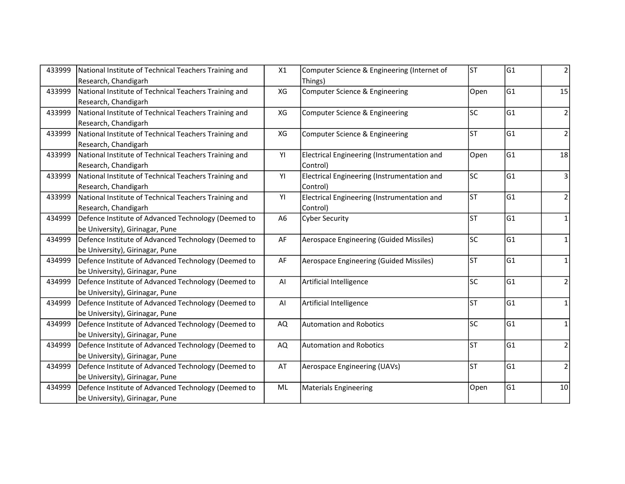| 433999 | National Institute of Technical Teachers Training and | X1             | Computer Science & Engineering (Internet of | lsт       | G1  | $\overline{2}$ |
|--------|-------------------------------------------------------|----------------|---------------------------------------------|-----------|-----|----------------|
|        | Research, Chandigarh                                  |                | Things)                                     |           |     |                |
| 433999 | National Institute of Technical Teachers Training and | XG             | Computer Science & Engineering              | Open      | G1  | 15             |
|        | Research, Chandigarh                                  |                |                                             |           |     |                |
| 433999 | National Institute of Technical Teachers Training and | XG             | Computer Science & Engineering              | lsc       | G1  | $\overline{2}$ |
|        | Research, Chandigarh                                  |                |                                             |           |     |                |
| 433999 | National Institute of Technical Teachers Training and | XG             | Computer Science & Engineering              | lsт       | G1  | 2              |
|        | Research, Chandigarh                                  |                |                                             |           |     |                |
| 433999 | National Institute of Technical Teachers Training and | YI             | Electrical Engineering (Instrumentation and | Open      | lG1 | 18             |
|        | Research, Chandigarh                                  |                | Control)                                    |           |     |                |
| 433999 | National Institute of Technical Teachers Training and | YI             | Electrical Engineering (Instrumentation and | <b>SC</b> | G1  | 3              |
|        | Research, Chandigarh                                  |                | Control)                                    |           |     |                |
| 433999 | National Institute of Technical Teachers Training and | YI             | Electrical Engineering (Instrumentation and | lsт       | lG1 | $\overline{2}$ |
|        | Research, Chandigarh                                  |                | Control)                                    |           |     |                |
| 434999 | Defence Institute of Advanced Technology (Deemed to   | A <sub>6</sub> | <b>Cyber Security</b>                       | lsт       | G1  | $\mathbf{1}$   |
|        | be University), Girinagar, Pune                       |                |                                             |           |     |                |
| 434999 | Defence Institute of Advanced Technology (Deemed to   | AF             | Aerospace Engineering (Guided Missiles)     | <b>SC</b> | lG1 | $\mathbf{1}$   |
|        | be University), Girinagar, Pune                       |                |                                             |           |     |                |
| 434999 | Defence Institute of Advanced Technology (Deemed to   | AF             | Aerospace Engineering (Guided Missiles)     | lsт       | G1  | 1              |
|        | be University), Girinagar, Pune                       |                |                                             |           |     |                |
| 434999 | Defence Institute of Advanced Technology (Deemed to   | Al             | Artificial Intelligence                     | lsc       | G1  | $\overline{2}$ |
|        | be University), Girinagar, Pune                       |                |                                             |           |     |                |
| 434999 | Defence Institute of Advanced Technology (Deemed to   | AI             | Artificial Intelligence                     | lsт       | G1  | $\mathbf{1}$   |
|        | be University), Girinagar, Pune                       |                |                                             |           |     |                |
| 434999 | Defence Institute of Advanced Technology (Deemed to   | AQ             | <b>Automation and Robotics</b>              | lsc       | G1  | 1              |
|        | be University), Girinagar, Pune                       |                |                                             |           |     |                |
| 434999 | Defence Institute of Advanced Technology (Deemed to   | AQ             | <b>Automation and Robotics</b>              | lsт       | G1  | $\overline{2}$ |
|        | be University), Girinagar, Pune                       |                |                                             |           |     |                |
| 434999 | Defence Institute of Advanced Technology (Deemed to   | AT             | Aerospace Engineering (UAVs)                | lsт       | G1  | $\overline{2}$ |
|        | be University), Girinagar, Pune                       |                |                                             |           |     |                |
| 434999 | Defence Institute of Advanced Technology (Deemed to   | ML             | <b>Materials Engineering</b>                | Open      | G1  | 10             |
|        | be University), Girinagar, Pune                       |                |                                             |           |     |                |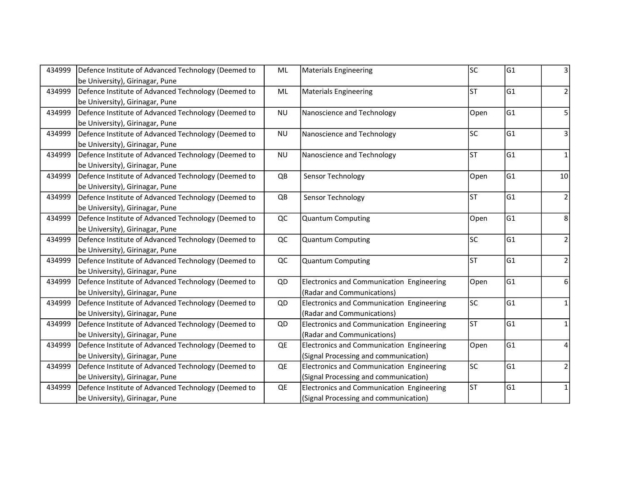| 434999 | Defence Institute of Advanced Technology (Deemed to | ML        | <b>Materials Engineering</b>              | lsc       | G1  | 3              |
|--------|-----------------------------------------------------|-----------|-------------------------------------------|-----------|-----|----------------|
|        | be University), Girinagar, Pune                     |           |                                           |           |     |                |
| 434999 | Defence Institute of Advanced Technology (Deemed to | ML        | <b>Materials Engineering</b>              | lsт       | G1  | 2              |
|        | be University), Girinagar, Pune                     |           |                                           |           |     |                |
| 434999 | Defence Institute of Advanced Technology (Deemed to | <b>NU</b> | Nanoscience and Technology                | Open      | G1  | 5              |
|        | be University), Girinagar, Pune                     |           |                                           |           |     |                |
| 434999 | Defence Institute of Advanced Technology (Deemed to | <b>NU</b> | Nanoscience and Technology                | lsc       | G1  | 3              |
|        | be University), Girinagar, Pune                     |           |                                           |           |     |                |
| 434999 | Defence Institute of Advanced Technology (Deemed to | <b>NU</b> | Nanoscience and Technology                | <b>ST</b> | G1  | $\mathbf{1}$   |
|        | be University), Girinagar, Pune                     |           |                                           |           |     |                |
| 434999 | Defence Institute of Advanced Technology (Deemed to | QB        | Sensor Technology                         | Open      | G1  | 10             |
|        | be University), Girinagar, Pune                     |           |                                           |           |     |                |
| 434999 | Defence Institute of Advanced Technology (Deemed to | QB        | Sensor Technology                         | lsт       | G1  | $\overline{2}$ |
|        | be University), Girinagar, Pune                     |           |                                           |           |     |                |
| 434999 | Defence Institute of Advanced Technology (Deemed to | QC        | <b>Quantum Computing</b>                  | Open      | G1  | 8              |
|        | be University), Girinagar, Pune                     |           |                                           |           |     |                |
| 434999 | Defence Institute of Advanced Technology (Deemed to | QC        | <b>Quantum Computing</b>                  | lsc       | G1  | $\overline{2}$ |
|        | be University), Girinagar, Pune                     |           |                                           |           |     |                |
| 434999 | Defence Institute of Advanced Technology (Deemed to | QC        | Quantum Computing                         | <b>ST</b> | G1  | $\overline{2}$ |
|        | be University), Girinagar, Pune                     |           |                                           |           |     |                |
| 434999 | Defence Institute of Advanced Technology (Deemed to | QD        | Electronics and Communication Engineering | Open      | lG1 | 6              |
|        | be University), Girinagar, Pune                     |           | (Radar and Communications)                |           |     |                |
| 434999 | Defence Institute of Advanced Technology (Deemed to | QD        | Electronics and Communication Engineering | lsc       | G1  | $\mathbf{1}$   |
|        | be University), Girinagar, Pune                     |           | (Radar and Communications)                |           |     |                |
| 434999 | Defence Institute of Advanced Technology (Deemed to | QD        | Electronics and Communication Engineering | <b>ST</b> | G1  | 1              |
|        | be University), Girinagar, Pune                     |           | (Radar and Communications)                |           |     |                |
| 434999 | Defence Institute of Advanced Technology (Deemed to | QE        | Electronics and Communication Engineering | Open      | G1  | 4              |
|        | be University), Girinagar, Pune                     |           | (Signal Processing and communication)     |           |     |                |
| 434999 | Defence Institute of Advanced Technology (Deemed to | QE        | Electronics and Communication Engineering | lsc       | G1  | $\overline{2}$ |
|        | be University), Girinagar, Pune                     |           | (Signal Processing and communication)     |           |     |                |
| 434999 | Defence Institute of Advanced Technology (Deemed to | QE        | Electronics and Communication Engineering | lst       | G1  | $\mathbf{1}$   |
|        | be University), Girinagar, Pune                     |           | (Signal Processing and communication)     |           |     |                |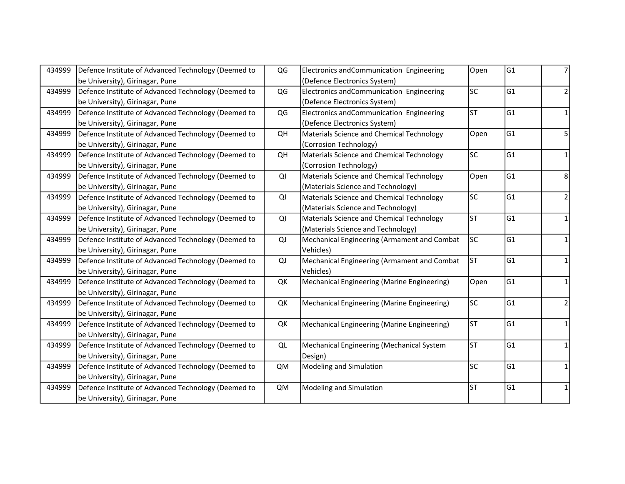| 434999 | Defence Institute of Advanced Technology (Deemed to | QG        | Electronics and Communication Engineering   | Open      | G1  |                |
|--------|-----------------------------------------------------|-----------|---------------------------------------------|-----------|-----|----------------|
|        | be University), Girinagar, Pune                     |           | (Defence Electronics System)                |           |     |                |
| 434999 | Defence Institute of Advanced Technology (Deemed to | QG        | Electronics and Communication Engineering   | lsc       | G1  | 2              |
|        | be University), Girinagar, Pune                     |           | (Defence Electronics System)                |           |     |                |
| 434999 | Defence Institute of Advanced Technology (Deemed to | QG        | Electronics and Communication Engineering   | lsт       | G1  | 1              |
|        | be University), Girinagar, Pune                     |           | (Defence Electronics System)                |           |     |                |
| 434999 | Defence Institute of Advanced Technology (Deemed to | QH        | Materials Science and Chemical Technology   | Open      | G1  | 5              |
|        | be University), Girinagar, Pune                     |           | (Corrosion Technology)                      |           |     |                |
| 434999 | Defence Institute of Advanced Technology (Deemed to | QH        | Materials Science and Chemical Technology   | lsc       | G1  | 1              |
|        | be University), Girinagar, Pune                     |           | (Corrosion Technology)                      |           |     |                |
| 434999 | Defence Institute of Advanced Technology (Deemed to | QI        | Materials Science and Chemical Technology   | Open      | G1  | 8              |
|        | be University), Girinagar, Pune                     |           | (Materials Science and Technology)          |           |     |                |
| 434999 | Defence Institute of Advanced Technology (Deemed to | QI        | Materials Science and Chemical Technology   | lsc       | lG1 | 2              |
|        | be University), Girinagar, Pune                     |           | (Materials Science and Technology)          |           |     |                |
| 434999 | Defence Institute of Advanced Technology (Deemed to | QI        | Materials Science and Chemical Technology   | lst       | lG1 | $\mathbf{1}$   |
|        | be University), Girinagar, Pune                     |           | (Materials Science and Technology)          |           |     |                |
| 434999 | Defence Institute of Advanced Technology (Deemed to | QJ        | Mechanical Engineering (Armament and Combat | <b>SC</b> | G1  | $\mathbf{1}$   |
|        | be University), Girinagar, Pune                     |           | Vehicles)                                   |           |     |                |
| 434999 | Defence Institute of Advanced Technology (Deemed to | QJ        | Mechanical Engineering (Armament and Combat | <b>ST</b> | lG1 | 1              |
|        | be University), Girinagar, Pune                     |           | Vehicles)                                   |           |     |                |
| 434999 | Defence Institute of Advanced Technology (Deemed to | QK        | Mechanical Engineering (Marine Engineering) | Open      | G1  | $\mathbf{1}$   |
|        | be University), Girinagar, Pune                     |           |                                             |           |     |                |
| 434999 | Defence Institute of Advanced Technology (Deemed to | QK        | Mechanical Engineering (Marine Engineering) | lsc       | G1  | $\overline{2}$ |
|        | be University), Girinagar, Pune                     |           |                                             |           |     |                |
| 434999 | Defence Institute of Advanced Technology (Deemed to | QK        | Mechanical Engineering (Marine Engineering) | <b>ST</b> | lG1 | 1              |
|        | be University), Girinagar, Pune                     |           |                                             |           |     |                |
| 434999 | Defence Institute of Advanced Technology (Deemed to | QL        | Mechanical Engineering (Mechanical System   | lst       | G1  | $\mathbf{1}$   |
|        | be University), Girinagar, Pune                     |           | Design)                                     |           |     |                |
| 434999 | Defence Institute of Advanced Technology (Deemed to | <b>QM</b> | Modeling and Simulation                     | lsc       | G1  | $\mathbf{1}$   |
|        | be University), Girinagar, Pune                     |           |                                             |           |     |                |
| 434999 | Defence Institute of Advanced Technology (Deemed to | <b>QM</b> | Modeling and Simulation                     | lst       | G1  | 1              |
|        | be University), Girinagar, Pune                     |           |                                             |           |     |                |